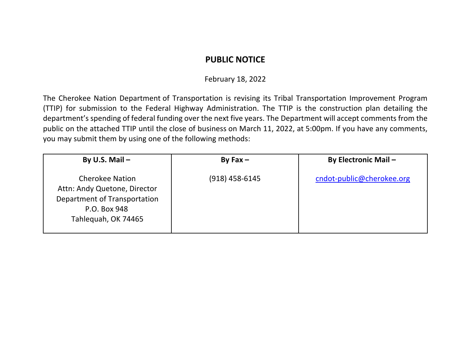## **PUBLIC NOTICE**

## February 18, 2022

The Cherokee Nation Department of Transportation is revising its Tribal Transportation Improvement Program (TTIP) for submission to the Federal Highway Administration. The TTIP is the construction plan detailing the department's spending of federal funding over the next five years. The Department will accept comments from the public on the attached TTIP until the close of business on March 11, 2022, at 5:00pm. If you have any comments, you may submit them by using one of the following methods:

| By U.S. Mail $-$                                                                                                              | By Fax $-$       | <b>By Electronic Mail -</b> |
|-------------------------------------------------------------------------------------------------------------------------------|------------------|-----------------------------|
| <b>Cherokee Nation</b><br>Attn: Andy Quetone, Director<br>Department of Transportation<br>P.O. Box 948<br>Tahlequah, OK 74465 | $(918)$ 458-6145 | cndot-public@cherokee.org   |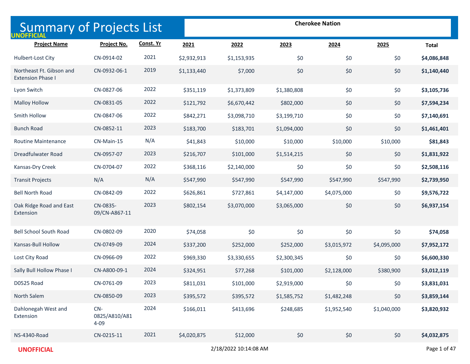| <b>Summary of Projects List</b><br><b>UNOFFICIAL</b> |                                    |           |             |                       |             | <b>Cherokee Nation</b> |             |              |
|------------------------------------------------------|------------------------------------|-----------|-------------|-----------------------|-------------|------------------------|-------------|--------------|
| <b>Project Name</b>                                  | Project No.                        | Const. Yr | 2021        | 2022                  | 2023        | 2024                   | 2025        | <b>Total</b> |
| Hulbert-Lost City                                    | CN-0914-02                         | 2021      | \$2,932,913 | \$1,153,935           | \$0         | \$0                    | \$0         | \$4,086,848  |
| Northeast Ft. Gibson and<br><b>Extension Phase I</b> | CN-0932-06-1                       | 2019      | \$1,133,440 | \$7,000               | \$0         | \$0                    | \$0         | \$1,140,440  |
| Lyon Switch                                          | CN-0827-06                         | 2022      | \$351,119   | \$1,373,809           | \$1,380,808 | \$0                    | \$0         | \$3,105,736  |
| <b>Malloy Hollow</b>                                 | CN-0831-05                         | 2022      | \$121,792   | \$6,670,442           | \$802,000   | \$0                    | \$0         | \$7,594,234  |
| Smith Hollow                                         | CN-0847-06                         | 2022      | \$842,271   | \$3,098,710           | \$3,199,710 | \$0                    | \$0         | \$7,140,691  |
| <b>Bunch Road</b>                                    | CN-0852-11                         | 2023      | \$183,700   | \$183,701             | \$1,094,000 | \$0                    | \$0         | \$1,461,401  |
| Routine Maintenance                                  | CN-Main-15                         | N/A       | \$41,843    | \$10,000              | \$10,000    | \$10,000               | \$10,000    | \$81,843     |
| Dreadfulwater Road                                   | CN-0957-07                         | 2023      | \$216,707   | \$101,000             | \$1,514,215 | \$0                    | \$0         | \$1,831,922  |
| Kansas-Dry Creek                                     | CN-0704-07                         | 2022      | \$368,116   | \$2,140,000           | \$0         | \$0                    | \$0         | \$2,508,116  |
| <b>Transit Projects</b>                              | N/A                                | N/A       | \$547,990   | \$547,990             | \$547,990   | \$547,990              | \$547,990   | \$2,739,950  |
| <b>Bell North Road</b>                               | CN-0842-09                         | 2022      | \$626,861   | \$727,861             | \$4,147,000 | \$4,075,000            | \$0         | \$9,576,722  |
| Oak Ridge Road and East<br>Extension                 | CN-0835-<br>09/CN-A867-11          | 2023      | \$802,154   | \$3,070,000           | \$3,065,000 | \$0                    | \$0         | \$6,937,154  |
| <b>Bell School South Road</b>                        | CN-0802-09                         | 2020      | \$74,058    | \$0                   | \$0         | \$0                    | \$0         | \$74,058     |
| Kansas-Bull Hollow                                   | CN-0749-09                         | 2024      | \$337,200   | \$252,000             | \$252,000   | \$3,015,972            | \$4,095,000 | \$7,952,172  |
| Lost City Road                                       | CN-0966-09                         | 2022      | \$969,330   | \$3,330,655           | \$2,300,345 | \$0                    | \$0         | \$6,600,330  |
| Sally Bull Hollow Phase I                            | CN-A800-09-1                       | 2024      | \$324,951   | \$77,268              | \$101,000   | \$2,128,000            | \$380,900   | \$3,012,119  |
| D0525 Road                                           | CN-0761-09                         | 2023      | \$811,031   | \$101,000             | \$2,919,000 | \$0                    | \$0         | \$3,831,031  |
| North Salem                                          | CN-0850-09                         | 2023      | \$395,572   | \$395,572             | \$1,585,752 | \$1,482,248            | \$0         | \$3,859,144  |
| Dahlonegah West and<br>Extension                     | $CN-$<br>0825/A810/A81<br>$4 - 09$ | 2024      | \$166,011   | \$413,696             | \$248,685   | \$1,952,540            | \$1,040,000 | \$3,820,932  |
| <b>NS-4340-Road</b>                                  | CN-0215-11                         | 2021      | \$4,020,875 | \$12,000              | \$0         | \$0                    | \$0         | \$4,032,875  |
| <b>UNOFFICIAL</b>                                    |                                    |           |             | 2/18/2022 10:14:08 AM |             |                        |             | Page 1 of 47 |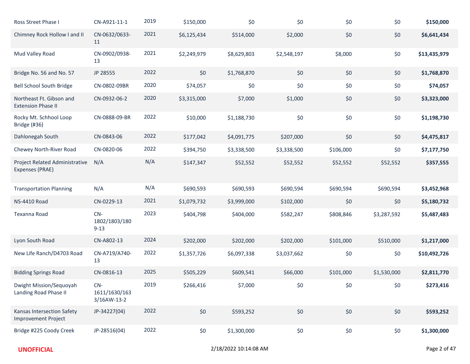| Ross Street Phase I                                      | CN-A921-11-1                          | 2019 | \$150,000   | \$0         | \$0         | \$0       | \$0         | \$150,000    |
|----------------------------------------------------------|---------------------------------------|------|-------------|-------------|-------------|-----------|-------------|--------------|
| Chimney Rock Hollow I and II                             | CN-0632/0633-<br>11                   | 2021 | \$6,125,434 | \$514,000   | \$2,000     | \$0       | \$0         | \$6,641,434  |
| Mud Valley Road                                          | CN-0902/0938-<br>13                   | 2021 | \$2,249,979 | \$8,629,803 | \$2,548,197 | \$8,000   | \$0         | \$13,435,979 |
| Bridge No. 56 and No. 57                                 | JP 28555                              | 2022 | \$0         | \$1,768,870 | \$0         | \$0       | \$0         | \$1,768,870  |
| <b>Bell School South Bridge</b>                          | CN-0802-09BR                          | 2020 | \$74,057    | \$0         | \$0         | \$0       | \$0         | \$74,057     |
| Northeast Ft. Gibson and<br><b>Extension Phase II</b>    | CN-0932-06-2                          | 2020 | \$3,315,000 | \$7,000     | \$1,000     | \$0       | \$0         | \$3,323,000  |
| Rocky Mt. Schhool Loop<br>Bridge (#36)                   | CN-0888-09-BR                         | 2022 | \$10,000    | \$1,188,730 | \$0         | \$0       | \$0         | \$1,198,730  |
| Dahlonegah South                                         | CN-0843-06                            | 2022 | \$177,042   | \$4,091,775 | \$207,000   | \$0       | \$0         | \$4,475,817  |
| Chewey North-River Road                                  | CN-0820-06                            | 2022 | \$394,750   | \$3,338,500 | \$3,338,500 | \$106,000 | \$0         | \$7,177,750  |
| Project Related Administrative<br><b>Expenses (PRAE)</b> | N/A                                   | N/A  | \$147,347   | \$52,552    | \$52,552    | \$52,552  | \$52,552    | \$357,555    |
| <b>Transportation Planning</b>                           | N/A                                   | N/A  | \$690,593   | \$690,593   | \$690,594   | \$690,594 | \$690,594   | \$3,452,968  |
| <b>NS-4410 Road</b>                                      | CN-0229-13                            | 2021 | \$1,079,732 | \$3,999,000 | \$102,000   | \$0       | \$0         | \$5,180,732  |
| Texanna Road                                             | $CN-$<br>1802/1803/180<br>$9 - 13$    | 2023 | \$404,798   | \$404,000   | \$582,247   | \$808,846 | \$3,287,592 | \$5,487,483  |
| Lyon South Road                                          | CN-A802-13                            | 2024 | \$202,000   | \$202,000   | \$202,000   | \$101,000 | \$510,000   | \$1,217,000  |
| New Life Ranch/D4703 Road                                | CN-A719/A740-<br>13                   | 2022 | \$1,357,726 | \$6,097,338 | \$3,037,662 | \$0       | \$0         | \$10,492,726 |
| <b>Bidding Springs Road</b>                              | CN-0816-13                            | 2025 | \$505,229   | \$609,541   | \$66,000    | \$101,000 | \$1,530,000 | \$2,811,770  |
| Dwight Mission/Sequoyah<br>Landing Road Phase II         | $CN-$<br>1611/1630/163<br>3/16AW-13-2 | 2019 | \$266,416   | \$7,000     | \$0         | \$0       | \$0         | \$273,416    |
| Kansas Intersection Safety<br><b>Improvement Project</b> | JP-34227(04)                          | 2022 | \$0         | \$593,252   | \$0         | \$0       | \$0         | \$593,252    |
| Bridge #225 Coody Creek                                  | JP-28516(04)                          | 2022 | \$0         | \$1,300,000 | \$0         | $$0$$     | \$0         | \$1,300,000  |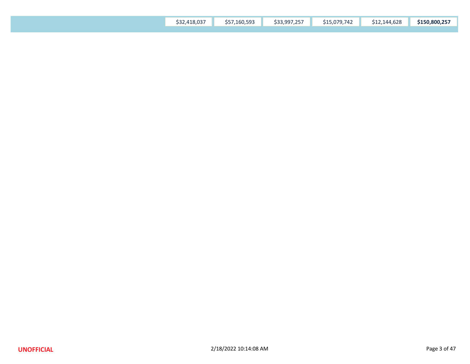| \$32,418,037<br>\$57,160,593 |
|------------------------------|
|------------------------------|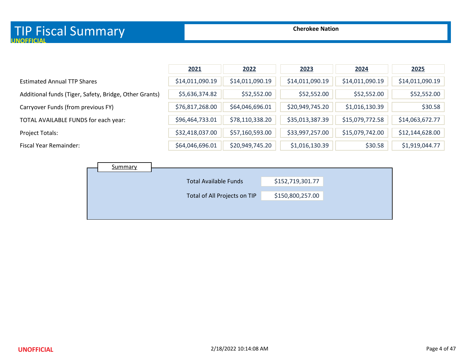|                                                        | 2021            | 2022            | 2023            | 2024            | 2025            |
|--------------------------------------------------------|-----------------|-----------------|-----------------|-----------------|-----------------|
| <b>Estimated Annual TTP Shares</b>                     | \$14,011,090.19 | \$14,011,090.19 | \$14,011,090.19 | \$14,011,090.19 | \$14,011,090.19 |
| Additional funds (Tiger, Safety, Bridge, Other Grants) | \$5,636,374.82  | \$52,552.00     | \$52,552.00     | \$52,552.00     | \$52,552.00     |
| Carryover Funds (from previous FY)                     | \$76,817,268.00 | \$64,046,696.01 | \$20,949,745.20 | \$1,016,130.39  | \$30.58         |
| TOTAL AVAILABLE FUNDS for each year:                   | \$96,464,733.01 | \$78,110,338.20 | \$35,013,387.39 | \$15,079,772.58 | \$14,063,672.77 |
| Project Totals:                                        | \$32,418,037.00 | \$57,160,593.00 | \$33,997,257.00 | \$15,079,742.00 | \$12,144,628.00 |
| Fiscal Year Remainder:                                 | \$64,046,696.01 | \$20,949,745.20 | \$1,016,130.39  | \$30.58         | \$1,919,044.77  |

| \$152,719,301.77<br><b>Total Available Funds</b><br>\$150,800,257.00<br>Total of All Projects on TIP | Summary |  |  |
|------------------------------------------------------------------------------------------------------|---------|--|--|
|                                                                                                      |         |  |  |
|                                                                                                      |         |  |  |
|                                                                                                      |         |  |  |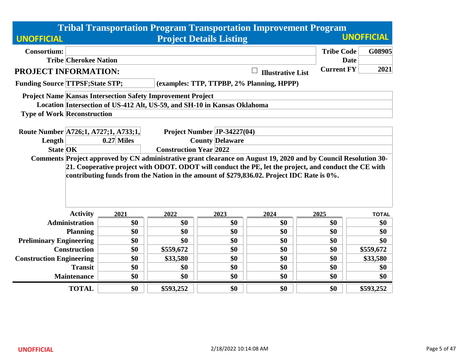|                                         |                              |                                                                          |                                |                        | <b>Tribal Transportation Program Transportation Improvement Program</b>                                                                                                                            |                   |             |                   |
|-----------------------------------------|------------------------------|--------------------------------------------------------------------------|--------------------------------|------------------------|----------------------------------------------------------------------------------------------------------------------------------------------------------------------------------------------------|-------------------|-------------|-------------------|
| <b>UNOFFICIAL</b>                       |                              |                                                                          | <b>Project Details Listing</b> |                        |                                                                                                                                                                                                    |                   |             | <b>UNOFFICIAL</b> |
| <b>Consortium:</b>                      |                              |                                                                          |                                |                        |                                                                                                                                                                                                    | <b>Tribe Code</b> |             | G08905            |
|                                         | <b>Tribe Cherokee Nation</b> |                                                                          |                                |                        |                                                                                                                                                                                                    |                   | <b>Date</b> |                   |
| PROJECT INFORMATION:                    |                              |                                                                          |                                |                        | ⊔<br><b>Illustrative List</b>                                                                                                                                                                      | <b>Current FY</b> |             | 2021              |
| <b>Funding Source TTPSF; State STP;</b> |                              |                                                                          |                                |                        | (examples: TTP, TTPBP, 2% Planning, HPPP)                                                                                                                                                          |                   |             |                   |
|                                         |                              | <b>Project Name Kansas Intersection Safety Improvement Project</b>       |                                |                        |                                                                                                                                                                                                    |                   |             |                   |
|                                         |                              | Location Intersection of US-412 Alt, US-59, and SH-10 in Kansas Oklahoma |                                |                        |                                                                                                                                                                                                    |                   |             |                   |
| <b>Type of Work Reconstruction</b>      |                              |                                                                          |                                |                        |                                                                                                                                                                                                    |                   |             |                   |
|                                         |                              |                                                                          |                                |                        |                                                                                                                                                                                                    |                   |             |                   |
| Route Number A726;1, A727;1, A733;1,    |                              |                                                                          | Project Number JP-34227(04)    |                        |                                                                                                                                                                                                    |                   |             |                   |
| Length                                  |                              | $0.27$ Miles                                                             |                                | <b>County Delaware</b> |                                                                                                                                                                                                    |                   |             |                   |
| <b>State OK</b>                         |                              |                                                                          | <b>Construction Year 2022</b>  |                        | Comments Project approved by CN administrative grant clearance on August 19, 2020 and by Council Resolution 30-                                                                                    |                   |             |                   |
|                                         |                              |                                                                          |                                |                        | 21. Cooperative project with ODOT. ODOT will conduct the PE, let the project, and conduct the CE with<br>contributing funds from the Nation in the amount of \$279,836.02. Project IDC Rate is 0%. |                   |             |                   |
|                                         | <b>Activity</b>              | 2021                                                                     | 2022                           | 2023                   | 2024                                                                                                                                                                                               | 2025              |             | <b>TOTAL</b>      |
|                                         | <b>Administration</b>        | \$0                                                                      | \$0                            | \$0                    | \$0                                                                                                                                                                                                | \$0               |             | \$0               |
|                                         | <b>Planning</b>              | \$0                                                                      | \$0                            | \$0                    | \$0                                                                                                                                                                                                | \$0               |             | \$0               |
| <b>Preliminary Engineering</b>          |                              | \$0                                                                      | \$0                            | \$0                    | \$0                                                                                                                                                                                                | \$0               |             | \$0               |
|                                         | <b>Construction</b>          | \$0                                                                      | \$559,672                      | \$0                    | \$0                                                                                                                                                                                                | \$0               |             | \$559,672         |
| <b>Construction Engineering</b>         |                              | \$0                                                                      | \$33,580                       | \$0                    | \$0                                                                                                                                                                                                | \$0               |             | \$33,580          |
|                                         | <b>Transit</b>               | \$0                                                                      | \$0                            | \$0                    | \$0                                                                                                                                                                                                | \$0               |             | \$0               |
|                                         | <b>Maintenance</b>           | \$0                                                                      | \$0                            | \$0                    | \$0                                                                                                                                                                                                | \$0               |             | \$0               |
|                                         | <b>TOTAL</b>                 | \$0                                                                      | \$593,252                      | \$0                    | \$0                                                                                                                                                                                                | \$0               |             | \$593,252         |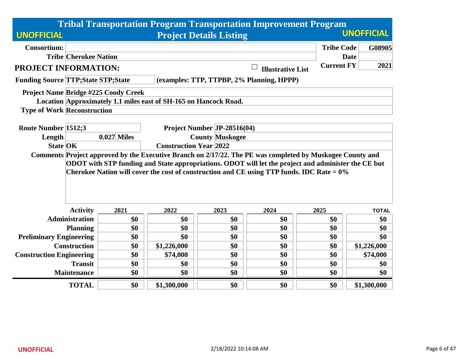|                                                                                                                                                       |                               |             |                                                       | <b>Tribal Transportation Program Transportation Improvement Program</b>                              |                   |                       |
|-------------------------------------------------------------------------------------------------------------------------------------------------------|-------------------------------|-------------|-------------------------------------------------------|------------------------------------------------------------------------------------------------------|-------------------|-----------------------|
| <b>UNOFFICIAL</b>                                                                                                                                     |                               |             | <b>Project Details Listing</b>                        |                                                                                                      |                   | <b>UNOFFICIAL</b>     |
| <b>Consortium:</b><br><b>Tribe Cherokee Nation</b>                                                                                                    |                               |             |                                                       |                                                                                                      | <b>Tribe Code</b> | G08905<br><b>Date</b> |
| <b>PROJECT INFORMATION:</b>                                                                                                                           |                               |             |                                                       | <b>Illustrative List</b>                                                                             | <b>Current FY</b> | 2021                  |
| <b>Funding Source TTP; State STP; State</b>                                                                                                           |                               |             |                                                       |                                                                                                      |                   |                       |
| <b>Project Name Bridge #225 Coody Creek</b><br>Location Approximately 1.1 miles east of SH-165 on Hancock Road.<br><b>Type of Work Reconstruction</b> |                               |             |                                                       |                                                                                                      |                   |                       |
| Route Number 1512;3<br>Length                                                                                                                         | $0.027$ Miles                 |             | Project Number JP-28516(04)<br><b>County Muskogee</b> |                                                                                                      |                   |                       |
| <b>State OK</b>                                                                                                                                       | <b>Construction Year 2022</b> |             |                                                       |                                                                                                      |                   |                       |
| Comments Project approved by the Executive Branch on 2/17/22. The PE was completed by Muskogee County and                                             |                               |             |                                                       |                                                                                                      |                   |                       |
|                                                                                                                                                       |                               |             |                                                       | ODOT with STP funding and State appropriations. ODOT will let the project and administer the CE but  |                   |                       |
| <b>Activity</b>                                                                                                                                       | 2021                          | 2022        | 2023                                                  | Cherokee Nation will cover the cost of construction and CE using TTP funds. IDC Rate = $0\%$<br>2024 | 2025              | <b>TOTAL</b>          |
| <b>Administration</b>                                                                                                                                 | \$0                           | \$0         | \$0                                                   | \$0                                                                                                  | \$0               | \$0                   |
| <b>Planning</b>                                                                                                                                       | \$0                           | \$0         | \$0                                                   | \$0                                                                                                  | \$0               | \$0                   |
| <b>Preliminary Engineering</b>                                                                                                                        | \$0                           | \$0         | \$0                                                   | \$0                                                                                                  | \$0               | \$0                   |
| <b>Construction</b>                                                                                                                                   | \$0                           | \$1,226,000 | \$0                                                   | \$0                                                                                                  | \$0               | \$1,226,000           |
| <b>Construction Engineering</b>                                                                                                                       | \$0                           | \$74,000    | \$0                                                   | \$0                                                                                                  | \$0               | \$74,000              |
| <b>Transit</b>                                                                                                                                        | \$0                           | \$0         | \$0                                                   | \$0                                                                                                  | \$0               | \$0                   |
| <b>Maintenance</b>                                                                                                                                    | \$0                           | \$0         | \$0                                                   | \$0                                                                                                  | \$0               | \$0                   |
| <b>TOTAL</b>                                                                                                                                          | \$0                           | \$1,300,000 | \$0                                                   | \$0                                                                                                  | \$0               | \$1,300,000           |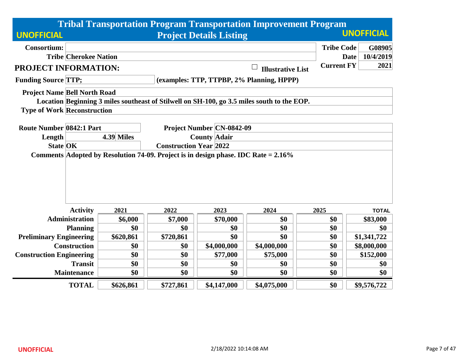| <b>Tribal Transportation Program Transportation Improvement Program</b>                    |            |                               |                                           |                          |                   |                          |  |  |  |
|--------------------------------------------------------------------------------------------|------------|-------------------------------|-------------------------------------------|--------------------------|-------------------|--------------------------|--|--|--|
| <b>UNOFFICIAL</b>                                                                          |            |                               | <b>Project Details Listing</b>            |                          |                   | <b>UNOFFICIAL</b>        |  |  |  |
| <b>Consortium:</b>                                                                         |            |                               |                                           |                          | <b>Tribe Code</b> | G08905                   |  |  |  |
| <b>Tribe Cherokee Nation</b>                                                               |            |                               |                                           |                          |                   | 10/4/2019<br><b>Date</b> |  |  |  |
| <b>PROJECT INFORMATION:</b>                                                                |            |                               |                                           | <b>Illustrative List</b> | <b>Current FY</b> | 2021                     |  |  |  |
| <b>Funding Source TTP;</b>                                                                 |            |                               | (examples: TTP, TTPBP, 2% Planning, HPPP) |                          |                   |                          |  |  |  |
| <b>Project Name Bell North Road</b>                                                        |            |                               |                                           |                          |                   |                          |  |  |  |
| Location Beginning 3 miles southeast of Stilwell on SH-100, go 3.5 miles south to the EOP. |            |                               |                                           |                          |                   |                          |  |  |  |
| <b>Type of Work Reconstruction</b>                                                         |            |                               |                                           |                          |                   |                          |  |  |  |
| <b>Route Number 0842:1 Part</b>                                                            |            |                               | <b>Project Number CN-0842-09</b>          |                          |                   |                          |  |  |  |
| Length                                                                                     | 4.39 Miles |                               | <b>County Adair</b>                       |                          |                   |                          |  |  |  |
| <b>State OK</b>                                                                            |            | <b>Construction Year 2022</b> |                                           |                          |                   |                          |  |  |  |
| Comments Adopted by Resolution 74-09. Project is in design phase. IDC Rate = 2.16%         |            |                               |                                           |                          |                   |                          |  |  |  |
|                                                                                            |            |                               |                                           |                          |                   |                          |  |  |  |
|                                                                                            |            |                               |                                           |                          |                   |                          |  |  |  |
|                                                                                            |            |                               |                                           |                          |                   |                          |  |  |  |
|                                                                                            |            |                               |                                           |                          |                   |                          |  |  |  |
| <b>Activity</b>                                                                            | 2021       | 2022                          | 2023                                      | 2024                     | 2025              | <b>TOTAL</b>             |  |  |  |
| <b>Administration</b>                                                                      | \$6,000    | \$7,000                       | \$70,000                                  | \$0                      | \$0               | \$83,000                 |  |  |  |
| <b>Planning</b>                                                                            | \$0        | \$0                           | \$0                                       | \$0                      | \$0               | \$0                      |  |  |  |
| <b>Preliminary Engineering</b>                                                             | \$620,861  | \$720,861                     | \$0                                       | \$0                      | \$0               | \$1,341,722              |  |  |  |
| <b>Construction</b>                                                                        | \$0        | \$0                           | \$4,000,000                               | \$4,000,000              | \$0               | \$8,000,000              |  |  |  |
| <b>Construction Engineering</b>                                                            | \$0        | \$0                           | \$77,000                                  | \$75,000                 | \$0               | \$152,000                |  |  |  |
| <b>Transit</b>                                                                             | \$0        | \$0                           | \$0                                       | \$0                      | \$0               | \$0                      |  |  |  |
| <b>Maintenance</b>                                                                         | \$0        | \$0                           | \$0                                       | \$0                      | \$0               | \$0                      |  |  |  |
| <b>TOTAL</b>                                                                               | \$626,861  | \$727,861                     | \$4,147,000                               | \$4,075,000              | \$0               | \$9,576,722              |  |  |  |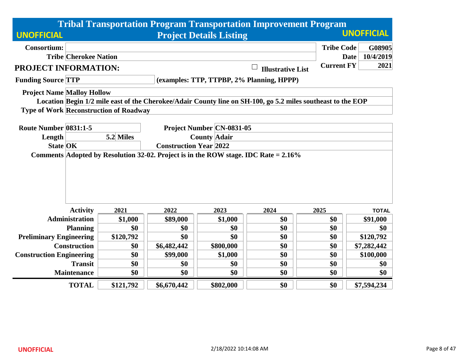|                                   |                                                                                        |                                               |                               |                                  | <b>Tribal Transportation Program Transportation Improvement Program</b>                                     |                   |                          |  |
|-----------------------------------|----------------------------------------------------------------------------------------|-----------------------------------------------|-------------------------------|----------------------------------|-------------------------------------------------------------------------------------------------------------|-------------------|--------------------------|--|
| <b>UNOFFICIAL</b>                 |                                                                                        |                                               |                               | <b>Project Details Listing</b>   |                                                                                                             | <b>UNOFFICIAL</b> |                          |  |
| <b>Consortium:</b>                |                                                                                        |                                               |                               |                                  |                                                                                                             | <b>Tribe Code</b> | G08905                   |  |
|                                   | <b>Tribe Cherokee Nation</b>                                                           |                                               |                               |                                  |                                                                                                             |                   | 10/4/2019<br><b>Date</b> |  |
| PROJECT INFORMATION:              |                                                                                        |                                               |                               |                                  | <b>Illustrative List</b>                                                                                    | <b>Current FY</b> | 2021                     |  |
| <b>Funding Source TTP</b>         |                                                                                        |                                               |                               |                                  | (examples: TTP, TTPBP, 2% Planning, HPPP)                                                                   |                   |                          |  |
| <b>Project Name Malloy Hollow</b> |                                                                                        |                                               |                               |                                  |                                                                                                             |                   |                          |  |
|                                   |                                                                                        |                                               |                               |                                  | Location Begin 1/2 mile east of the Cherokee/Adair County line on SH-100, go 5.2 miles southeast to the EOP |                   |                          |  |
|                                   |                                                                                        | <b>Type of Work Reconstruction of Roadway</b> |                               |                                  |                                                                                                             |                   |                          |  |
| Route Number 0831:1-5             |                                                                                        |                                               |                               | <b>Project Number CN-0831-05</b> |                                                                                                             |                   |                          |  |
| Length                            |                                                                                        | 5.2 Miles                                     |                               | <b>County Adair</b>              |                                                                                                             |                   |                          |  |
| <b>State OK</b>                   |                                                                                        |                                               | <b>Construction Year 2022</b> |                                  |                                                                                                             |                   |                          |  |
|                                   | Comments Adopted by Resolution 32-02. Project is in the ROW stage. IDC Rate $= 2.16\%$ |                                               |                               |                                  |                                                                                                             |                   |                          |  |
|                                   |                                                                                        |                                               |                               |                                  |                                                                                                             |                   |                          |  |
|                                   |                                                                                        |                                               |                               |                                  |                                                                                                             |                   |                          |  |
|                                   |                                                                                        |                                               |                               |                                  |                                                                                                             |                   |                          |  |
|                                   |                                                                                        |                                               |                               |                                  |                                                                                                             |                   |                          |  |
|                                   | <b>Activity</b>                                                                        | 2021                                          | 2022                          | 2023                             | 2024                                                                                                        | 2025              | <b>TOTAL</b>             |  |
|                                   | <b>Administration</b>                                                                  | \$1,000                                       | \$89,000                      | \$1,000                          | \$0                                                                                                         | \$0               | \$91,000                 |  |
|                                   | <b>Planning</b>                                                                        | \$0                                           | \$0                           | \$0                              | \$0                                                                                                         | \$0               | \$0                      |  |
| <b>Preliminary Engineering</b>    |                                                                                        | \$120,792                                     | \$0                           | \$0                              | \$0                                                                                                         | \$0               | \$120,792                |  |
|                                   | <b>Construction</b>                                                                    | \$0                                           | \$6,482,442                   | \$800,000                        | \$0                                                                                                         | \$0               | \$7,282,442              |  |
| <b>Construction Engineering</b>   |                                                                                        | \$0                                           | \$99,000                      | \$1,000                          | \$0                                                                                                         | \$0               | \$100,000                |  |
|                                   | <b>Transit</b>                                                                         | \$0                                           | \$0                           | \$0                              | \$0                                                                                                         | \$0               | \$0                      |  |
|                                   | <b>Maintenance</b>                                                                     | \$0                                           | \$0                           | \$0                              | \$0                                                                                                         | \$0               | \$0                      |  |
|                                   | <b>TOTAL</b>                                                                           | \$121,792                                     | \$6,670,442                   | \$802,000                        | \$0                                                                                                         | \$0               | \$7,594,234              |  |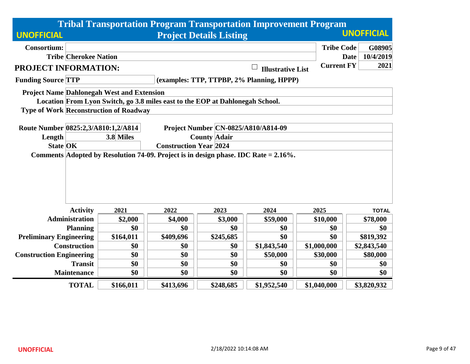|                                                                                         | <b>Tribal Transportation Program Transportation Improvement Program</b> |                                |                     |           |                                           |             |                   |                   |
|-----------------------------------------------------------------------------------------|-------------------------------------------------------------------------|--------------------------------|---------------------|-----------|-------------------------------------------|-------------|-------------------|-------------------|
| <b>UNOFFICIAL</b>                                                                       |                                                                         | <b>Project Details Listing</b> |                     |           |                                           |             |                   | <b>UNOFFICIAL</b> |
| <b>Consortium:</b>                                                                      |                                                                         |                                |                     |           |                                           |             | <b>Tribe Code</b> | G08905            |
| <b>Tribe Cherokee Nation</b>                                                            |                                                                         |                                |                     |           |                                           |             | <b>Date</b>       | 10/4/2019         |
| PROJECT INFORMATION:                                                                    |                                                                         |                                |                     |           | <b>Illustrative List</b>                  |             | <b>Current FY</b> | 2021              |
| <b>Funding Source TTP</b>                                                               |                                                                         |                                |                     |           | (examples: TTP, TTPBP, 2% Planning, HPPP) |             |                   |                   |
| <b>Project Name Dahlonegah West and Extension</b>                                       |                                                                         |                                |                     |           |                                           |             |                   |                   |
| Location From Lyon Switch, go 3.8 miles east to the EOP at Dahlonegah School.           |                                                                         |                                |                     |           |                                           |             |                   |                   |
| <b>Type of Work Reconstruction of Roadway</b>                                           |                                                                         |                                |                     |           |                                           |             |                   |                   |
|                                                                                         |                                                                         |                                |                     |           |                                           |             |                   |                   |
| Route Number 0825:2,3/A810:1,2/A814                                                     |                                                                         |                                |                     |           | Project Number CN-0825/A810/A814-09       |             |                   |                   |
| Length                                                                                  | 3.8 Miles                                                               |                                | <b>County Adair</b> |           |                                           |             |                   |                   |
| <b>State OK</b>                                                                         |                                                                         | <b>Construction Year 2024</b>  |                     |           |                                           |             |                   |                   |
| Comments Adopted by Resolution 74-09. Project is in design phase. IDC Rate = $2.16\%$ . |                                                                         |                                |                     |           |                                           |             |                   |                   |
|                                                                                         |                                                                         |                                |                     |           |                                           |             |                   |                   |
|                                                                                         |                                                                         |                                |                     |           |                                           |             |                   |                   |
|                                                                                         |                                                                         |                                |                     |           |                                           |             |                   |                   |
|                                                                                         |                                                                         |                                |                     |           |                                           |             |                   |                   |
| <b>Activity</b>                                                                         | 2021                                                                    | 2022                           |                     | 2023      | 2024                                      | 2025        |                   | <b>TOTAL</b>      |
| <b>Administration</b>                                                                   | \$2,000                                                                 | \$4,000                        |                     | \$3,000   | \$59,000                                  | \$10,000    |                   | \$78,000          |
| <b>Planning</b>                                                                         | \$0                                                                     | \$0                            |                     | \$0       | \$0                                       | \$0         |                   | \$0               |
| <b>Preliminary Engineering</b>                                                          | \$164,011                                                               | \$409,696                      |                     | \$245,685 | \$0                                       | \$0         |                   | \$819,392         |
| <b>Construction</b>                                                                     | \$0                                                                     | \$0                            |                     | \$0       | \$1,843,540                               | \$1,000,000 |                   | \$2,843,540       |
| <b>Construction Engineering</b>                                                         | \$0                                                                     | \$0                            |                     | \$0       | \$50,000                                  | \$30,000    |                   | \$80,000          |
| <b>Transit</b>                                                                          | \$0                                                                     | \$0                            |                     | \$0       | \$0                                       | \$0         |                   | \$0               |
| <b>Maintenance</b>                                                                      | \$0                                                                     | \$0                            |                     | \$0       | \$0                                       | \$0         |                   | \$0               |
| <b>TOTAL</b>                                                                            | \$166,011                                                               | \$413,696                      |                     | \$248,685 | \$1,952,540                               | \$1,040,000 |                   | \$3,820,932       |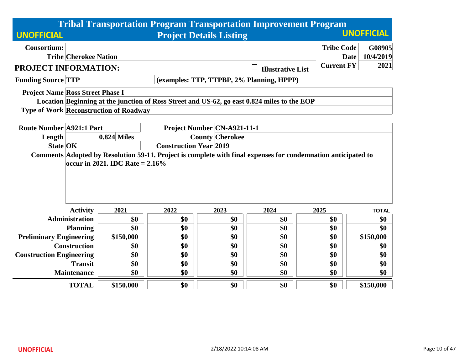|                                         |                              |                                               |                               | <b>Tribal Transportation Program Transportation Improvement Program</b>                                       |                          |                   |                          |  |  |
|-----------------------------------------|------------------------------|-----------------------------------------------|-------------------------------|---------------------------------------------------------------------------------------------------------------|--------------------------|-------------------|--------------------------|--|--|
| <b>UNOFFICIAL</b>                       |                              |                                               |                               | <b>Project Details Listing</b>                                                                                |                          |                   | <b>UNOFFICIAL</b>        |  |  |
| <b>Consortium:</b>                      |                              |                                               |                               |                                                                                                               |                          | <b>Tribe Code</b> | G08905                   |  |  |
|                                         | <b>Tribe Cherokee Nation</b> |                                               |                               |                                                                                                               |                          |                   | 10/4/2019<br><b>Date</b> |  |  |
| PROJECT INFORMATION:                    |                              |                                               |                               |                                                                                                               | <b>Illustrative List</b> | <b>Current FY</b> | 2021                     |  |  |
| <b>Funding Source TTP</b>               |                              |                                               |                               | (examples: TTP, TTPBP, 2% Planning, HPPP)                                                                     |                          |                   |                          |  |  |
| <b>Project Name Ross Street Phase I</b> |                              |                                               |                               |                                                                                                               |                          |                   |                          |  |  |
|                                         |                              |                                               |                               | Location Beginning at the junction of Ross Street and US-62, go east 0.824 miles to the EOP                   |                          |                   |                          |  |  |
|                                         |                              | <b>Type of Work Reconstruction of Roadway</b> |                               |                                                                                                               |                          |                   |                          |  |  |
|                                         |                              |                                               |                               |                                                                                                               |                          |                   |                          |  |  |
| <b>Route Number A921:1 Part</b>         |                              |                                               |                               | Project Number CN-A921-11-1                                                                                   |                          |                   |                          |  |  |
| Length                                  |                              | <b>0.824 Miles</b>                            |                               | <b>County Cherokee</b>                                                                                        |                          |                   |                          |  |  |
| <b>State OK</b>                         |                              |                                               | <b>Construction Year 2019</b> |                                                                                                               |                          |                   |                          |  |  |
|                                         |                              | occur in 2021. IDC Rate = $2.16\%$            |                               | Comments Adopted by Resolution 59-11. Project is complete with final expenses for condemnation anticipated to |                          |                   |                          |  |  |
|                                         | <b>Activity</b>              | 2021                                          | 2022                          | 2023                                                                                                          | 2024                     | 2025              | <b>TOTAL</b>             |  |  |
|                                         | <b>Administration</b>        | \$0                                           | \$0                           | \$0                                                                                                           | \$0                      | \$0               | \$0                      |  |  |
|                                         | <b>Planning</b>              | \$0                                           | \$0                           | \$0                                                                                                           | \$0                      | \$0               | \$0                      |  |  |
| <b>Preliminary Engineering</b>          |                              | \$150,000                                     | \$0                           | \$0                                                                                                           | \$0                      | \$0               | \$150,000                |  |  |
|                                         | <b>Construction</b>          | \$0                                           | \$0                           | \$0                                                                                                           | \$0                      | \$0               | \$0                      |  |  |
| <b>Construction Engineering</b>         |                              | \$0                                           | \$0                           | \$0                                                                                                           | \$0                      | \$0               | \$0                      |  |  |
|                                         | <b>Transit</b>               | \$0                                           | \$0                           | \$0                                                                                                           | \$0                      | \$0               | \$0                      |  |  |
|                                         | <b>Maintenance</b>           | \$0                                           | \$0                           | \$0                                                                                                           | \$0                      | \$0               | \$0                      |  |  |
|                                         | <b>TOTAL</b>                 | \$150,000                                     | \$0                           | \$0                                                                                                           | \$0                      | \$0               | \$150,000                |  |  |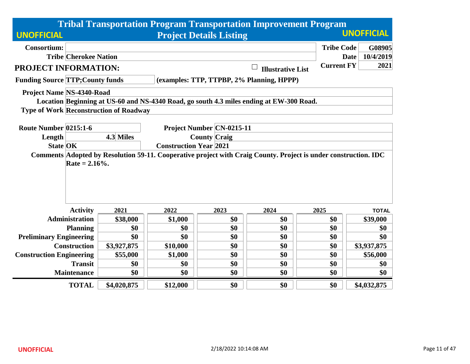|                                         |                                                                                                                 |                                               |          |                                  | <b>Tribal Transportation Program Transportation Improvement Program</b>                 |                   |                          |  |  |
|-----------------------------------------|-----------------------------------------------------------------------------------------------------------------|-----------------------------------------------|----------|----------------------------------|-----------------------------------------------------------------------------------------|-------------------|--------------------------|--|--|
| <b>UNOFFICIAL</b>                       |                                                                                                                 |                                               |          | <b>Project Details Listing</b>   |                                                                                         |                   | <b>UNOFFICIAL</b>        |  |  |
| <b>Consortium:</b>                      |                                                                                                                 |                                               |          |                                  |                                                                                         | <b>Tribe Code</b> | G08905                   |  |  |
|                                         | <b>Tribe Cherokee Nation</b>                                                                                    |                                               |          |                                  |                                                                                         |                   | 10/4/2019<br><b>Date</b> |  |  |
| PROJECT INFORMATION:                    |                                                                                                                 |                                               |          |                                  | <b>Illustrative List</b>                                                                | <b>Current FY</b> | 2021                     |  |  |
| <b>Funding Source TTP; County funds</b> |                                                                                                                 |                                               |          |                                  | (examples: TTP, TTPBP, 2% Planning, HPPP)                                               |                   |                          |  |  |
| <b>Project Name NS-4340-Road</b>        |                                                                                                                 |                                               |          |                                  |                                                                                         |                   |                          |  |  |
|                                         |                                                                                                                 |                                               |          |                                  | Location Beginning at US-60 and NS-4340 Road, go south 4.3 miles ending at EW-300 Road. |                   |                          |  |  |
|                                         |                                                                                                                 | <b>Type of Work Reconstruction of Roadway</b> |          |                                  |                                                                                         |                   |                          |  |  |
|                                         |                                                                                                                 |                                               |          |                                  |                                                                                         |                   |                          |  |  |
| Route Number 0215:1-6                   |                                                                                                                 |                                               |          | <b>Project Number CN-0215-11</b> |                                                                                         |                   |                          |  |  |
| Length                                  |                                                                                                                 | 4.3 Miles<br><b>County Craig</b>              |          |                                  |                                                                                         |                   |                          |  |  |
|                                         | <b>State OK</b><br><b>Construction Year 2021</b>                                                                |                                               |          |                                  |                                                                                         |                   |                          |  |  |
|                                         | Comments Adopted by Resolution 59-11. Cooperative project with Craig County. Project is under construction. IDC |                                               |          |                                  |                                                                                         |                   |                          |  |  |
|                                         | Rate = $2.16%$ .                                                                                                |                                               |          |                                  |                                                                                         |                   |                          |  |  |
|                                         |                                                                                                                 |                                               |          |                                  |                                                                                         |                   |                          |  |  |
|                                         |                                                                                                                 |                                               |          |                                  |                                                                                         |                   |                          |  |  |
|                                         |                                                                                                                 |                                               |          |                                  |                                                                                         |                   |                          |  |  |
|                                         |                                                                                                                 |                                               |          |                                  |                                                                                         |                   |                          |  |  |
|                                         | <b>Activity</b>                                                                                                 | 2021                                          | 2022     | 2023                             | 2024                                                                                    | 2025              | <b>TOTAL</b>             |  |  |
|                                         | <b>Administration</b>                                                                                           | \$38,000                                      | \$1,000  | \$0                              | \$0                                                                                     | \$0               | \$39,000                 |  |  |
|                                         | <b>Planning</b>                                                                                                 | \$0                                           | \$0      | \$0                              | \$0                                                                                     | \$0               | \$0                      |  |  |
| <b>Preliminary Engineering</b>          |                                                                                                                 | \$0                                           | \$0      | \$0                              | \$0                                                                                     | \$0               | \$0                      |  |  |
|                                         | <b>Construction</b>                                                                                             | \$3,927,875                                   | \$10,000 | \$0                              | \$0                                                                                     | \$0               | \$3,937,875              |  |  |
| <b>Construction Engineering</b>         |                                                                                                                 | \$55,000                                      | \$1,000  | \$0                              | \$0                                                                                     | \$0               | \$56,000                 |  |  |
|                                         | <b>Transit</b>                                                                                                  | \$0<br>\$0<br>\$0<br>\$0<br>\$0<br>\$0        |          |                                  |                                                                                         |                   |                          |  |  |
|                                         | <b>Maintenance</b>                                                                                              | \$0                                           | \$0      | \$0                              | \$0                                                                                     | \$0               | \$0                      |  |  |
|                                         | <b>TOTAL</b>                                                                                                    | \$4,020,875                                   | \$12,000 | \$0                              | \$0                                                                                     | \$0               | \$4,032,875              |  |  |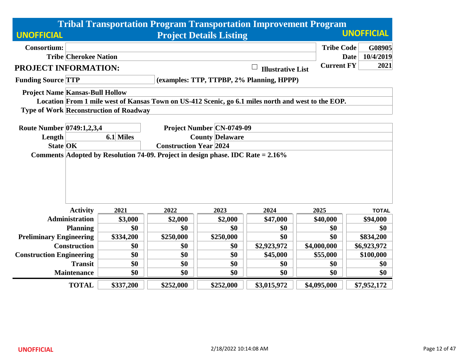|                                        |                                                                                 |                                               |                               |                                | <b>Tribal Transportation Program Transportation Improvement Program</b>                            |                   |                          |  |  |
|----------------------------------------|---------------------------------------------------------------------------------|-----------------------------------------------|-------------------------------|--------------------------------|----------------------------------------------------------------------------------------------------|-------------------|--------------------------|--|--|
| <b>UNOFFICIAL</b>                      |                                                                                 |                                               |                               | <b>Project Details Listing</b> |                                                                                                    |                   | <b>UNOFFICIAL</b>        |  |  |
| <b>Consortium:</b>                     |                                                                                 |                                               |                               |                                |                                                                                                    | <b>Tribe Code</b> | G08905                   |  |  |
|                                        | <b>Tribe Cherokee Nation</b>                                                    |                                               |                               |                                |                                                                                                    |                   | 10/4/2019<br><b>Date</b> |  |  |
| <b>PROJECT INFORMATION:</b>            |                                                                                 |                                               |                               |                                | <b>Illustrative List</b>                                                                           | <b>Current FY</b> | 2021                     |  |  |
| <b>Funding Source TTP</b>              |                                                                                 |                                               |                               |                                | (examples: TTP, TTPBP, 2% Planning, HPPP)                                                          |                   |                          |  |  |
| <b>Project Name Kansas-Bull Hollow</b> |                                                                                 |                                               |                               |                                |                                                                                                    |                   |                          |  |  |
|                                        |                                                                                 |                                               |                               |                                | Location From 1 mile west of Kansas Town on US-412 Scenic, go 6.1 miles north and west to the EOP. |                   |                          |  |  |
|                                        |                                                                                 | <b>Type of Work Reconstruction of Roadway</b> |                               |                                |                                                                                                    |                   |                          |  |  |
| Route Number 0749:1,2,3,4              |                                                                                 |                                               |                               | Project Number CN-0749-09      |                                                                                                    |                   |                          |  |  |
| Length                                 |                                                                                 | 6.1 Miles                                     |                               | <b>County Delaware</b>         |                                                                                                    |                   |                          |  |  |
| <b>State OK</b>                        |                                                                                 |                                               | <b>Construction Year 2024</b> |                                |                                                                                                    |                   |                          |  |  |
|                                        | Comments Adopted by Resolution 74-09. Project in design phase. IDC Rate = 2.16% |                                               |                               |                                |                                                                                                    |                   |                          |  |  |
|                                        |                                                                                 |                                               |                               |                                |                                                                                                    |                   |                          |  |  |
|                                        |                                                                                 |                                               |                               |                                |                                                                                                    |                   |                          |  |  |
|                                        |                                                                                 |                                               |                               |                                |                                                                                                    |                   |                          |  |  |
|                                        |                                                                                 |                                               |                               |                                |                                                                                                    |                   |                          |  |  |
|                                        |                                                                                 |                                               |                               |                                |                                                                                                    |                   |                          |  |  |
|                                        | <b>Activity</b>                                                                 | 2021                                          | 2022                          | 2023                           | 2024                                                                                               | 2025              | <b>TOTAL</b>             |  |  |
|                                        | <b>Administration</b>                                                           | \$3,000                                       | \$2,000                       | \$2,000                        | \$47,000                                                                                           | \$40,000          | \$94,000                 |  |  |
|                                        | <b>Planning</b>                                                                 | \$0                                           | \$0                           | \$0                            | \$0                                                                                                | \$0               | \$0                      |  |  |
| <b>Preliminary Engineering</b>         |                                                                                 | \$334,200                                     | \$250,000                     | \$250,000                      | \$0                                                                                                | \$0               | \$834,200                |  |  |
|                                        | <b>Construction</b>                                                             | \$0                                           | \$0                           | \$0                            | \$2,923,972                                                                                        | \$4,000,000       | \$6,923,972              |  |  |
| <b>Construction Engineering</b>        |                                                                                 | \$0                                           | \$0                           | \$0                            | \$45,000                                                                                           | \$55,000          | \$100,000                |  |  |
|                                        | <b>Transit</b>                                                                  | \$0                                           | \$0                           | \$0                            | \$0                                                                                                | \$0               | \$0                      |  |  |
|                                        | <b>Maintenance</b>                                                              | \$0                                           | \$0                           | \$0                            | \$0                                                                                                | \$0               | \$0                      |  |  |
|                                        | <b>TOTAL</b>                                                                    | \$337,200                                     | \$252,000                     | \$252,000                      | \$3,015,972                                                                                        | \$4,095,000       | \$7,952,172              |  |  |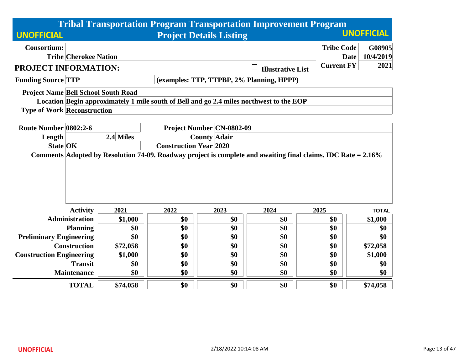|                                            |                              |           |                               |                                                         | <b>Tribal Transportation Program Transportation Improvement Program</b>                                       |                   |                          |
|--------------------------------------------|------------------------------|-----------|-------------------------------|---------------------------------------------------------|---------------------------------------------------------------------------------------------------------------|-------------------|--------------------------|
| <b>UNOFFICIAL</b>                          |                              |           |                               | <b>Project Details Listing</b>                          |                                                                                                               |                   | <b>UNOFFICIAL</b>        |
| <b>Consortium:</b>                         |                              |           |                               |                                                         |                                                                                                               | <b>Tribe Code</b> | G08905                   |
|                                            | <b>Tribe Cherokee Nation</b> |           |                               |                                                         |                                                                                                               |                   | 10/4/2019<br><b>Date</b> |
| PROJECT INFORMATION:                       |                              |           |                               |                                                         | <b>Illustrative List</b>                                                                                      | <b>Current FY</b> | 2021                     |
| <b>Funding Source TTP</b>                  |                              |           |                               |                                                         | (examples: TTP, TTPBP, 2% Planning, HPPP)                                                                     |                   |                          |
| <b>Project Name Bell School South Road</b> |                              |           |                               |                                                         |                                                                                                               |                   |                          |
|                                            |                              |           |                               |                                                         | Location Begin approximately 1 mile south of Bell and go 2.4 miles northwest to the EOP                       |                   |                          |
| <b>Type of Work Reconstruction</b>         |                              |           |                               |                                                         |                                                                                                               |                   |                          |
|                                            |                              |           |                               |                                                         |                                                                                                               |                   |                          |
| Route Number 0802:2-6                      |                              | 2.4 Miles |                               | <b>Project Number CN-0802-09</b><br><b>County Adair</b> |                                                                                                               |                   |                          |
| Length<br><b>State OK</b>                  |                              |           | <b>Construction Year 2020</b> |                                                         |                                                                                                               |                   |                          |
|                                            |                              |           |                               |                                                         | Comments Adopted by Resolution 74-09. Roadway project is complete and awaiting final claims. IDC Rate = 2.16% |                   |                          |
|                                            |                              |           |                               |                                                         |                                                                                                               |                   |                          |
|                                            | <b>Activity</b>              | 2021      | 2022                          | 2023                                                    | 2024                                                                                                          | 2025              | <b>TOTAL</b>             |
|                                            | <b>Administration</b>        | \$1,000   | \$0                           | \$0                                                     | \$0                                                                                                           | \$0               | \$1,000                  |
|                                            | <b>Planning</b>              | \$0       | \$0                           | \$0                                                     | \$0                                                                                                           | \$0               | \$0                      |
| <b>Preliminary Engineering</b>             |                              | \$0       | \$0                           | \$0                                                     | \$0                                                                                                           | \$0               | \$0                      |
|                                            | <b>Construction</b>          | \$72,058  | \$0                           | \$0                                                     | \$0                                                                                                           | \$0               | \$72,058                 |
| <b>Construction Engineering</b>            |                              | \$1,000   | \$0                           | \$0                                                     | \$0                                                                                                           | \$0               | \$1,000                  |
|                                            | <b>Transit</b>               | \$0       | \$0                           | \$0                                                     | \$0                                                                                                           | \$0               | \$0                      |
|                                            | <b>Maintenance</b>           | \$0       | \$0                           | \$0                                                     | \$0                                                                                                           | \$0               | \$0                      |
|                                            | <b>TOTAL</b>                 | \$74,058  | \$0                           | \$0                                                     | \$0                                                                                                           | \$0               | \$74,058                 |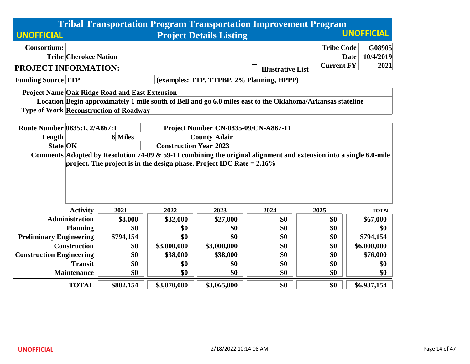|                                 |                               |                                                       |                                                                          |                                | <b>Tribal Transportation Program Transportation Improvement Program</b>                                            |                   |                   |  |
|---------------------------------|-------------------------------|-------------------------------------------------------|--------------------------------------------------------------------------|--------------------------------|--------------------------------------------------------------------------------------------------------------------|-------------------|-------------------|--|
| <b>UNOFFICIAL</b>               |                               |                                                       |                                                                          | <b>Project Details Listing</b> |                                                                                                                    |                   | <b>UNOFFICIAL</b> |  |
| <b>Consortium:</b>              |                               |                                                       |                                                                          |                                |                                                                                                                    | <b>Tribe Code</b> | G08905            |  |
|                                 | <b>Tribe Cherokee Nation</b>  |                                                       |                                                                          |                                |                                                                                                                    | <b>Date</b>       | 10/4/2019         |  |
| PROJECT INFORMATION:            |                               |                                                       |                                                                          |                                | <b>Illustrative List</b>                                                                                           | <b>Current FY</b> | 2021              |  |
| <b>Funding Source TTP</b>       |                               |                                                       |                                                                          |                                | (examples: TTP, TTPBP, 2% Planning, HPPP)                                                                          |                   |                   |  |
|                                 |                               | <b>Project Name Oak Ridge Road and East Extension</b> |                                                                          |                                |                                                                                                                    |                   |                   |  |
|                                 |                               |                                                       |                                                                          |                                | Location Begin approximately 1 mile south of Bell and go 6.0 miles east to the Oklahoma/Arkansas stateline         |                   |                   |  |
|                                 |                               | <b>Type of Work Reconstruction of Roadway</b>         |                                                                          |                                |                                                                                                                    |                   |                   |  |
|                                 |                               |                                                       |                                                                          |                                |                                                                                                                    |                   |                   |  |
| Route Number 0835:1, 2/A867:1   |                               |                                                       |                                                                          |                                | Project Number CN-0835-09/CN-A867-11                                                                               |                   |                   |  |
| Length                          |                               | <b>6</b> Miles                                        |                                                                          | <b>County Adair</b>            |                                                                                                                    |                   |                   |  |
| <b>State OK</b>                 | <b>Construction Year 2023</b> |                                                       |                                                                          |                                |                                                                                                                    |                   |                   |  |
|                                 |                               |                                                       | project. The project is in the design phase. Project IDC Rate $= 2.16\%$ |                                | Comments Adopted by Resolution 74-09 & 59-11 combining the original alignment and extension into a single 6.0-mile |                   |                   |  |
|                                 |                               |                                                       |                                                                          |                                |                                                                                                                    |                   |                   |  |
|                                 |                               |                                                       |                                                                          |                                |                                                                                                                    |                   |                   |  |
|                                 |                               |                                                       |                                                                          |                                |                                                                                                                    |                   |                   |  |
|                                 |                               |                                                       |                                                                          |                                |                                                                                                                    |                   |                   |  |
|                                 | <b>Activity</b>               | 2021                                                  | 2022                                                                     | 2023                           | 2024                                                                                                               | 2025              | <b>TOTAL</b>      |  |
|                                 | <b>Administration</b>         | \$8,000                                               | \$32,000                                                                 | \$27,000                       | \$0                                                                                                                | \$0               | \$67,000          |  |
|                                 | <b>Planning</b>               | \$0                                                   | \$0                                                                      | \$0                            | \$0                                                                                                                | \$0               | \$0               |  |
| <b>Preliminary Engineering</b>  |                               | \$794,154                                             | \$0                                                                      | \$0                            | \$0                                                                                                                | \$0               | \$794,154         |  |
|                                 | <b>Construction</b>           | \$0                                                   | \$3,000,000                                                              | \$3,000,000                    | \$0                                                                                                                | \$0               | \$6,000,000       |  |
| <b>Construction Engineering</b> |                               | \$0                                                   | \$38,000                                                                 | \$38,000                       | \$0                                                                                                                | \$0               | \$76,000          |  |
|                                 | <b>Transit</b>                | \$0                                                   | \$0                                                                      | \$0                            | \$0                                                                                                                | \$0               | \$0               |  |
|                                 | <b>Maintenance</b>            | \$0                                                   | \$0                                                                      | \$0                            | \$0                                                                                                                | \$0               | \$0               |  |
|                                 | <b>TOTAL</b>                  | \$802,154                                             | \$3,070,000                                                              | \$3,065,000                    | \$0                                                                                                                | \$0               | \$6,937,154       |  |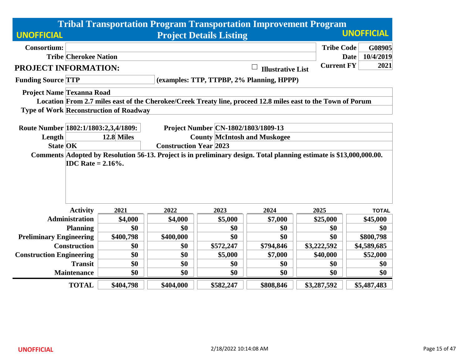|                                      |                                                                                                                     |                                                   |           | <b>Tribal Transportation Program Transportation Improvement Program</b>                                      |                                    |                   |                          |  |  |
|--------------------------------------|---------------------------------------------------------------------------------------------------------------------|---------------------------------------------------|-----------|--------------------------------------------------------------------------------------------------------------|------------------------------------|-------------------|--------------------------|--|--|
| <b>UNOFFICIAL</b>                    |                                                                                                                     |                                                   |           | <b>Project Details Listing</b>                                                                               |                                    |                   | <b>UNOFFICIAL</b>        |  |  |
| <b>Consortium:</b>                   |                                                                                                                     |                                                   |           |                                                                                                              |                                    | <b>Tribe Code</b> | G08905                   |  |  |
|                                      | <b>Tribe Cherokee Nation</b>                                                                                        |                                                   |           |                                                                                                              |                                    |                   | 10/4/2019<br><b>Date</b> |  |  |
| PROJECT INFORMATION:                 |                                                                                                                     |                                                   |           |                                                                                                              | $\Box$<br><b>Illustrative List</b> | <b>Current FY</b> | 2021                     |  |  |
| <b>Funding Source TTP</b>            |                                                                                                                     |                                                   |           | (examples: TTP, TTPBP, 2% Planning, HPPP)                                                                    |                                    |                   |                          |  |  |
|                                      | <b>Project Name Texanna Road</b>                                                                                    |                                                   |           |                                                                                                              |                                    |                   |                          |  |  |
|                                      |                                                                                                                     |                                                   |           | Location From 2.7 miles east of the Cherokee/Creek Treaty line, proceed 12.8 miles east to the Town of Porum |                                    |                   |                          |  |  |
|                                      |                                                                                                                     | <b>Type of Work Reconstruction of Roadway</b>     |           |                                                                                                              |                                    |                   |                          |  |  |
|                                      |                                                                                                                     |                                                   |           |                                                                                                              |                                    |                   |                          |  |  |
| Route Number 1802:1/1803:2,3,4/1809: |                                                                                                                     |                                                   |           | Project Number CN-1802/1803/1809-13                                                                          |                                    |                   |                          |  |  |
| Length                               |                                                                                                                     | 12.8 Miles<br><b>County McIntosh and Muskogee</b> |           |                                                                                                              |                                    |                   |                          |  |  |
| <b>State OK</b>                      | <b>Construction Year 2023</b>                                                                                       |                                                   |           |                                                                                                              |                                    |                   |                          |  |  |
|                                      | Comments Adopted by Resolution 56-13. Project is in preliminary design. Total planning estimate is \$13,000,000.00. |                                                   |           |                                                                                                              |                                    |                   |                          |  |  |
|                                      | <b>IDC</b> Rate = $2.16\%$ .                                                                                        |                                                   |           |                                                                                                              |                                    |                   |                          |  |  |
|                                      |                                                                                                                     |                                                   |           |                                                                                                              |                                    |                   |                          |  |  |
|                                      |                                                                                                                     |                                                   |           |                                                                                                              |                                    |                   |                          |  |  |
|                                      |                                                                                                                     |                                                   |           |                                                                                                              |                                    |                   |                          |  |  |
|                                      |                                                                                                                     |                                                   |           |                                                                                                              |                                    |                   |                          |  |  |
|                                      | <b>Activity</b>                                                                                                     | 2021                                              | 2022      | 2023                                                                                                         | 2024                               | 2025              | <b>TOTAL</b>             |  |  |
|                                      | <b>Administration</b>                                                                                               | \$4,000                                           | \$4,000   | \$5,000                                                                                                      | \$7,000                            | \$25,000          | \$45,000                 |  |  |
|                                      | <b>Planning</b>                                                                                                     | \$0                                               | \$0       | \$0                                                                                                          | \$0                                | \$0               | \$0                      |  |  |
| <b>Preliminary Engineering</b>       |                                                                                                                     | \$400,798                                         | \$400,000 | \$0                                                                                                          | \$0                                | \$0               | \$800,798                |  |  |
|                                      | <b>Construction</b>                                                                                                 | \$0                                               | \$0       | \$572,247                                                                                                    | \$794,846                          | \$3,222,592       | \$4,589,685              |  |  |
| <b>Construction Engineering</b>      |                                                                                                                     | \$0                                               | \$0       | \$5,000                                                                                                      | \$7,000                            | \$40,000          | \$52,000                 |  |  |
|                                      | <b>Transit</b>                                                                                                      | \$0                                               | \$0       | \$0                                                                                                          | \$0                                | \$0               | \$0                      |  |  |
|                                      | <b>Maintenance</b>                                                                                                  | \$0                                               | \$0       | \$0                                                                                                          | \$0                                | \$0               | \$0                      |  |  |
|                                      | <b>TOTAL</b>                                                                                                        | \$404,798                                         | \$404,000 | \$582,247                                                                                                    | \$808,846                          | \$3,287,592       | \$5,487,483              |  |  |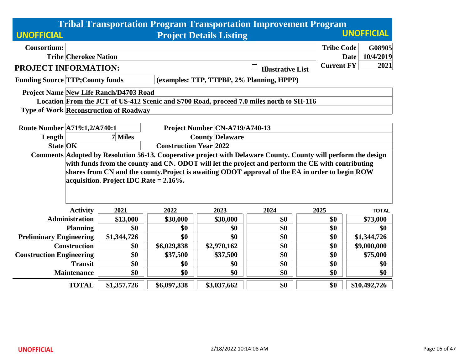|                                                                                                                |                                                     |             |                                | <b>Tribal Transportation Program Transportation Improvement Program</b>                           |                   |                          |  |  |  |
|----------------------------------------------------------------------------------------------------------------|-----------------------------------------------------|-------------|--------------------------------|---------------------------------------------------------------------------------------------------|-------------------|--------------------------|--|--|--|
| <b>UNOFFICIAL</b>                                                                                              | <b>UNOFFICIAL</b><br><b>Project Details Listing</b> |             |                                |                                                                                                   |                   |                          |  |  |  |
| <b>Consortium:</b>                                                                                             |                                                     |             |                                |                                                                                                   | <b>Tribe Code</b> | G08905                   |  |  |  |
| <b>Tribe Cherokee Nation</b>                                                                                   |                                                     |             |                                |                                                                                                   |                   | 10/4/2019<br><b>Date</b> |  |  |  |
| <b>PROJECT INFORMATION:</b>                                                                                    |                                                     |             |                                | <b>Illustrative List</b>                                                                          | <b>Current FY</b> | 2021                     |  |  |  |
| <b>Funding Source TTP; County funds</b>                                                                        |                                                     |             |                                | (examples: TTP, TTPBP, 2% Planning, HPPP)                                                         |                   |                          |  |  |  |
| <b>Project Name New Life Ranch/D4703 Road</b>                                                                  |                                                     |             |                                |                                                                                                   |                   |                          |  |  |  |
| Location From the JCT of US-412 Scenic and S700 Road, proceed 7.0 miles north to SH-116                        |                                                     |             |                                |                                                                                                   |                   |                          |  |  |  |
| <b>Type of Work Reconstruction of Roadway</b>                                                                  |                                                     |             |                                |                                                                                                   |                   |                          |  |  |  |
|                                                                                                                |                                                     |             |                                |                                                                                                   |                   |                          |  |  |  |
| Route Number A719:1,2/A740:1                                                                                   |                                                     |             | Project Number CN-A719/A740-13 |                                                                                                   |                   |                          |  |  |  |
| Length                                                                                                         | 7 Miles<br><b>County Delaware</b>                   |             |                                |                                                                                                   |                   |                          |  |  |  |
|                                                                                                                | <b>State OK</b><br><b>Construction Year 2022</b>    |             |                                |                                                                                                   |                   |                          |  |  |  |
| Comments Adopted by Resolution 56-13. Cooperative project with Delaware County. County will perform the design |                                                     |             |                                |                                                                                                   |                   |                          |  |  |  |
|                                                                                                                |                                                     |             |                                | with funds from the county and CN. ODOT will let the project and perform the CE with contributing |                   |                          |  |  |  |
|                                                                                                                |                                                     |             |                                | shares from CN and the county. Project is awaiting ODOT approval of the EA in order to begin ROW  |                   |                          |  |  |  |
|                                                                                                                | acquisition. Project IDC Rate $= 2.16\%$ .          |             |                                |                                                                                                   |                   |                          |  |  |  |
|                                                                                                                |                                                     |             |                                |                                                                                                   |                   |                          |  |  |  |
|                                                                                                                |                                                     |             |                                |                                                                                                   |                   |                          |  |  |  |
| <b>Activity</b>                                                                                                | 2021                                                | 2022        | 2023                           | 2024                                                                                              | 2025              | <b>TOTAL</b>             |  |  |  |
| <b>Administration</b>                                                                                          | \$13,000                                            | \$30,000    | \$30,000                       | \$0                                                                                               | \$0               | \$73,000                 |  |  |  |
| <b>Planning</b>                                                                                                | \$0                                                 | \$0         | \$0                            | \$0                                                                                               | \$0               | \$0                      |  |  |  |
| <b>Preliminary Engineering</b>                                                                                 | \$1,344,726                                         | \$0         | \$0                            | \$0                                                                                               | \$0               | \$1,344,726              |  |  |  |
| <b>Construction</b>                                                                                            | \$0                                                 | \$6,029,838 | \$2,970,162                    | \$0                                                                                               | \$0               | \$9,000,000              |  |  |  |
| <b>Construction Engineering</b>                                                                                | \$0                                                 | \$37,500    | \$37,500                       | \$0                                                                                               | \$0               | \$75,000                 |  |  |  |
| <b>Transit</b>                                                                                                 | \$0                                                 | \$0         | \$0                            | \$0                                                                                               | \$0               | \$0                      |  |  |  |
| <b>Maintenance</b>                                                                                             | \$0                                                 | \$0         | \$0                            | \$0                                                                                               | \$0               | \$0                      |  |  |  |
| <b>TOTAL</b>                                                                                                   | \$1,357,726                                         | \$6,097,338 | \$3,037,662                    | \$0                                                                                               | \$0               | \$10,492,726             |  |  |  |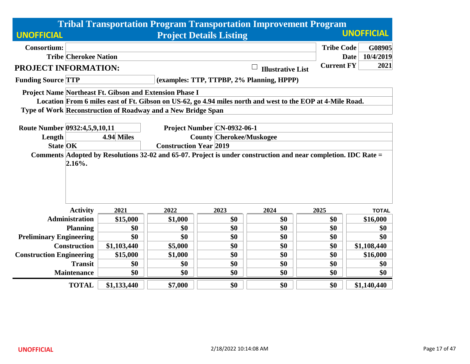|                                 |                              |                                                                  |                                                              |                                           |                          | <b>Tribal Transportation Program Transportation Improvement Program</b>                                        |              |  |  |  |
|---------------------------------|------------------------------|------------------------------------------------------------------|--------------------------------------------------------------|-------------------------------------------|--------------------------|----------------------------------------------------------------------------------------------------------------|--------------|--|--|--|
| <b>UNOFFICIAL</b>               |                              | <b>UNOFFICIAL</b><br><b>Project Details Listing</b>              |                                                              |                                           |                          |                                                                                                                |              |  |  |  |
| <b>Consortium:</b>              |                              |                                                                  |                                                              |                                           |                          | <b>Tribe Code</b>                                                                                              | G08905       |  |  |  |
|                                 | <b>Tribe Cherokee Nation</b> |                                                                  |                                                              |                                           |                          | <b>Date</b>                                                                                                    | 10/4/2019    |  |  |  |
| PROJECT INFORMATION:            |                              |                                                                  |                                                              |                                           | <b>Illustrative List</b> | <b>Current FY</b>                                                                                              | 2021         |  |  |  |
| <b>Funding Source TTP</b>       |                              |                                                                  |                                                              | (examples: TTP, TTPBP, 2% Planning, HPPP) |                          |                                                                                                                |              |  |  |  |
|                                 |                              |                                                                  | Project Name Northeast Ft. Gibson and Extension Phase I      |                                           |                          |                                                                                                                |              |  |  |  |
|                                 |                              |                                                                  |                                                              |                                           |                          | Location From 6 miles east of Ft. Gibson on US-62, go 4.94 miles north and west to the EOP at 4-Mile Road.     |              |  |  |  |
|                                 |                              |                                                                  | Type of Work Reconstruction of Roadway and a New Bridge Span |                                           |                          |                                                                                                                |              |  |  |  |
| Route Number 0932:4,5,9,10,11   |                              |                                                                  |                                                              | Project Number CN-0932-06-1               |                          |                                                                                                                |              |  |  |  |
| Length                          |                              | 4.94 Miles                                                       |                                                              |                                           |                          |                                                                                                                |              |  |  |  |
| <b>State OK</b>                 |                              | <b>County Cherokee/Muskogee</b><br><b>Construction Year 2019</b> |                                                              |                                           |                          |                                                                                                                |              |  |  |  |
|                                 | 2.16%.                       |                                                                  |                                                              |                                           |                          | Comments Adopted by Resolutions 32-02 and 65-07. Project is under construction and near completion. IDC Rate = |              |  |  |  |
|                                 | <b>Activity</b>              | 2021                                                             | 2022                                                         | 2023                                      | 2024                     | 2025                                                                                                           | <b>TOTAL</b> |  |  |  |
|                                 | <b>Administration</b>        | \$15,000                                                         | \$1,000                                                      | \$0                                       | \$0                      | \$0                                                                                                            | \$16,000     |  |  |  |
|                                 | <b>Planning</b>              | \$0                                                              | \$0                                                          | \$0                                       | \$0                      | \$0                                                                                                            | \$0          |  |  |  |
| <b>Preliminary Engineering</b>  |                              | \$0                                                              | \$0                                                          | \$0                                       | \$0                      | \$0                                                                                                            | \$0          |  |  |  |
|                                 | <b>Construction</b>          | \$1,103,440                                                      | \$5,000                                                      | \$0                                       | \$0                      | \$0                                                                                                            | \$1,108,440  |  |  |  |
| <b>Construction Engineering</b> |                              | \$15,000                                                         | \$1,000                                                      | \$0                                       | \$0                      | \$0                                                                                                            | \$16,000     |  |  |  |
|                                 | <b>Transit</b>               | \$0                                                              | \$0                                                          | \$0                                       | \$0                      | \$0                                                                                                            | \$0          |  |  |  |
|                                 | <b>Maintenance</b>           | \$0                                                              | \$0                                                          | \$0                                       | \$0                      | \$0                                                                                                            | \$0          |  |  |  |
|                                 | <b>TOTAL</b>                 | \$1,133,440                                                      | \$7,000                                                      | \$0                                       | \$0                      | \$0                                                                                                            | \$1,140,440  |  |  |  |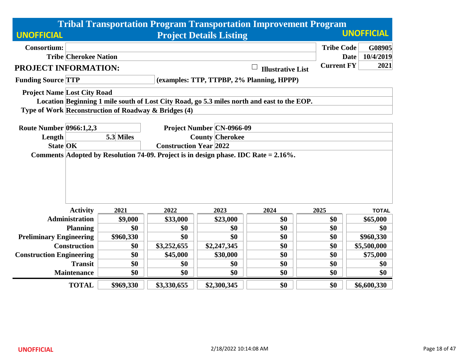|                                    |                                                          |                                                      |             |                                | <b>Tribal Transportation Program Transportation Improvement Program</b>                    |                   |                          |  |
|------------------------------------|----------------------------------------------------------|------------------------------------------------------|-------------|--------------------------------|--------------------------------------------------------------------------------------------|-------------------|--------------------------|--|
| <b>UNOFFICIAL</b>                  |                                                          |                                                      |             | <b>Project Details Listing</b> |                                                                                            |                   | <b>UNOFFICIAL</b>        |  |
| <b>Consortium:</b>                 |                                                          |                                                      |             |                                |                                                                                            | <b>Tribe Code</b> | G08905                   |  |
|                                    | <b>Tribe Cherokee Nation</b>                             |                                                      |             |                                |                                                                                            |                   | 10/4/2019<br><b>Date</b> |  |
| <b>PROJECT INFORMATION:</b>        |                                                          |                                                      |             |                                | $\Box$<br><b>Illustrative List</b>                                                         | <b>Current FY</b> | 2021                     |  |
| <b>Funding Source TTP</b>          |                                                          |                                                      |             |                                | (examples: TTP, TTPBP, 2% Planning, HPPP)                                                  |                   |                          |  |
| <b>Project Name Lost City Road</b> |                                                          |                                                      |             |                                |                                                                                            |                   |                          |  |
|                                    |                                                          |                                                      |             |                                | Location Beginning 1 mile south of Lost City Road, go 5.3 miles north and east to the EOP. |                   |                          |  |
|                                    |                                                          | Type of Work Reconstruction of Roadway & Bridges (4) |             |                                |                                                                                            |                   |                          |  |
|                                    |                                                          |                                                      |             |                                |                                                                                            |                   |                          |  |
| <b>Route Number 0966:1,2,3</b>     |                                                          |                                                      |             | Project Number   CN-0966-09    |                                                                                            |                   |                          |  |
| Length                             |                                                          | <b>County Cherokee</b><br>5.3 Miles                  |             |                                |                                                                                            |                   |                          |  |
|                                    | <b>State OK</b><br><b>Construction Year 2022</b>         |                                                      |             |                                |                                                                                            |                   |                          |  |
|                                    |                                                          |                                                      |             |                                | Comments Adopted by Resolution 74-09. Project is in design phase. IDC Rate = $2.16\%$ .    |                   |                          |  |
|                                    | <b>Activity</b>                                          | 2021                                                 | 2022        | 2023                           | 2024                                                                                       | 2025              | <b>TOTAL</b>             |  |
|                                    | <b>Administration</b>                                    | \$9,000                                              | \$33,000    | \$23,000                       | \$0                                                                                        | \$0               | \$65,000                 |  |
|                                    | <b>Planning</b>                                          | \$0                                                  | \$0         | \$0                            | \$0                                                                                        | \$0               | \$0                      |  |
| <b>Preliminary Engineering</b>     |                                                          | \$960,330                                            | \$0         | \$0                            | \$0                                                                                        | \$0               | \$960,330                |  |
|                                    | <b>Construction</b>                                      | \$0                                                  | \$3,252,655 | \$2,247,345                    | \$0                                                                                        | \$0               | \$5,500,000              |  |
| <b>Construction Engineering</b>    |                                                          | \$0                                                  | \$45,000    | \$30,000                       | \$0                                                                                        | \$0               | \$75,000                 |  |
|                                    | \$0<br>\$0<br>\$0<br><b>Transit</b><br>\$0<br>\$0<br>\$0 |                                                      |             |                                |                                                                                            |                   |                          |  |
|                                    | <b>Maintenance</b>                                       | \$0                                                  | \$0         | \$0                            | \$0                                                                                        | \$0               | \$0                      |  |
|                                    | <b>TOTAL</b>                                             | \$969,330                                            | \$3,330,655 | \$2,300,345                    | \$0                                                                                        | \$0               | \$6,600,330              |  |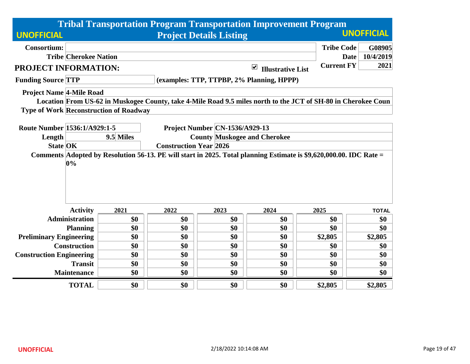|                                 |                              |                                               |                                                                      |                                | <b>Tribal Transportation Program Transportation Improvement Program</b>                                            |                   |                          |  |  |
|---------------------------------|------------------------------|-----------------------------------------------|----------------------------------------------------------------------|--------------------------------|--------------------------------------------------------------------------------------------------------------------|-------------------|--------------------------|--|--|
| <b>UNOFFICIAL</b>               |                              |                                               |                                                                      | <b>Project Details Listing</b> |                                                                                                                    |                   | <b>UNOFFICIAL</b>        |  |  |
| <b>Consortium:</b>              |                              |                                               |                                                                      |                                |                                                                                                                    | <b>Tribe Code</b> | G08905                   |  |  |
|                                 | <b>Tribe Cherokee Nation</b> |                                               |                                                                      |                                |                                                                                                                    |                   | 10/4/2019<br><b>Date</b> |  |  |
| <b>PROJECT INFORMATION:</b>     |                              |                                               |                                                                      |                                | $\blacktriangledown$<br><b>Illustrative List</b>                                                                   | <b>Current FY</b> | 2021                     |  |  |
| <b>Funding Source TTP</b>       |                              |                                               |                                                                      |                                | (examples: TTP, TTPBP, 2% Planning, HPPP)                                                                          |                   |                          |  |  |
| <b>Project Name 4-Mile Road</b> |                              |                                               |                                                                      |                                |                                                                                                                    |                   |                          |  |  |
|                                 |                              |                                               |                                                                      |                                | Location From US-62 in Muskogee County, take 4-Mile Road 9.5 miles north to the JCT of SH-80 in Cherokee Coun      |                   |                          |  |  |
|                                 |                              | <b>Type of Work Reconstruction of Roadway</b> |                                                                      |                                |                                                                                                                    |                   |                          |  |  |
| Route Number 1536:1/A929:1-5    |                              |                                               |                                                                      |                                |                                                                                                                    |                   |                          |  |  |
| Length                          |                              | 9.5 Miles                                     |                                                                      | Project Number CN-1536/A929-13 |                                                                                                                    |                   |                          |  |  |
| <b>State OK</b>                 |                              |                                               | <b>County Muskogee and Cherokee</b><br><b>Construction Year 2026</b> |                                |                                                                                                                    |                   |                          |  |  |
|                                 | 0%                           |                                               |                                                                      |                                | Comments Adopted by Resolution 56-13. PE will start in 2025. Total planning Estimate is \$9,620,000.00. IDC Rate = |                   |                          |  |  |
|                                 | <b>Activity</b>              | 2021                                          | 2022                                                                 | 2023                           | 2024                                                                                                               | 2025              | <b>TOTAL</b>             |  |  |
|                                 | <b>Administration</b>        | \$0                                           | \$0                                                                  | \$0                            | \$0                                                                                                                | \$0               | \$0                      |  |  |
|                                 | <b>Planning</b>              | \$0                                           | \$0                                                                  | \$0                            | \$0                                                                                                                | \$0               | \$0                      |  |  |
| <b>Preliminary Engineering</b>  |                              | \$0                                           | \$0                                                                  | \$0                            | \$0                                                                                                                | \$2,805           | \$2,805                  |  |  |
|                                 | <b>Construction</b>          | \$0                                           | \$0                                                                  | \$0                            | \$0                                                                                                                | \$0               | \$0                      |  |  |
| <b>Construction Engineering</b> |                              | \$0                                           | \$0                                                                  | \$0                            | \$0                                                                                                                | \$0               | \$0                      |  |  |
|                                 | <b>Transit</b>               | \$0                                           | \$0                                                                  | \$0                            | \$0                                                                                                                | \$0               | \$0                      |  |  |
|                                 | <b>Maintenance</b>           | \$0                                           | \$0                                                                  | \$0                            | \$0                                                                                                                | \$0               | \$0                      |  |  |
|                                 | <b>TOTAL</b>                 | \$0                                           | \$0                                                                  | \$0                            | \$0                                                                                                                | \$2,805           | \$2,805                  |  |  |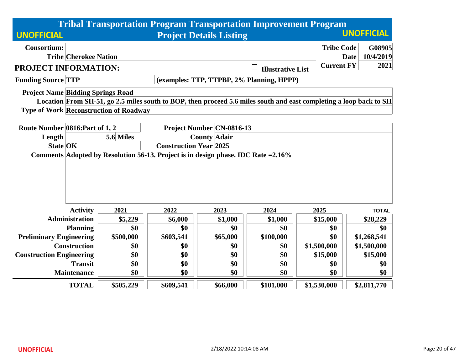|                                          |                              |                                               |                               |                                                                                    |                                    | <b>Tribal Transportation Program Transportation Improvement Program</b>                                            |                          |  |  |
|------------------------------------------|------------------------------|-----------------------------------------------|-------------------------------|------------------------------------------------------------------------------------|------------------------------------|--------------------------------------------------------------------------------------------------------------------|--------------------------|--|--|
| <b>UNOFFICIAL</b>                        |                              |                                               |                               | <b>Project Details Listing</b>                                                     |                                    |                                                                                                                    | <b>UNOFFICIAL</b>        |  |  |
| <b>Consortium:</b>                       |                              |                                               |                               |                                                                                    |                                    | <b>Tribe Code</b>                                                                                                  | G08905                   |  |  |
|                                          | <b>Tribe Cherokee Nation</b> |                                               |                               |                                                                                    |                                    |                                                                                                                    | 10/4/2019<br><b>Date</b> |  |  |
| PROJECT INFORMATION:                     |                              |                                               |                               |                                                                                    | $\Box$<br><b>Illustrative List</b> | <b>Current FY</b>                                                                                                  | 2021                     |  |  |
| <b>Funding Source TTP</b>                |                              |                                               |                               | (examples: TTP, TTPBP, 2% Planning, HPPP)                                          |                                    |                                                                                                                    |                          |  |  |
| <b>Project Name Bidding Springs Road</b> |                              |                                               |                               |                                                                                    |                                    |                                                                                                                    |                          |  |  |
|                                          |                              |                                               |                               |                                                                                    |                                    | Location From SH-51, go 2.5 miles south to BOP, then proceed 5.6 miles south and east completing a loop back to SH |                          |  |  |
|                                          |                              | <b>Type of Work Reconstruction of Roadway</b> |                               |                                                                                    |                                    |                                                                                                                    |                          |  |  |
|                                          |                              |                                               |                               |                                                                                    |                                    |                                                                                                                    |                          |  |  |
| Route Number 0816: Part of 1, 2          |                              |                                               |                               | Project Number   CN-0816-13                                                        |                                    |                                                                                                                    |                          |  |  |
| Length                                   |                              | <b>County Adair</b><br>5.6 Miles              |                               |                                                                                    |                                    |                                                                                                                    |                          |  |  |
| <b>State OK</b>                          |                              |                                               | <b>Construction Year 2025</b> | Comments Adopted by Resolution 56-13. Project is in design phase. IDC Rate = 2.16% |                                    |                                                                                                                    |                          |  |  |
|                                          |                              |                                               |                               |                                                                                    |                                    |                                                                                                                    |                          |  |  |
|                                          | <b>Activity</b>              | 2021                                          | 2022                          | 2023                                                                               | 2024                               | 2025                                                                                                               | <b>TOTAL</b>             |  |  |
|                                          | <b>Administration</b>        | \$5,229                                       | \$6,000                       | \$1,000                                                                            | \$1,000                            | \$15,000                                                                                                           | \$28,229                 |  |  |
|                                          | <b>Planning</b>              | \$0                                           | \$0                           | \$0                                                                                | \$0                                | \$0                                                                                                                | \$0                      |  |  |
| <b>Preliminary Engineering</b>           |                              | \$500,000                                     | \$603,541                     | \$65,000                                                                           | \$100,000                          | \$0                                                                                                                | \$1,268,541              |  |  |
|                                          | <b>Construction</b>          | \$0                                           | \$0                           | \$0                                                                                | \$0                                | \$1,500,000                                                                                                        | \$1,500,000              |  |  |
| <b>Construction Engineering</b>          |                              | \$0                                           | \$0                           | \$0                                                                                | \$0                                | \$15,000                                                                                                           | \$15,000                 |  |  |
|                                          | <b>Transit</b>               | \$0                                           | \$0                           | \$0                                                                                | \$0                                | \$0                                                                                                                | \$0                      |  |  |
|                                          | <b>Maintenance</b>           | \$0                                           | \$0                           | \$0                                                                                | \$0                                | \$0                                                                                                                | \$0                      |  |  |
|                                          | <b>TOTAL</b>                 | \$505,229                                     | \$609,541                     | \$66,000                                                                           | \$101,000                          | \$1,530,000                                                                                                        | \$2,811,770              |  |  |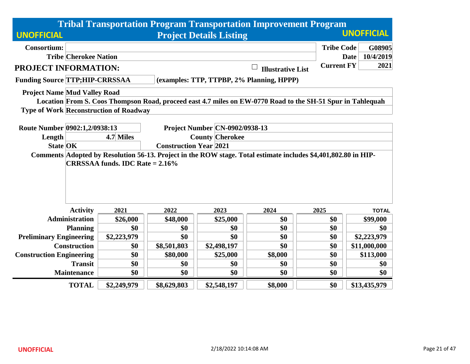|                                                                                                                |                                        |                               |                                       | <b>Tribal Transportation Program Transportation Improvement Program</b>                                    |                   |                   |  |  |
|----------------------------------------------------------------------------------------------------------------|----------------------------------------|-------------------------------|---------------------------------------|------------------------------------------------------------------------------------------------------------|-------------------|-------------------|--|--|
| <b>UNOFFICIAL</b>                                                                                              |                                        |                               | <b>Project Details Listing</b>        |                                                                                                            |                   | <b>UNOFFICIAL</b> |  |  |
| <b>Consortium:</b>                                                                                             |                                        |                               |                                       |                                                                                                            | <b>Tribe Code</b> | G08905            |  |  |
| <b>Tribe Cherokee Nation</b>                                                                                   |                                        |                               |                                       |                                                                                                            | Date              | 10/4/2019         |  |  |
| PROJECT INFORMATION:                                                                                           |                                        |                               |                                       | <b>Illustrative List</b>                                                                                   | <b>Current FY</b> | 2021              |  |  |
| <b>Funding Source TTP;HIP-CRRSSAA</b>                                                                          |                                        |                               |                                       | (examples: TTP, TTPBP, 2% Planning, HPPP)                                                                  |                   |                   |  |  |
| <b>Project Name Mud Valley Road</b>                                                                            |                                        |                               |                                       |                                                                                                            |                   |                   |  |  |
|                                                                                                                |                                        |                               |                                       | Location From S. Coos Thompson Road, proceed east 4.7 miles on EW-0770 Road to the SH-51 Spur in Tahlequah |                   |                   |  |  |
| <b>Type of Work Reconstruction of Roadway</b>                                                                  |                                        |                               |                                       |                                                                                                            |                   |                   |  |  |
|                                                                                                                |                                        |                               |                                       |                                                                                                            |                   |                   |  |  |
| Route Number 0902:1,2/0938:13                                                                                  |                                        |                               | <b>Project Number CN-0902/0938-13</b> |                                                                                                            |                   |                   |  |  |
| Length                                                                                                         | <b>County Cherokee</b><br>4.7 Miles    |                               |                                       |                                                                                                            |                   |                   |  |  |
| <b>State OK</b>                                                                                                |                                        | <b>Construction Year 2021</b> |                                       |                                                                                                            |                   |                   |  |  |
| Comments Adopted by Resolution 56-13. Project in the ROW stage. Total estimate includes \$4,401,802.80 in HIP- | <b>CRRSSAA funds. IDC Rate = 2.16%</b> |                               |                                       |                                                                                                            |                   |                   |  |  |
|                                                                                                                |                                        |                               |                                       |                                                                                                            |                   |                   |  |  |
|                                                                                                                |                                        |                               |                                       |                                                                                                            |                   |                   |  |  |
|                                                                                                                |                                        |                               |                                       |                                                                                                            |                   |                   |  |  |
|                                                                                                                |                                        |                               |                                       |                                                                                                            |                   |                   |  |  |
| <b>Activity</b>                                                                                                | 2021                                   | 2022                          | 2023                                  | 2024                                                                                                       | 2025              | <b>TOTAL</b>      |  |  |
| <b>Administration</b>                                                                                          | \$26,000                               | \$48,000                      | \$25,000                              | \$0                                                                                                        | \$0               | \$99,000          |  |  |
| <b>Planning</b>                                                                                                | \$0                                    | \$0                           | \$0                                   | \$0                                                                                                        | \$0               | \$0               |  |  |
| <b>Preliminary Engineering</b>                                                                                 | \$2,223,979                            | \$0                           | \$0                                   | \$0                                                                                                        | \$0               | \$2,223,979       |  |  |
| <b>Construction</b>                                                                                            | \$0                                    | \$8,501,803                   | \$2,498,197                           | \$0                                                                                                        | \$0               | \$11,000,000      |  |  |
| <b>Construction Engineering</b>                                                                                | \$0                                    | \$80,000                      | \$25,000                              | \$8,000                                                                                                    | \$0               | \$113,000         |  |  |
| <b>Transit</b>                                                                                                 | \$0                                    | \$0                           | \$0                                   | \$0                                                                                                        | \$0               | \$0               |  |  |
| <b>Maintenance</b>                                                                                             | \$0<br>\$0<br>\$0<br>\$0<br>\$0<br>\$0 |                               |                                       |                                                                                                            |                   |                   |  |  |
| <b>TOTAL</b>                                                                                                   | \$2,249,979                            | \$8,629,803                   | \$2,548,197                           | \$8,000                                                                                                    | \$0               | \$13,435,979      |  |  |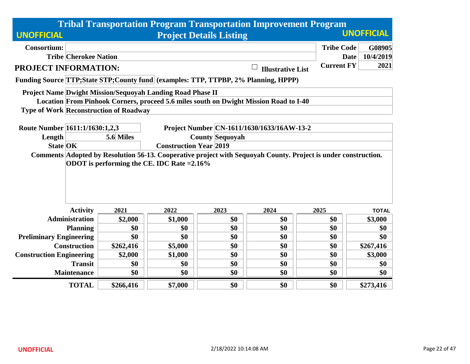|                                 |                              |                                               |                                                                   |                                | <b>Tribal Transportation Program Transportation Improvement Program</b>                                        |                   |                          |  |  |
|---------------------------------|------------------------------|-----------------------------------------------|-------------------------------------------------------------------|--------------------------------|----------------------------------------------------------------------------------------------------------------|-------------------|--------------------------|--|--|
| <b>UNOFFICIAL</b>               |                              |                                               |                                                                   | <b>Project Details Listing</b> |                                                                                                                |                   | <b>UNOFFICIAL</b>        |  |  |
| <b>Consortium:</b>              |                              |                                               |                                                                   |                                |                                                                                                                | <b>Tribe Code</b> | G08905                   |  |  |
|                                 | <b>Tribe Cherokee Nation</b> |                                               |                                                                   |                                |                                                                                                                |                   | 10/4/2019<br><b>Date</b> |  |  |
| PROJECT INFORMATION:            |                              |                                               |                                                                   |                                | <b>Illustrative List</b>                                                                                       | <b>Current FY</b> | 2021                     |  |  |
|                                 |                              |                                               |                                                                   |                                | Funding Source TTP; State STP; County fund (examples: TTP, TTPBP, 2% Planning, HPPP)                           |                   |                          |  |  |
|                                 |                              |                                               | <b>Project Name Dwight Mission/Sequoyah Landing Road Phase II</b> |                                |                                                                                                                |                   |                          |  |  |
|                                 |                              |                                               |                                                                   |                                | Location From Pinhook Corners, proceed 5.6 miles south on Dwight Mission Road to I-40                          |                   |                          |  |  |
|                                 |                              | <b>Type of Work Reconstruction of Roadway</b> |                                                                   |                                |                                                                                                                |                   |                          |  |  |
|                                 |                              |                                               |                                                                   |                                |                                                                                                                |                   |                          |  |  |
| Route Number 1611:1/1630:1,2,3  |                              |                                               |                                                                   |                                | Project Number CN-1611/1630/1633/16AW-13-2                                                                     |                   |                          |  |  |
| Length                          |                              | 5.6 Miles<br><b>County Sequovah</b>           |                                                                   |                                |                                                                                                                |                   |                          |  |  |
| <b>State OK</b>                 |                              | <b>Construction Year 2019</b>                 |                                                                   |                                |                                                                                                                |                   |                          |  |  |
|                                 |                              |                                               |                                                                   |                                | Comments Adopted by Resolution 56-13. Cooperative project with Sequoyah County. Project is under construction. |                   |                          |  |  |
|                                 |                              |                                               | ODOT is performing the CE. IDC Rate = 2.16%                       |                                |                                                                                                                |                   |                          |  |  |
|                                 |                              |                                               |                                                                   |                                |                                                                                                                |                   |                          |  |  |
|                                 |                              |                                               |                                                                   |                                |                                                                                                                |                   |                          |  |  |
|                                 |                              |                                               |                                                                   |                                |                                                                                                                |                   |                          |  |  |
|                                 |                              |                                               |                                                                   |                                |                                                                                                                |                   |                          |  |  |
|                                 | <b>Activity</b>              | 2021                                          | 2022                                                              | 2023                           | 2024                                                                                                           | 2025              | <b>TOTAL</b>             |  |  |
|                                 | <b>Administration</b>        | \$2,000                                       | \$1,000                                                           | \$0                            | \$0                                                                                                            | \$0               | \$3,000                  |  |  |
|                                 | <b>Planning</b>              | \$0                                           | \$0                                                               | \$0                            | \$0                                                                                                            | \$0               | \$0                      |  |  |
| <b>Preliminary Engineering</b>  |                              | \$0                                           | \$0                                                               | \$0                            | \$0                                                                                                            | \$0               | \$0                      |  |  |
|                                 | <b>Construction</b>          | \$262,416                                     | \$5,000                                                           | \$0                            | \$0                                                                                                            | \$0               | \$267,416                |  |  |
| <b>Construction Engineering</b> |                              | \$2,000                                       | \$1,000                                                           | \$0                            | \$0                                                                                                            | \$0               | \$3,000                  |  |  |
|                                 | <b>Transit</b>               | \$0                                           | \$0                                                               | \$0                            | \$0                                                                                                            | \$0               | \$0                      |  |  |
|                                 | <b>Maintenance</b>           | \$0                                           | \$0                                                               | \$0                            | \$0                                                                                                            | \$0               | \$0                      |  |  |
|                                 | <b>TOTAL</b>                 | \$266,416                                     | \$7,000                                                           | \$0                            | \$0                                                                                                            | \$0               | \$273,416                |  |  |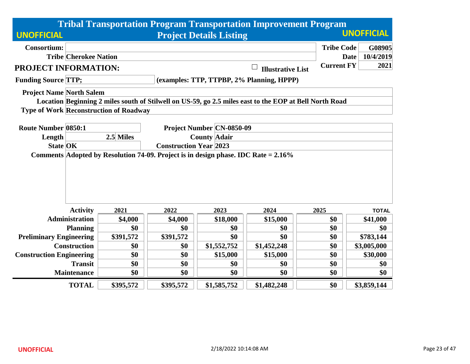|                                                                                    |                                                  |                                               |           |                                | <b>Tribal Transportation Program Transportation Improvement Program</b>                                |                   |                   |  |
|------------------------------------------------------------------------------------|--------------------------------------------------|-----------------------------------------------|-----------|--------------------------------|--------------------------------------------------------------------------------------------------------|-------------------|-------------------|--|
| <b>UNOFFICIAL</b>                                                                  |                                                  |                                               |           | <b>Project Details Listing</b> |                                                                                                        |                   | <b>UNOFFICIAL</b> |  |
| <b>Consortium:</b>                                                                 |                                                  |                                               |           |                                |                                                                                                        | <b>Tribe Code</b> | G08905            |  |
|                                                                                    | <b>Tribe Cherokee Nation</b>                     |                                               |           |                                |                                                                                                        | <b>Date</b>       | 10/4/2019         |  |
| PROJECT INFORMATION:                                                               |                                                  |                                               |           |                                | <b>Illustrative List</b>                                                                               | <b>Current FY</b> | 2021              |  |
| <b>Funding Source TTP;</b>                                                         |                                                  |                                               |           |                                | (examples: TTP, TTPBP, 2% Planning, HPPP)                                                              |                   |                   |  |
| <b>Project Name North Salem</b>                                                    |                                                  |                                               |           |                                |                                                                                                        |                   |                   |  |
|                                                                                    |                                                  |                                               |           |                                | Location Beginning 2 miles south of Stilwell on US-59, go 2.5 miles east to the EOP at Bell North Road |                   |                   |  |
|                                                                                    |                                                  | <b>Type of Work Reconstruction of Roadway</b> |           |                                |                                                                                                        |                   |                   |  |
|                                                                                    |                                                  |                                               |           |                                |                                                                                                        |                   |                   |  |
| <b>Route Number 0850:1</b>                                                         | <b>Project Number CN-0850-09</b>                 |                                               |           |                                |                                                                                                        |                   |                   |  |
| Length                                                                             |                                                  | 2.5 Miles                                     |           | <b>County Adair</b>            |                                                                                                        |                   |                   |  |
| Comments Adopted by Resolution 74-09. Project is in design phase. IDC Rate = 2.16% | <b>State OK</b><br><b>Construction Year 2023</b> |                                               |           |                                |                                                                                                        |                   |                   |  |
|                                                                                    |                                                  |                                               |           |                                |                                                                                                        |                   |                   |  |
|                                                                                    | <b>Activity</b>                                  | 2021                                          | 2022      | 2023                           | 2024                                                                                                   | 2025              | <b>TOTAL</b>      |  |
|                                                                                    | <b>Administration</b>                            | \$4,000                                       | \$4,000   | \$18,000                       | \$15,000                                                                                               | \$0               | \$41,000          |  |
|                                                                                    | <b>Planning</b>                                  | \$0                                           | \$0       | \$0                            | \$0                                                                                                    | \$0               | \$0               |  |
| <b>Preliminary Engineering</b>                                                     |                                                  | \$391,572                                     | \$391,572 | \$0                            | \$0                                                                                                    | \$0               | \$783,144         |  |
|                                                                                    | <b>Construction</b>                              | \$0                                           | \$0       | \$1,552,752                    | \$1,452,248                                                                                            | \$0               | \$3,005,000       |  |
| <b>Construction Engineering</b>                                                    |                                                  | \$0                                           | \$0       | \$15,000                       | \$15,000                                                                                               | \$0               | \$30,000          |  |
|                                                                                    | <b>Transit</b>                                   | \$0                                           | \$0       | \$0                            | \$0                                                                                                    | \$0               | \$0               |  |
|                                                                                    | <b>Maintenance</b>                               | \$0                                           | \$0       | \$0                            | \$0                                                                                                    | \$0               | \$0               |  |
|                                                                                    | <b>TOTAL</b>                                     | \$395,572                                     | \$395,572 | \$1,585,752                    | \$1,482,248                                                                                            | \$0               | \$3,859,144       |  |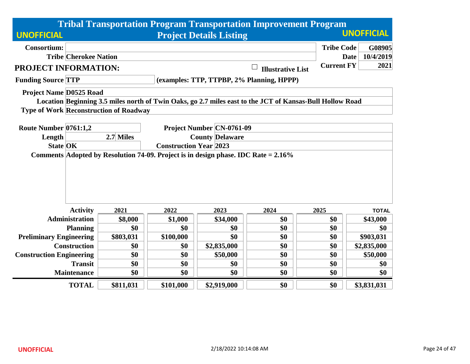|                                 |                                                                                    |                                               |                               |                                  | <b>Tribal Transportation Program Transportation Improvement Program</b>                                  |                   |                          |  |  |
|---------------------------------|------------------------------------------------------------------------------------|-----------------------------------------------|-------------------------------|----------------------------------|----------------------------------------------------------------------------------------------------------|-------------------|--------------------------|--|--|
| <b>UNOFFICIAL</b>               |                                                                                    |                                               |                               | <b>Project Details Listing</b>   |                                                                                                          |                   | <b>UNOFFICIAL</b>        |  |  |
| <b>Consortium:</b>              |                                                                                    |                                               |                               |                                  |                                                                                                          | <b>Tribe Code</b> | G08905                   |  |  |
|                                 | <b>Tribe Cherokee Nation</b>                                                       |                                               |                               |                                  |                                                                                                          | Date              | 10/4/2019                |  |  |
| PROJECT INFORMATION:            |                                                                                    |                                               |                               |                                  | <b>Illustrative List</b>                                                                                 | <b>Current FY</b> | 2021                     |  |  |
| <b>Funding Source TTP</b>       |                                                                                    |                                               |                               |                                  | (examples: TTP, TTPBP, 2% Planning, HPPP)                                                                |                   |                          |  |  |
| <b>Project Name D0525 Road</b>  |                                                                                    |                                               |                               |                                  |                                                                                                          |                   |                          |  |  |
|                                 |                                                                                    |                                               |                               |                                  | Location Beginning 3.5 miles north of Twin Oaks, go 2.7 miles east to the JCT of Kansas-Bull Hollow Road |                   |                          |  |  |
|                                 |                                                                                    | <b>Type of Work Reconstruction of Roadway</b> |                               |                                  |                                                                                                          |                   |                          |  |  |
|                                 |                                                                                    |                                               |                               |                                  |                                                                                                          |                   |                          |  |  |
| Route Number 0761:1,2           |                                                                                    |                                               |                               | <b>Project Number CN-0761-09</b> |                                                                                                          |                   |                          |  |  |
| Length                          |                                                                                    | 2.7 Miles                                     | <b>County Delaware</b>        |                                  |                                                                                                          |                   |                          |  |  |
| <b>State OK</b>                 |                                                                                    |                                               | <b>Construction Year 2023</b> |                                  |                                                                                                          |                   |                          |  |  |
|                                 | Comments Adopted by Resolution 74-09. Project is in design phase. IDC Rate = 2.16% |                                               |                               |                                  |                                                                                                          |                   |                          |  |  |
|                                 |                                                                                    |                                               |                               |                                  |                                                                                                          |                   |                          |  |  |
|                                 |                                                                                    |                                               |                               |                                  |                                                                                                          |                   |                          |  |  |
|                                 |                                                                                    |                                               |                               |                                  |                                                                                                          |                   |                          |  |  |
|                                 |                                                                                    |                                               |                               |                                  |                                                                                                          |                   |                          |  |  |
|                                 | <b>Activity</b>                                                                    | 2021                                          | 2022                          |                                  |                                                                                                          |                   |                          |  |  |
|                                 | <b>Administration</b>                                                              |                                               |                               | 2023                             | 2024                                                                                                     | 2025              | <b>TOTAL</b>             |  |  |
|                                 |                                                                                    | \$8,000<br>\$0                                | \$1,000<br>\$0                | \$34,000<br>\$0                  | \$0<br>\$0                                                                                               | \$0<br>\$0        | \$43,000                 |  |  |
|                                 | <b>Planning</b>                                                                    |                                               |                               | \$0                              | \$0                                                                                                      | \$0               | \$0                      |  |  |
| <b>Preliminary Engineering</b>  | <b>Construction</b>                                                                | \$803,031<br>\$0                              | \$100,000<br>\$0              | \$2,835,000                      | \$0                                                                                                      | \$0               | \$903,031<br>\$2,835,000 |  |  |
| <b>Construction Engineering</b> |                                                                                    | \$0                                           | \$0                           | \$50,000                         | \$0                                                                                                      | \$0               | \$50,000                 |  |  |
|                                 | <b>Transit</b>                                                                     | \$0                                           | \$0                           | \$0                              | \$0                                                                                                      | \$0               | \$0                      |  |  |
|                                 | <b>Maintenance</b>                                                                 | \$0                                           | \$0                           | \$0                              | \$0                                                                                                      | \$0               | \$0                      |  |  |
|                                 |                                                                                    |                                               |                               |                                  |                                                                                                          |                   |                          |  |  |
|                                 | <b>TOTAL</b>                                                                       | \$811,031                                     | \$101,000                     | \$2,919,000                      | \$0                                                                                                      | \$0               | \$3,831,031              |  |  |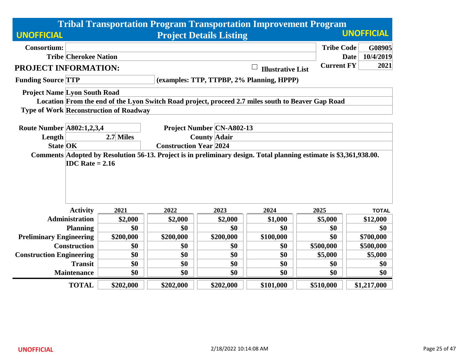|                                     |                                                                                                                                                                        |                                               |                     | <b>Tribal Transportation Program Transportation Improvement Program</b>                           |                          |                   |                   |  |  |
|-------------------------------------|------------------------------------------------------------------------------------------------------------------------------------------------------------------------|-----------------------------------------------|---------------------|---------------------------------------------------------------------------------------------------|--------------------------|-------------------|-------------------|--|--|
| <b>UNOFFICIAL</b>                   |                                                                                                                                                                        |                                               |                     | <b>Project Details Listing</b>                                                                    |                          |                   | <b>UNOFFICIAL</b> |  |  |
| <b>Consortium:</b>                  |                                                                                                                                                                        |                                               |                     |                                                                                                   |                          | <b>Tribe Code</b> | G08905            |  |  |
|                                     | <b>Tribe Cherokee Nation</b>                                                                                                                                           |                                               |                     |                                                                                                   |                          |                   | 10/4/2019<br>Date |  |  |
| PROJECT INFORMATION:                |                                                                                                                                                                        |                                               |                     |                                                                                                   | <b>Illustrative List</b> | <b>Current FY</b> | 2021              |  |  |
| <b>Funding Source TTP</b>           |                                                                                                                                                                        |                                               |                     | (examples: TTP, TTPBP, 2% Planning, HPPP)                                                         |                          |                   |                   |  |  |
| <b>Project Name Lyon South Road</b> |                                                                                                                                                                        |                                               |                     |                                                                                                   |                          |                   |                   |  |  |
|                                     |                                                                                                                                                                        |                                               |                     | Location From the end of the Lyon Switch Road project, proceed 2.7 miles south to Beaver Gap Road |                          |                   |                   |  |  |
|                                     |                                                                                                                                                                        | <b>Type of Work Reconstruction of Roadway</b> |                     |                                                                                                   |                          |                   |                   |  |  |
|                                     |                                                                                                                                                                        |                                               |                     |                                                                                                   |                          |                   |                   |  |  |
| <b>Route Number A802:1,2,3,4</b>    |                                                                                                                                                                        |                                               |                     | <b>Project Number CN-A802-13</b>                                                                  |                          |                   |                   |  |  |
| Length                              |                                                                                                                                                                        | 2.7 Miles                                     | <b>County Adair</b> |                                                                                                   |                          |                   |                   |  |  |
|                                     | <b>Construction Year 2024</b><br><b>State OK</b><br>Comments Adopted by Resolution 56-13. Project is in preliminary design. Total planning estimate is \$3,361,938.00. |                                               |                     |                                                                                                   |                          |                   |                   |  |  |
|                                     | <b>IDC</b> Rate = $2.16$                                                                                                                                               |                                               |                     |                                                                                                   |                          |                   |                   |  |  |
|                                     |                                                                                                                                                                        |                                               |                     |                                                                                                   |                          |                   |                   |  |  |
|                                     |                                                                                                                                                                        |                                               |                     |                                                                                                   |                          |                   |                   |  |  |
|                                     |                                                                                                                                                                        |                                               |                     |                                                                                                   |                          |                   |                   |  |  |
|                                     |                                                                                                                                                                        |                                               |                     |                                                                                                   |                          |                   |                   |  |  |
|                                     | <b>Activity</b>                                                                                                                                                        | 2021                                          | 2022                | 2023                                                                                              | 2024                     | 2025              | <b>TOTAL</b>      |  |  |
|                                     | <b>Administration</b>                                                                                                                                                  | \$2,000                                       | \$2,000             | \$2,000                                                                                           | \$1,000                  | \$5,000           | \$12,000          |  |  |
|                                     | <b>Planning</b>                                                                                                                                                        | \$0                                           | \$0                 | \$0                                                                                               | \$0                      | \$0               | \$0               |  |  |
| <b>Preliminary Engineering</b>      |                                                                                                                                                                        | \$200,000                                     | \$200,000           | \$200,000                                                                                         | \$100,000                | \$0               | \$700,000         |  |  |
|                                     | <b>Construction</b>                                                                                                                                                    | \$0                                           | \$0                 | \$0                                                                                               | \$0                      | \$500,000         | \$500,000         |  |  |
| <b>Construction Engineering</b>     |                                                                                                                                                                        | \$0                                           | \$0                 | \$0                                                                                               | \$0                      | \$5,000           | \$5,000           |  |  |
|                                     | <b>Transit</b>                                                                                                                                                         | \$0                                           | \$0                 | \$0                                                                                               | \$0                      | \$0               | \$0               |  |  |
|                                     | <b>Maintenance</b>                                                                                                                                                     | \$0                                           | \$0                 | \$0                                                                                               | \$0                      | \$0               | \$0               |  |  |
|                                     | <b>TOTAL</b>                                                                                                                                                           | \$202,000                                     | \$202,000           | \$202,000                                                                                         | \$101,000                | \$510,000         | \$1,217,000       |  |  |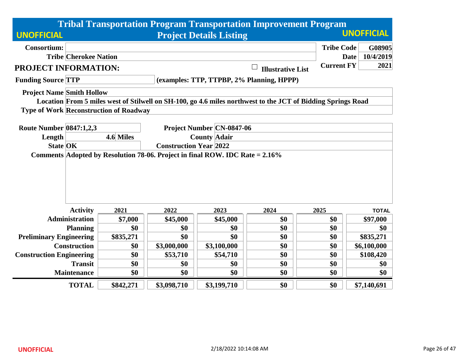|                                  |                              |                                               |             |                                  | <b>Tribal Transportation Program Transportation Improvement Program</b>                                     |                   |                          |  |
|----------------------------------|------------------------------|-----------------------------------------------|-------------|----------------------------------|-------------------------------------------------------------------------------------------------------------|-------------------|--------------------------|--|
| <b>UNOFFICIAL</b>                |                              |                                               |             | <b>Project Details Listing</b>   |                                                                                                             |                   | <b>UNOFFICIAL</b>        |  |
| <b>Consortium:</b>               |                              |                                               |             |                                  |                                                                                                             | <b>Tribe Code</b> | G08905                   |  |
|                                  | <b>Tribe Cherokee Nation</b> |                                               |             |                                  |                                                                                                             |                   | 10/4/2019<br><b>Date</b> |  |
| PROJECT INFORMATION:             |                              |                                               |             |                                  | <b>Illustrative List</b>                                                                                    | <b>Current FY</b> | 2021                     |  |
| <b>Funding Source TTP</b>        |                              |                                               |             |                                  | (examples: TTP, TTPBP, 2% Planning, HPPP)                                                                   |                   |                          |  |
| <b>Project Name Smith Hollow</b> |                              |                                               |             |                                  |                                                                                                             |                   |                          |  |
|                                  |                              |                                               |             |                                  | Location From 5 miles west of Stilwell on SH-100, go 4.6 miles northwest to the JCT of Bidding Springs Road |                   |                          |  |
|                                  |                              | <b>Type of Work Reconstruction of Roadway</b> |             |                                  |                                                                                                             |                   |                          |  |
| <b>Route Number 0847:1,2,3</b>   |                              |                                               |             | <b>Project Number CN-0847-06</b> |                                                                                                             |                   |                          |  |
| Length                           |                              | 4.6 Miles                                     |             | <b>County Adair</b>              |                                                                                                             |                   |                          |  |
| <b>State OK</b>                  |                              | <b>Construction Year 2022</b>                 |             |                                  |                                                                                                             |                   |                          |  |
|                                  |                              |                                               |             |                                  |                                                                                                             |                   |                          |  |
|                                  | <b>Activity</b>              | 2021                                          | 2022        | 2023                             | 2024                                                                                                        | 2025              | <b>TOTAL</b>             |  |
|                                  | <b>Administration</b>        | \$7,000                                       | \$45,000    | \$45,000                         | \$0                                                                                                         | \$0               | \$97,000                 |  |
|                                  | <b>Planning</b>              | \$0                                           | \$0         | \$0                              | \$0                                                                                                         | \$0               | \$0                      |  |
| <b>Preliminary Engineering</b>   |                              | \$835,271                                     | \$0         | \$0                              | \$0                                                                                                         | \$0               | \$835,271                |  |
|                                  | <b>Construction</b>          | \$0                                           | \$3,000,000 | \$3,100,000                      | \$0                                                                                                         | \$0               | \$6,100,000              |  |
| <b>Construction Engineering</b>  |                              | \$0                                           | \$53,710    | \$54,710                         | \$0                                                                                                         | \$0               | \$108,420                |  |
|                                  | <b>Transit</b>               | \$0                                           | \$0         | \$0                              | \$0                                                                                                         | \$0               | \$0                      |  |
|                                  | <b>Maintenance</b>           | \$0                                           | \$0         | \$0                              | \$0                                                                                                         | \$0               | \$0                      |  |
|                                  | <b>TOTAL</b>                 | \$842,271                                     | \$3,098,710 | \$3,199,710                      | \$0                                                                                                         | \$0               | \$7,140,691              |  |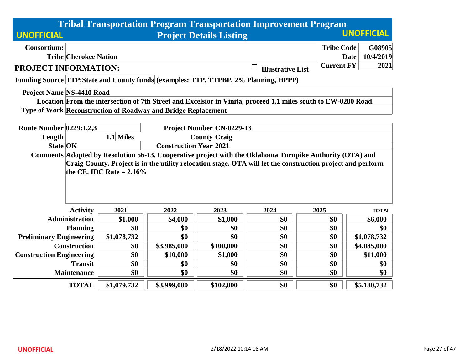|                                  |                                                                                                                |                                                                                                                                           |                                                               |                                | <b>Tribal Transportation Program Transportation Improvement Program</b>                                     |                   |                          |  |  |  |  |
|----------------------------------|----------------------------------------------------------------------------------------------------------------|-------------------------------------------------------------------------------------------------------------------------------------------|---------------------------------------------------------------|--------------------------------|-------------------------------------------------------------------------------------------------------------|-------------------|--------------------------|--|--|--|--|
| <b>UNOFFICIAL</b>                |                                                                                                                |                                                                                                                                           |                                                               | <b>Project Details Listing</b> |                                                                                                             |                   | <b>UNOFFICIAL</b>        |  |  |  |  |
| <b>Consortium:</b>               |                                                                                                                |                                                                                                                                           |                                                               |                                |                                                                                                             | <b>Tribe Code</b> | G08905                   |  |  |  |  |
|                                  | <b>Tribe Cherokee Nation</b>                                                                                   |                                                                                                                                           |                                                               |                                |                                                                                                             |                   | 10/4/2019<br><b>Date</b> |  |  |  |  |
| PROJECT INFORMATION:             |                                                                                                                |                                                                                                                                           |                                                               |                                | <b>Illustrative List</b>                                                                                    | <b>Current FY</b> | 2021                     |  |  |  |  |
|                                  |                                                                                                                |                                                                                                                                           |                                                               |                                | Funding Source TTP; State and County funds (examples: TTP, TTPBP, 2% Planning, HPPP)                        |                   |                          |  |  |  |  |
| <b>Project Name NS-4410 Road</b> |                                                                                                                |                                                                                                                                           |                                                               |                                |                                                                                                             |                   |                          |  |  |  |  |
|                                  | Location From the intersection of 7th Street and Excelsior in Vinita, proceed 1.1 miles south to EW-0280 Road. |                                                                                                                                           |                                                               |                                |                                                                                                             |                   |                          |  |  |  |  |
|                                  |                                                                                                                |                                                                                                                                           | Type of Work Reconstruction of Roadway and Bridge Replacement |                                |                                                                                                             |                   |                          |  |  |  |  |
|                                  |                                                                                                                |                                                                                                                                           |                                                               |                                |                                                                                                             |                   |                          |  |  |  |  |
| <b>Route Number 0229:1,2,3</b>   |                                                                                                                |                                                                                                                                           |                                                               | Project Number CN-0229-13      |                                                                                                             |                   |                          |  |  |  |  |
| Length                           |                                                                                                                | 1.1 Miles<br><b>County Craig</b>                                                                                                          |                                                               |                                |                                                                                                             |                   |                          |  |  |  |  |
| <b>State OK</b>                  |                                                                                                                | <b>Construction Year 2021</b><br>Comments Adopted by Resolution 56-13. Cooperative project with the Oklahoma Turnpike Authority (OTA) and |                                                               |                                |                                                                                                             |                   |                          |  |  |  |  |
|                                  |                                                                                                                |                                                                                                                                           |                                                               |                                |                                                                                                             |                   |                          |  |  |  |  |
|                                  |                                                                                                                |                                                                                                                                           |                                                               |                                | Craig County. Project is in the utility relocation stage. OTA will let the construction project and perform |                   |                          |  |  |  |  |
|                                  |                                                                                                                | the CE. IDC Rate $= 2.16\%$                                                                                                               |                                                               |                                |                                                                                                             |                   |                          |  |  |  |  |
|                                  |                                                                                                                |                                                                                                                                           |                                                               |                                |                                                                                                             |                   |                          |  |  |  |  |
|                                  |                                                                                                                |                                                                                                                                           |                                                               |                                |                                                                                                             |                   |                          |  |  |  |  |
|                                  | <b>Activity</b>                                                                                                | 2021                                                                                                                                      | 2022                                                          | 2023                           |                                                                                                             |                   |                          |  |  |  |  |
|                                  | <b>Administration</b>                                                                                          |                                                                                                                                           |                                                               |                                | 2024                                                                                                        | 2025              | <b>TOTAL</b>             |  |  |  |  |
|                                  |                                                                                                                | \$1,000                                                                                                                                   | \$4,000                                                       | \$1,000                        | \$0                                                                                                         | \$0               | \$6,000                  |  |  |  |  |
|                                  | <b>Planning</b>                                                                                                | \$0                                                                                                                                       | \$0                                                           | \$0                            | \$0                                                                                                         | \$0               | \$0                      |  |  |  |  |
| <b>Preliminary Engineering</b>   |                                                                                                                | \$1,078,732                                                                                                                               | \$0                                                           | \$0                            | \$0                                                                                                         | \$0               | \$1,078,732              |  |  |  |  |
|                                  | <b>Construction</b>                                                                                            | \$0                                                                                                                                       | \$3,985,000                                                   | \$100,000                      | \$0                                                                                                         | \$0               | \$4,085,000              |  |  |  |  |
| <b>Construction Engineering</b>  |                                                                                                                | \$0                                                                                                                                       | \$10,000                                                      | \$1,000                        | \$0                                                                                                         | \$0               | \$11,000                 |  |  |  |  |
|                                  | <b>Transit</b>                                                                                                 | \$0                                                                                                                                       | \$0                                                           | \$0                            | \$0                                                                                                         | \$0               | \$0                      |  |  |  |  |
|                                  | <b>Maintenance</b>                                                                                             | \$0                                                                                                                                       | \$0                                                           | \$0                            | \$0                                                                                                         | \$0               | \$0                      |  |  |  |  |
|                                  | <b>TOTAL</b>                                                                                                   | \$1,079,732                                                                                                                               | \$3,999,000                                                   | \$102,000                      | \$0                                                                                                         | \$0               | \$5,180,732              |  |  |  |  |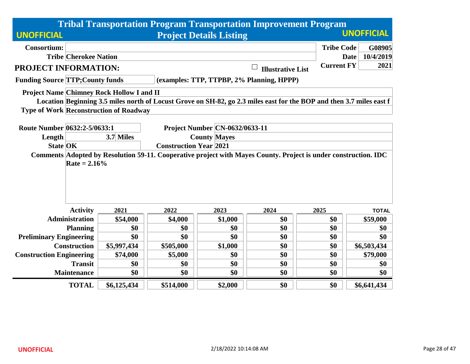|                                         |                              |                                                  |                               |                                       | <b>Tribal Transportation Program Transportation Improvement Program</b>                                              |                   |                          |
|-----------------------------------------|------------------------------|--------------------------------------------------|-------------------------------|---------------------------------------|----------------------------------------------------------------------------------------------------------------------|-------------------|--------------------------|
| <b>UNOFFICIAL</b>                       |                              |                                                  |                               | <b>Project Details Listing</b>        |                                                                                                                      |                   | <b>UNOFFICIAL</b>        |
| <b>Consortium:</b>                      |                              |                                                  |                               |                                       |                                                                                                                      | <b>Tribe Code</b> | G08905                   |
|                                         | <b>Tribe Cherokee Nation</b> |                                                  |                               |                                       |                                                                                                                      |                   | 10/4/2019<br><b>Date</b> |
| PROJECT INFORMATION:                    |                              |                                                  |                               |                                       | <b>Illustrative List</b>                                                                                             | <b>Current FY</b> | 2021                     |
| <b>Funding Source TTP; County funds</b> |                              |                                                  |                               |                                       | (examples: TTP, TTPBP, 2% Planning, HPPP)                                                                            |                   |                          |
|                                         |                              | <b>Project Name Chimney Rock Hollow I and II</b> |                               |                                       | Location Beginning 3.5 miles north of Locust Grove on SH-82, go 2.3 miles east for the BOP and then 3.7 miles east f |                   |                          |
|                                         |                              | <b>Type of Work Reconstruction of Roadway</b>    |                               |                                       |                                                                                                                      |                   |                          |
| Route Number 0632:2-5/0633:1            |                              |                                                  |                               | <b>Project Number CN-0632/0633-11</b> |                                                                                                                      |                   |                          |
| Length                                  |                              | 3.7 Miles                                        |                               | <b>County Mayes</b>                   |                                                                                                                      |                   |                          |
| <b>State OK</b>                         |                              |                                                  | <b>Construction Year 2021</b> |                                       |                                                                                                                      |                   |                          |
|                                         | Rate = $2.16\%$              |                                                  |                               |                                       | Comments Adopted by Resolution 59-11. Cooperative project with Mayes County. Project is under construction. IDC      |                   |                          |
|                                         | <b>Activity</b>              | 2021                                             | 2022                          | 2023                                  | 2024                                                                                                                 | 2025              | <b>TOTAL</b>             |
|                                         | <b>Administration</b>        | \$54,000                                         | \$4,000                       | \$1,000                               | \$0                                                                                                                  | \$0               | \$59,000                 |
|                                         | <b>Planning</b>              | \$0                                              | \$0                           | \$0                                   | \$0                                                                                                                  | \$0               | \$0                      |
| <b>Preliminary Engineering</b>          |                              | \$0                                              | \$0                           | \$0                                   | \$0                                                                                                                  | \$0               | \$0                      |
|                                         | <b>Construction</b>          | \$5,997,434                                      | \$505,000                     | \$1,000                               | \$0                                                                                                                  | \$0               | \$6,503,434              |
| <b>Construction Engineering</b>         |                              | \$74,000                                         | \$5,000                       | \$0                                   | \$0                                                                                                                  | \$0               | \$79,000                 |
|                                         | <b>Transit</b>               | \$0                                              | \$0                           | \$0                                   | \$0                                                                                                                  | \$0               | \$0                      |
|                                         | <b>Maintenance</b>           | \$0                                              | \$0                           | \$0                                   | \$0                                                                                                                  | \$0               | \$0                      |
|                                         | <b>TOTAL</b>                 | \$6,125,434                                      | \$514,000                     | \$2,000                               | \$0                                                                                                                  | \$0               | \$6,641,434              |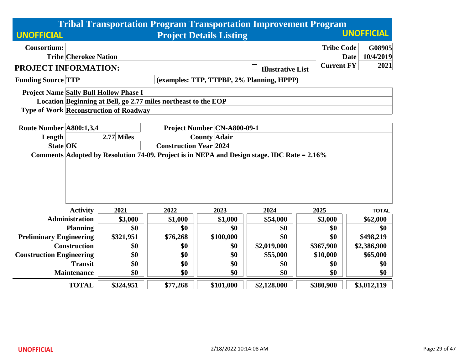|                                 |                              |                                                                |                               |                                | <b>Tribal Transportation Program Transportation Improvement Program</b>                     |                   |                          |  |  |  |
|---------------------------------|------------------------------|----------------------------------------------------------------|-------------------------------|--------------------------------|---------------------------------------------------------------------------------------------|-------------------|--------------------------|--|--|--|
| <b>UNOFFICIAL</b>               |                              |                                                                |                               | <b>Project Details Listing</b> |                                                                                             |                   | <b>UNOFFICIAL</b>        |  |  |  |
| <b>Consortium:</b>              |                              |                                                                |                               |                                |                                                                                             | <b>Tribe Code</b> | G08905                   |  |  |  |
|                                 | <b>Tribe Cherokee Nation</b> |                                                                |                               |                                |                                                                                             |                   | 10/4/2019<br><b>Date</b> |  |  |  |
| PROJECT INFORMATION:            |                              |                                                                |                               |                                | <b>Illustrative List</b>                                                                    | <b>Current FY</b> | 2021                     |  |  |  |
| <b>Funding Source TTP</b>       |                              |                                                                |                               |                                | (examples: TTP, TTPBP, 2% Planning, HPPP)                                                   |                   |                          |  |  |  |
|                                 |                              | Project Name Sally Bull Hollow Phase I                         |                               |                                |                                                                                             |                   |                          |  |  |  |
|                                 |                              | Location Beginning at Bell, go 2.77 miles northeast to the EOP |                               |                                |                                                                                             |                   |                          |  |  |  |
|                                 |                              | <b>Type of Work Reconstruction of Roadway</b>                  |                               |                                |                                                                                             |                   |                          |  |  |  |
|                                 |                              |                                                                |                               |                                |                                                                                             |                   |                          |  |  |  |
| Route Number A800:1,3,4         |                              |                                                                |                               | Project Number CN-A800-09-1    |                                                                                             |                   |                          |  |  |  |
| Length                          |                              | 2.77 Miles                                                     | <b>County Adair</b>           |                                |                                                                                             |                   |                          |  |  |  |
| <b>State OK</b>                 |                              |                                                                | <b>Construction Year 2024</b> |                                |                                                                                             |                   |                          |  |  |  |
|                                 |                              |                                                                |                               |                                | Comments Adopted by Resolution 74-09. Project is in NEPA and Design stage. IDC Rate = 2.16% |                   |                          |  |  |  |
|                                 |                              |                                                                |                               |                                |                                                                                             |                   |                          |  |  |  |
|                                 |                              |                                                                |                               |                                |                                                                                             |                   |                          |  |  |  |
|                                 |                              |                                                                |                               |                                |                                                                                             |                   |                          |  |  |  |
|                                 |                              |                                                                |                               |                                |                                                                                             |                   |                          |  |  |  |
|                                 |                              |                                                                |                               |                                |                                                                                             |                   |                          |  |  |  |
|                                 | <b>Activity</b>              | 2021                                                           | 2022                          | 2023                           | 2024                                                                                        | 2025              | <b>TOTAL</b>             |  |  |  |
|                                 | <b>Administration</b>        | \$3,000                                                        | \$1,000                       | \$1,000                        | \$54,000                                                                                    | \$3,000           | \$62,000                 |  |  |  |
|                                 | <b>Planning</b>              | \$0                                                            | \$0                           | \$0                            | \$0                                                                                         | \$0               | \$0                      |  |  |  |
| <b>Preliminary Engineering</b>  |                              | \$321,951                                                      | \$76,268                      | \$100,000                      | \$0                                                                                         | \$0               | \$498,219                |  |  |  |
|                                 | <b>Construction</b>          | \$0                                                            | \$0                           | \$0                            | \$2,019,000                                                                                 | \$367,900         | \$2,386,900              |  |  |  |
| <b>Construction Engineering</b> |                              | \$0                                                            | \$0                           | \$0                            | \$55,000                                                                                    | \$10,000          | \$65,000                 |  |  |  |
|                                 | <b>Transit</b>               | \$0                                                            | \$0                           | \$0                            | \$0                                                                                         | \$0               | \$0                      |  |  |  |
|                                 | <b>Maintenance</b>           | \$0                                                            | \$0                           | \$0                            | \$0                                                                                         | \$0               | \$0                      |  |  |  |
|                                 | <b>TOTAL</b>                 | \$324,951                                                      | \$77,268                      | \$101,000                      | \$2,128,000                                                                                 | \$380,900         | \$3,012,119              |  |  |  |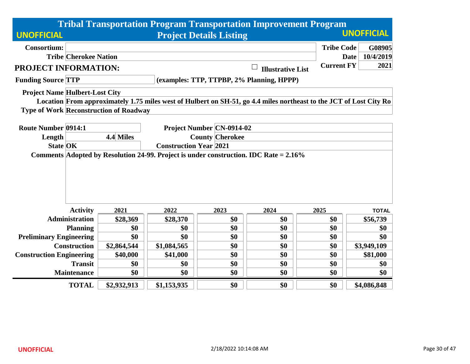|                                       |                              |                                               |                               |                                  | <b>Tribal Transportation Program Transportation Improvement Program</b>                                            |                   |                          |
|---------------------------------------|------------------------------|-----------------------------------------------|-------------------------------|----------------------------------|--------------------------------------------------------------------------------------------------------------------|-------------------|--------------------------|
| <b>UNOFFICIAL</b>                     |                              |                                               |                               | <b>Project Details Listing</b>   |                                                                                                                    |                   | <b>UNOFFICIAL</b>        |
| <b>Consortium:</b>                    |                              |                                               |                               |                                  |                                                                                                                    | <b>Tribe Code</b> | G08905                   |
|                                       | <b>Tribe Cherokee Nation</b> |                                               |                               |                                  |                                                                                                                    |                   | 10/4/2019<br><b>Date</b> |
| PROJECT INFORMATION:                  |                              |                                               |                               |                                  | <b>Illustrative List</b>                                                                                           | <b>Current FY</b> | 2021                     |
| <b>Funding Source TTP</b>             |                              |                                               |                               |                                  | (examples: TTP, TTPBP, 2% Planning, HPPP)                                                                          |                   |                          |
| <b>Project Name Hulbert-Lost City</b> |                              |                                               |                               |                                  |                                                                                                                    |                   |                          |
|                                       |                              |                                               |                               |                                  | Location From approximately 1.75 miles west of Hulbert on SH-51, go 4.4 miles northeast to the JCT of Lost City Ro |                   |                          |
|                                       |                              | <b>Type of Work Reconstruction of Roadway</b> |                               |                                  |                                                                                                                    |                   |                          |
| <b>Route Number 0914:1</b>            |                              |                                               |                               | <b>Project Number CN-0914-02</b> |                                                                                                                    |                   |                          |
| Length                                |                              | 4.4 Miles                                     |                               | <b>County Cherokee</b>           |                                                                                                                    |                   |                          |
| <b>State OK</b>                       |                              |                                               | <b>Construction Year 2021</b> |                                  |                                                                                                                    |                   |                          |
|                                       |                              |                                               |                               |                                  | Comments Adopted by Resolution 24-99. Project is under construction. IDC Rate = 2.16%                              |                   |                          |
|                                       |                              |                                               |                               |                                  |                                                                                                                    |                   |                          |
|                                       | <b>Activity</b>              | 2021                                          | 2022                          | 2023                             | 2024                                                                                                               | 2025              | <b>TOTAL</b>             |
|                                       | <b>Administration</b>        | \$28,369                                      | \$28,370                      | \$0                              | \$0                                                                                                                | \$0               | \$56,739                 |
|                                       | <b>Planning</b>              | \$0                                           | \$0                           | \$0                              | \$0                                                                                                                | \$0               | \$0                      |
| <b>Preliminary Engineering</b>        |                              | \$0                                           | \$0                           | \$0                              | \$0                                                                                                                | \$0               | \$0                      |
|                                       | <b>Construction</b>          | \$2,864,544                                   | \$1,084,565                   | \$0                              | \$0                                                                                                                | \$0               | \$3,949,109              |
| <b>Construction Engineering</b>       |                              | \$40,000                                      | \$41,000                      | \$0                              | \$0                                                                                                                | \$0               | \$81,000                 |
|                                       | <b>Transit</b>               | \$0                                           | \$0                           | \$0                              | \$0                                                                                                                | \$0               | \$0                      |
|                                       | <b>Maintenance</b>           | \$0                                           | \$0                           | \$0                              | \$0                                                                                                                | \$0               | \$0                      |
|                                       | <b>TOTAL</b>                 | \$2,932,913                                   | \$1,153,935                   | \$0                              | \$0                                                                                                                | \$0               | \$4,086,848              |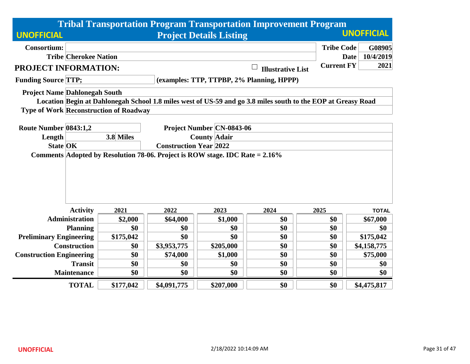|                                                                              |                                                  |                                               |                     |                                | <b>Tribal Transportation Program Transportation Improvement Program</b>                                      |                   |                          |  |  |
|------------------------------------------------------------------------------|--------------------------------------------------|-----------------------------------------------|---------------------|--------------------------------|--------------------------------------------------------------------------------------------------------------|-------------------|--------------------------|--|--|
| <b>UNOFFICIAL</b>                                                            |                                                  |                                               |                     | <b>Project Details Listing</b> |                                                                                                              |                   | <b>UNOFFICIAL</b>        |  |  |
| <b>Consortium:</b>                                                           |                                                  |                                               |                     |                                |                                                                                                              | <b>Tribe Code</b> | G08905                   |  |  |
|                                                                              | <b>Tribe Cherokee Nation</b>                     |                                               |                     |                                |                                                                                                              |                   | 10/4/2019<br><b>Date</b> |  |  |
| PROJECT INFORMATION:                                                         |                                                  |                                               |                     |                                | <b>Illustrative List</b>                                                                                     | <b>Current FY</b> | 2021                     |  |  |
| <b>Funding Source TTP;</b>                                                   |                                                  |                                               |                     |                                | (examples: TTP, TTPBP, 2% Planning, HPPP)                                                                    |                   |                          |  |  |
| <b>Project Name Dahlonegah South</b>                                         |                                                  |                                               |                     |                                |                                                                                                              |                   |                          |  |  |
|                                                                              |                                                  |                                               |                     |                                | Location Begin at Dahlonegah School 1.8 miles west of US-59 and go 3.8 miles south to the EOP at Greasy Road |                   |                          |  |  |
|                                                                              |                                                  | <b>Type of Work Reconstruction of Roadway</b> |                     |                                |                                                                                                              |                   |                          |  |  |
|                                                                              |                                                  |                                               |                     |                                |                                                                                                              |                   |                          |  |  |
| Route Number 0843:1,2                                                        |                                                  | <b>Project Number CN-0843-06</b>              |                     |                                |                                                                                                              |                   |                          |  |  |
| Length                                                                       |                                                  | 3.8 Miles                                     | <b>County Adair</b> |                                |                                                                                                              |                   |                          |  |  |
| Comments Adopted by Resolution 78-06. Project is ROW stage. IDC Rate = 2.16% | <b>State OK</b><br><b>Construction Year 2022</b> |                                               |                     |                                |                                                                                                              |                   |                          |  |  |
|                                                                              |                                                  |                                               |                     |                                |                                                                                                              |                   |                          |  |  |
|                                                                              | <b>Activity</b>                                  | 2021                                          | 2022                | 2023                           | 2024                                                                                                         | 2025              | <b>TOTAL</b>             |  |  |
|                                                                              | <b>Administration</b>                            | \$2,000                                       | \$64,000            | \$1,000                        | \$0                                                                                                          | \$0               | \$67,000                 |  |  |
|                                                                              | <b>Planning</b>                                  | \$0                                           | \$0                 | \$0                            | \$0                                                                                                          | \$0               | \$0                      |  |  |
| <b>Preliminary Engineering</b>                                               |                                                  | \$175,042                                     | \$0                 | \$0                            | \$0                                                                                                          | \$0               | \$175,042                |  |  |
|                                                                              | <b>Construction</b>                              | \$0                                           | \$3,953,775         | \$205,000                      | \$0                                                                                                          | \$0               | \$4,158,775              |  |  |
| <b>Construction Engineering</b>                                              |                                                  | \$0                                           | \$74,000            | \$1,000                        | \$0                                                                                                          | \$0               | \$75,000                 |  |  |
|                                                                              | <b>Transit</b>                                   | \$0                                           | \$0                 | \$0                            | \$0                                                                                                          | \$0               | \$0                      |  |  |
|                                                                              | <b>Maintenance</b>                               | \$0                                           | \$0                 | \$0                            | \$0                                                                                                          | \$0               | \$0                      |  |  |
|                                                                              | <b>TOTAL</b>                                     | \$177,042                                     | \$4,091,775         | \$207,000                      | \$0                                                                                                          | \$0               | \$4,475,817              |  |  |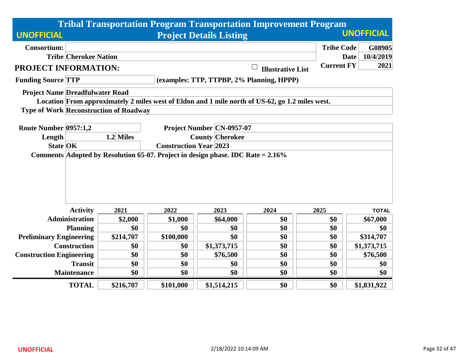|                                        |                                                                                                    |                                               |           |                                                         | <b>Tribal Transportation Program Transportation Improvement Program</b>                         |                   |                          |  |  |  |  |
|----------------------------------------|----------------------------------------------------------------------------------------------------|-----------------------------------------------|-----------|---------------------------------------------------------|-------------------------------------------------------------------------------------------------|-------------------|--------------------------|--|--|--|--|
| <b>UNOFFICIAL</b>                      |                                                                                                    |                                               |           | <b>Project Details Listing</b>                          |                                                                                                 |                   | <b>UNOFFICIAL</b>        |  |  |  |  |
| <b>Consortium:</b>                     |                                                                                                    |                                               |           |                                                         |                                                                                                 | <b>Tribe Code</b> | G08905                   |  |  |  |  |
|                                        | <b>Tribe Cherokee Nation</b>                                                                       |                                               |           |                                                         |                                                                                                 |                   | 10/4/2019<br><b>Date</b> |  |  |  |  |
| <b>PROJECT INFORMATION:</b>            |                                                                                                    |                                               |           |                                                         | <b>Illustrative List</b>                                                                        | <b>Current FY</b> | 2021                     |  |  |  |  |
| <b>Funding Source TTP</b>              |                                                                                                    |                                               |           |                                                         | (examples: TTP, TTPBP, 2% Planning, HPPP)                                                       |                   |                          |  |  |  |  |
| <b>Project Name Dreadfulwater Road</b> |                                                                                                    |                                               |           |                                                         |                                                                                                 |                   |                          |  |  |  |  |
|                                        |                                                                                                    |                                               |           |                                                         | Location From approximately 2 miles west of Eldon and 1 mile north of US-62, go 1.2 miles west. |                   |                          |  |  |  |  |
|                                        |                                                                                                    | <b>Type of Work Reconstruction of Roadway</b> |           |                                                         |                                                                                                 |                   |                          |  |  |  |  |
| Route Number 0957:1,2                  |                                                                                                    |                                               |           | <b>Project Number CN-0957-07</b>                        |                                                                                                 |                   |                          |  |  |  |  |
| Length                                 |                                                                                                    | 1.2 Miles                                     |           |                                                         |                                                                                                 |                   |                          |  |  |  |  |
|                                        |                                                                                                    |                                               |           | <b>County Cherokee</b><br><b>Construction Year 2023</b> |                                                                                                 |                   |                          |  |  |  |  |
|                                        | <b>State OK</b><br>Comments Adopted by Resolution 65-07. Project in design phase. IDC Rate = 2.16% |                                               |           |                                                         |                                                                                                 |                   |                          |  |  |  |  |
|                                        |                                                                                                    |                                               |           |                                                         |                                                                                                 |                   |                          |  |  |  |  |
|                                        |                                                                                                    |                                               |           |                                                         |                                                                                                 |                   |                          |  |  |  |  |
|                                        |                                                                                                    |                                               |           |                                                         |                                                                                                 |                   |                          |  |  |  |  |
|                                        |                                                                                                    |                                               |           |                                                         |                                                                                                 |                   |                          |  |  |  |  |
|                                        |                                                                                                    |                                               |           |                                                         |                                                                                                 |                   |                          |  |  |  |  |
|                                        | <b>Activity</b>                                                                                    | 2021                                          | 2022      | 2023                                                    | 2024                                                                                            | 2025              | <b>TOTAL</b>             |  |  |  |  |
|                                        | <b>Administration</b>                                                                              | \$2,000                                       | \$1,000   | \$64,000                                                | \$0                                                                                             | \$0               | \$67,000                 |  |  |  |  |
|                                        | <b>Planning</b>                                                                                    | \$0                                           | \$0       | \$0                                                     | \$0                                                                                             | \$0               | \$0                      |  |  |  |  |
| <b>Preliminary Engineering</b>         |                                                                                                    | \$214,707                                     | \$100,000 | \$0                                                     | \$0                                                                                             | \$0               | \$314,707                |  |  |  |  |
|                                        | <b>Construction</b>                                                                                | \$0                                           | \$0       | \$1,373,715                                             | \$0                                                                                             | \$0               | \$1,373,715              |  |  |  |  |
| <b>Construction Engineering</b>        |                                                                                                    | \$0                                           | \$0       | \$76,500                                                | \$0                                                                                             | \$0               | \$76,500                 |  |  |  |  |
|                                        | <b>Transit</b>                                                                                     | \$0                                           | \$0       | \$0                                                     | \$0                                                                                             | \$0               | \$0                      |  |  |  |  |
|                                        | <b>Maintenance</b>                                                                                 | \$0                                           | \$0       | \$0                                                     | \$0                                                                                             | \$0               | \$0                      |  |  |  |  |
|                                        | <b>TOTAL</b>                                                                                       | \$216,707                                     | \$101,000 | \$1,514,215                                             | \$0                                                                                             | \$0               | \$1,831,922              |  |  |  |  |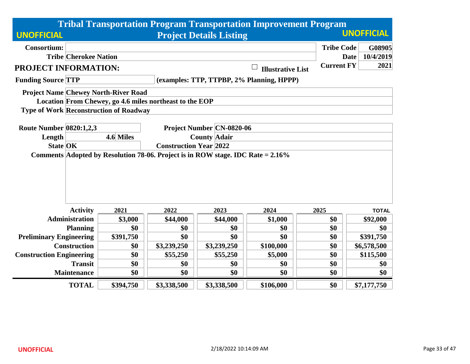|                                 |                                                                                    |                                                         |             |                                  | <b>Tribal Transportation Program Transportation Improvement Program</b> |                   |                          |  |  |  |
|---------------------------------|------------------------------------------------------------------------------------|---------------------------------------------------------|-------------|----------------------------------|-------------------------------------------------------------------------|-------------------|--------------------------|--|--|--|
| <b>UNOFFICIAL</b>               |                                                                                    |                                                         |             | <b>Project Details Listing</b>   |                                                                         |                   | <b>UNOFFICIAL</b>        |  |  |  |
| <b>Consortium:</b>              |                                                                                    |                                                         |             |                                  |                                                                         | <b>Tribe Code</b> | G08905                   |  |  |  |
|                                 | <b>Tribe Cherokee Nation</b>                                                       |                                                         |             |                                  |                                                                         |                   | 10/4/2019<br><b>Date</b> |  |  |  |
| PROJECT INFORMATION:            |                                                                                    |                                                         |             |                                  | <b>Illustrative List</b>                                                | <b>Current FY</b> | 2021                     |  |  |  |
| <b>Funding Source TTP</b>       |                                                                                    |                                                         |             |                                  | (examples: TTP, TTPBP, 2% Planning, HPPP)                               |                   |                          |  |  |  |
|                                 |                                                                                    | <b>Project Name Chewey North-River Road</b>             |             |                                  |                                                                         |                   |                          |  |  |  |
|                                 |                                                                                    | Location From Chewey, go 4.6 miles northeast to the EOP |             |                                  |                                                                         |                   |                          |  |  |  |
|                                 |                                                                                    | <b>Type of Work Reconstruction of Roadway</b>           |             |                                  |                                                                         |                   |                          |  |  |  |
|                                 |                                                                                    |                                                         |             |                                  |                                                                         |                   |                          |  |  |  |
| <b>Route Number 0820:1,2,3</b>  |                                                                                    |                                                         |             | <b>Project Number CN-0820-06</b> |                                                                         |                   |                          |  |  |  |
| Length                          |                                                                                    | 4.6 Miles                                               |             | <b>County Adair</b>              |                                                                         |                   |                          |  |  |  |
| <b>State OK</b>                 |                                                                                    | <b>Construction Year 2022</b>                           |             |                                  |                                                                         |                   |                          |  |  |  |
|                                 | Comments Adopted by Resolution 78-06. Project is in ROW stage. IDC Rate $= 2.16\%$ |                                                         |             |                                  |                                                                         |                   |                          |  |  |  |
|                                 |                                                                                    |                                                         |             |                                  |                                                                         |                   |                          |  |  |  |
|                                 |                                                                                    |                                                         |             |                                  |                                                                         |                   |                          |  |  |  |
|                                 |                                                                                    |                                                         |             |                                  |                                                                         |                   |                          |  |  |  |
|                                 |                                                                                    |                                                         |             |                                  |                                                                         |                   |                          |  |  |  |
|                                 |                                                                                    |                                                         |             |                                  |                                                                         |                   |                          |  |  |  |
|                                 | <b>Activity</b>                                                                    | 2021                                                    | 2022        | 2023                             | 2024                                                                    | 2025              | <b>TOTAL</b>             |  |  |  |
|                                 | <b>Administration</b>                                                              | \$3,000                                                 | \$44,000    | \$44,000                         | \$1,000                                                                 | \$0               | \$92,000                 |  |  |  |
|                                 | <b>Planning</b>                                                                    | \$0                                                     | \$0         | \$0                              | \$0                                                                     | \$0               | \$0                      |  |  |  |
| <b>Preliminary Engineering</b>  |                                                                                    | \$391,750                                               | \$0         | \$0                              | \$0                                                                     | \$0               | \$391,750                |  |  |  |
|                                 | <b>Construction</b>                                                                | \$0                                                     | \$3,239,250 | \$3,239,250                      | \$100,000                                                               | \$0               | \$6,578,500              |  |  |  |
| <b>Construction Engineering</b> |                                                                                    | \$0                                                     | \$55,250    | \$55,250                         | \$5,000                                                                 | \$0               | \$115,500                |  |  |  |
|                                 | <b>Transit</b>                                                                     | \$0                                                     | \$0         | \$0                              | \$0                                                                     | \$0               | \$0                      |  |  |  |
|                                 | <b>Maintenance</b>                                                                 | \$0                                                     | \$0         | \$0                              | \$0                                                                     | \$0               | \$0                      |  |  |  |
|                                 | <b>TOTAL</b>                                                                       | \$394,750                                               | \$3,338,500 | \$3,338,500                      | \$106,000                                                               | \$0               | \$7,177,750              |  |  |  |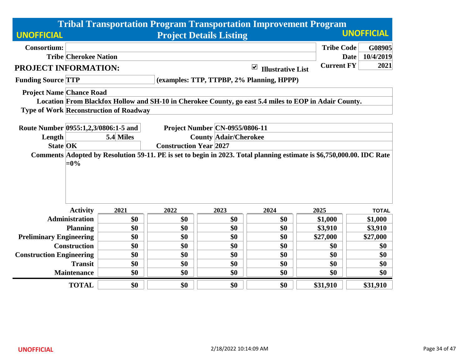|                                      |                                                                                                                                                        |                                               |      |                                       |                                                  | <b>Tribal Transportation Program Transportation Improvement Program</b>                               |                          |  |  |  |
|--------------------------------------|--------------------------------------------------------------------------------------------------------------------------------------------------------|-----------------------------------------------|------|---------------------------------------|--------------------------------------------------|-------------------------------------------------------------------------------------------------------|--------------------------|--|--|--|
| <b>UNOFFICIAL</b>                    |                                                                                                                                                        |                                               |      | <b>Project Details Listing</b>        |                                                  |                                                                                                       | <b>UNOFFICIAL</b>        |  |  |  |
| <b>Consortium:</b>                   |                                                                                                                                                        |                                               |      |                                       |                                                  | <b>Tribe Code</b>                                                                                     | G08905                   |  |  |  |
|                                      | <b>Tribe Cherokee Nation</b>                                                                                                                           |                                               |      |                                       |                                                  |                                                                                                       | 10/4/2019<br><b>Date</b> |  |  |  |
| PROJECT INFORMATION:                 |                                                                                                                                                        |                                               |      |                                       | $\blacktriangledown$<br><b>Illustrative List</b> | <b>Current FY</b>                                                                                     | 2021                     |  |  |  |
| <b>Funding Source TTP</b>            |                                                                                                                                                        |                                               |      |                                       | (examples: TTP, TTPBP, 2% Planning, HPPP)        |                                                                                                       |                          |  |  |  |
| <b>Project Name Chance Road</b>      |                                                                                                                                                        |                                               |      |                                       |                                                  |                                                                                                       |                          |  |  |  |
|                                      |                                                                                                                                                        |                                               |      |                                       |                                                  | Location From Blackfox Hollow and SH-10 in Cherokee County, go east 5.4 miles to EOP in Adair County. |                          |  |  |  |
|                                      |                                                                                                                                                        | <b>Type of Work Reconstruction of Roadway</b> |      |                                       |                                                  |                                                                                                       |                          |  |  |  |
|                                      |                                                                                                                                                        |                                               |      |                                       |                                                  |                                                                                                       |                          |  |  |  |
| Route Number 0955:1,2,3/0806:1-5 and |                                                                                                                                                        |                                               |      | <b>Project Number CN-0955/0806-11</b> |                                                  |                                                                                                       |                          |  |  |  |
| Length                               |                                                                                                                                                        | 5.4 Miles<br><b>County Adair/Cherokee</b>     |      |                                       |                                                  |                                                                                                       |                          |  |  |  |
| <b>State OK</b>                      | <b>Construction Year 2027</b><br>Comments Adopted by Resolution 59-11. PE is set to begin in 2023. Total planning estimate is \$6,750,000.00. IDC Rate |                                               |      |                                       |                                                  |                                                                                                       |                          |  |  |  |
|                                      | $=0\%$                                                                                                                                                 |                                               |      |                                       |                                                  |                                                                                                       |                          |  |  |  |
|                                      | <b>Activity</b>                                                                                                                                        | 2021                                          | 2022 | 2023                                  | 2024                                             | 2025                                                                                                  | <b>TOTAL</b>             |  |  |  |
|                                      | <b>Administration</b>                                                                                                                                  | \$0                                           | \$0  | \$0                                   | \$0                                              | \$1,000                                                                                               | \$1,000                  |  |  |  |
|                                      | <b>Planning</b>                                                                                                                                        | \$0                                           | \$0  | \$0                                   | \$0                                              | \$3,910                                                                                               | \$3,910                  |  |  |  |
| <b>Preliminary Engineering</b>       |                                                                                                                                                        | \$0                                           | \$0  | \$0                                   | \$0                                              | \$27,000                                                                                              | \$27,000                 |  |  |  |
|                                      | <b>Construction</b>                                                                                                                                    | \$0                                           | \$0  | \$0                                   | \$0                                              | \$0                                                                                                   | \$0                      |  |  |  |
| <b>Construction Engineering</b>      |                                                                                                                                                        | \$0                                           | \$0  | \$0                                   | \$0                                              | \$0                                                                                                   | \$0                      |  |  |  |
|                                      | <b>Transit</b>                                                                                                                                         | \$0                                           | \$0  | \$0                                   | \$0                                              | \$0                                                                                                   | \$0                      |  |  |  |
|                                      | <b>Maintenance</b>                                                                                                                                     | \$0                                           | \$0  | \$0                                   | \$0                                              | \$0                                                                                                   | \$0                      |  |  |  |
|                                      | <b>TOTAL</b>                                                                                                                                           | \$0                                           | \$0  | \$0                                   | \$0                                              | \$31,910                                                                                              | \$31,910                 |  |  |  |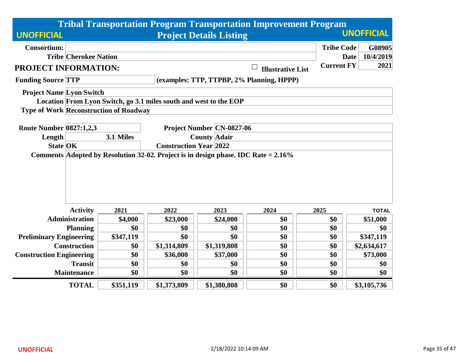|                                 |                              |                                               |                                                                   |                                  | <b>Tribal Transportation Program Transportation Improvement Program</b> |                   |                          |  |  |  |
|---------------------------------|------------------------------|-----------------------------------------------|-------------------------------------------------------------------|----------------------------------|-------------------------------------------------------------------------|-------------------|--------------------------|--|--|--|
| <b>UNOFFICIAL</b>               |                              |                                               |                                                                   | <b>Project Details Listing</b>   |                                                                         |                   | <b>UNOFFICIAL</b>        |  |  |  |
| <b>Consortium:</b>              |                              |                                               |                                                                   |                                  |                                                                         | <b>Tribe Code</b> | G08905                   |  |  |  |
|                                 | <b>Tribe Cherokee Nation</b> |                                               |                                                                   |                                  |                                                                         |                   | 10/4/2019<br><b>Date</b> |  |  |  |
| <b>PROJECT INFORMATION:</b>     |                              |                                               |                                                                   |                                  | <b>Illustrative List</b>                                                | <b>Current FY</b> | 2021                     |  |  |  |
| <b>Funding Source TTP</b>       |                              |                                               |                                                                   |                                  | (examples: TTP, TTPBP, 2% Planning, HPPP)                               |                   |                          |  |  |  |
| <b>Project Name Lyon Switch</b> |                              |                                               |                                                                   |                                  |                                                                         |                   |                          |  |  |  |
|                                 |                              |                                               | Location From Lyon Switch, go 3.1 miles south and west to the EOP |                                  |                                                                         |                   |                          |  |  |  |
|                                 |                              | <b>Type of Work Reconstruction of Roadway</b> |                                                                   |                                  |                                                                         |                   |                          |  |  |  |
| <b>Route Number 0827:1,2,3</b>  |                              |                                               |                                                                   | <b>Project Number CN-0827-06</b> |                                                                         |                   |                          |  |  |  |
| Length                          |                              | 3.1 Miles                                     |                                                                   | <b>County Adair</b>              |                                                                         |                   |                          |  |  |  |
| <b>State OK</b>                 |                              |                                               | <b>Construction Year 2022</b>                                     |                                  |                                                                         |                   |                          |  |  |  |
|                                 |                              |                                               |                                                                   |                                  |                                                                         |                   |                          |  |  |  |
|                                 | <b>Activity</b>              | 2021                                          | 2022                                                              | 2023                             | 2024                                                                    | 2025              | <b>TOTAL</b>             |  |  |  |
|                                 | <b>Administration</b>        | \$4,000                                       | \$23,000                                                          | \$24,000                         | \$0                                                                     | \$0               | \$51,000                 |  |  |  |
|                                 | <b>Planning</b>              | \$0                                           | \$0                                                               | \$0                              | \$0                                                                     | \$0               | \$0                      |  |  |  |
| <b>Preliminary Engineering</b>  |                              | \$347,119                                     | \$0                                                               | \$0                              | \$0                                                                     | \$0               | \$347,119                |  |  |  |
|                                 | <b>Construction</b>          | \$0                                           | \$1,314,809                                                       | \$1,319,808                      | \$0                                                                     | \$0               | \$2,634,617              |  |  |  |
| <b>Construction Engineering</b> |                              | \$0                                           | \$36,000                                                          | \$37,000                         | \$0                                                                     | \$0               | \$73,000                 |  |  |  |
|                                 | <b>Transit</b>               | \$0                                           | \$0                                                               | \$0                              | \$0                                                                     | \$0               | \$0                      |  |  |  |
|                                 | <b>Maintenance</b>           | \$0                                           | \$0                                                               | \$0                              | \$0                                                                     | \$0               | \$0                      |  |  |  |
|                                 | <b>TOTAL</b>                 | \$351,119                                     | \$1,373,809                                                       | \$1,380,808                      | \$0                                                                     | \$0               | \$3,105,736              |  |  |  |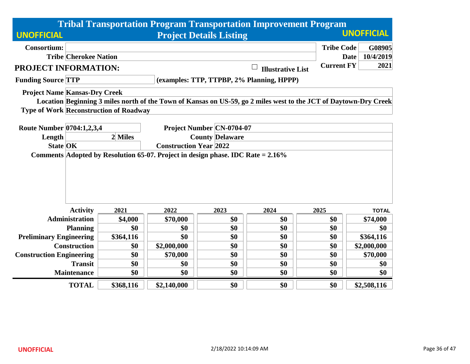|                                               |                               |                        |                                           | <b>Tribal Transportation Program Transportation Improvement Program</b>                                          |                   |                   |  |  |  |
|-----------------------------------------------|-------------------------------|------------------------|-------------------------------------------|------------------------------------------------------------------------------------------------------------------|-------------------|-------------------|--|--|--|
| <b>UNOFFICIAL</b>                             |                               |                        | <b>Project Details Listing</b>            |                                                                                                                  |                   | <b>UNOFFICIAL</b> |  |  |  |
| <b>Consortium:</b>                            |                               |                        |                                           |                                                                                                                  | <b>Tribe Code</b> | G08905            |  |  |  |
| <b>Tribe Cherokee Nation</b>                  |                               |                        |                                           |                                                                                                                  | <b>Date</b>       | 10/4/2019         |  |  |  |
| PROJECT INFORMATION:                          |                               |                        |                                           | <b>Illustrative List</b>                                                                                         | <b>Current FY</b> | 2021              |  |  |  |
| <b>Funding Source TTP</b>                     |                               |                        | (examples: TTP, TTPBP, 2% Planning, HPPP) |                                                                                                                  |                   |                   |  |  |  |
| <b>Project Name Kansas-Dry Creek</b>          |                               |                        |                                           | Location Beginning 3 miles north of the Town of Kansas on US-59, go 2 miles west to the JCT of Daytown-Dry Creek |                   |                   |  |  |  |
| <b>Type of Work Reconstruction of Roadway</b> |                               |                        |                                           |                                                                                                                  |                   |                   |  |  |  |
| Route Number 0704:1,2,3,4                     |                               |                        | <b>Project Number CN-0704-07</b>          |                                                                                                                  |                   |                   |  |  |  |
| Length                                        | 2 Miles                       | <b>County Delaware</b> |                                           |                                                                                                                  |                   |                   |  |  |  |
| <b>State OK</b>                               | <b>Construction Year 2022</b> |                        |                                           |                                                                                                                  |                   |                   |  |  |  |
| <b>Activity</b>                               | 2021                          | 2022                   | 2023                                      | 2024                                                                                                             | 2025              | <b>TOTAL</b>      |  |  |  |
| <b>Administration</b>                         | \$4,000                       | \$70,000               | \$0                                       | \$0                                                                                                              | \$0               | \$74,000          |  |  |  |
| <b>Planning</b>                               | \$0                           | \$0                    | \$0                                       | \$0                                                                                                              | \$0               | \$0               |  |  |  |
| <b>Preliminary Engineering</b>                | \$364,116                     | \$0                    | \$0                                       | \$0                                                                                                              | \$0               | \$364,116         |  |  |  |
| <b>Construction</b>                           | \$0                           | \$2,000,000            | \$0                                       | \$0                                                                                                              | \$0               | \$2,000,000       |  |  |  |
| <b>Construction Engineering</b>               | \$0                           | \$70,000               | \$0                                       | \$0                                                                                                              | \$0               | \$70,000          |  |  |  |
| <b>Transit</b>                                | \$0                           | \$0                    | \$0                                       | \$0                                                                                                              | \$0               | \$0               |  |  |  |
| <b>Maintenance</b>                            | \$0                           | \$0                    | \$0                                       | \$0                                                                                                              | \$0               | \$0               |  |  |  |
| <b>TOTAL</b>                                  | \$368,116                     | \$2,140,000            | \$0                                       | \$0                                                                                                              | \$0               | \$2,508,116       |  |  |  |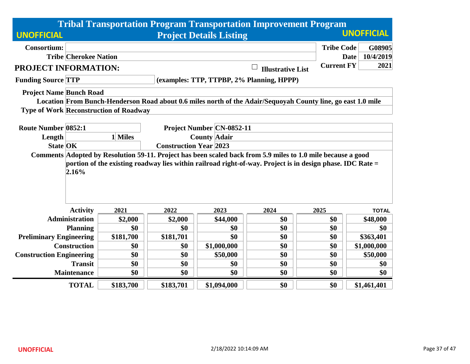|                                 |                              |                                               |           |                                | <b>Tribal Transportation Program Transportation Improvement Program</b>                                                                                                                                                   |                   |                          |
|---------------------------------|------------------------------|-----------------------------------------------|-----------|--------------------------------|---------------------------------------------------------------------------------------------------------------------------------------------------------------------------------------------------------------------------|-------------------|--------------------------|
| <b>UNOFFICIAL</b>               |                              |                                               |           | <b>Project Details Listing</b> |                                                                                                                                                                                                                           |                   | <b>UNOFFICIAL</b>        |
| <b>Consortium:</b>              |                              |                                               |           |                                |                                                                                                                                                                                                                           | <b>Tribe Code</b> | G08905                   |
|                                 | <b>Tribe Cherokee Nation</b> |                                               |           |                                |                                                                                                                                                                                                                           |                   | 10/4/2019<br><b>Date</b> |
| PROJECT INFORMATION:            |                              |                                               |           |                                | <b>Illustrative List</b>                                                                                                                                                                                                  | <b>Current FY</b> | 2021                     |
| <b>Funding Source TTP</b>       |                              |                                               |           |                                | (examples: TTP, TTPBP, 2% Planning, HPPP)                                                                                                                                                                                 |                   |                          |
| <b>Project Name Bunch Road</b>  |                              |                                               |           |                                |                                                                                                                                                                                                                           |                   |                          |
|                                 |                              |                                               |           |                                | Location From Bunch-Henderson Road about 0.6 miles north of the Adair/Sequoyah County line, go east 1.0 mile                                                                                                              |                   |                          |
|                                 |                              | <b>Type of Work Reconstruction of Roadway</b> |           |                                |                                                                                                                                                                                                                           |                   |                          |
| <b>Route Number 0852:1</b>      |                              |                                               |           | Project Number CN-0852-11      |                                                                                                                                                                                                                           |                   |                          |
| Length                          |                              | 1 Miles                                       |           |                                |                                                                                                                                                                                                                           |                   |                          |
| <b>State OK</b>                 |                              |                                               |           |                                |                                                                                                                                                                                                                           |                   |                          |
|                                 | 2.16%                        |                                               |           |                                | Comments Adopted by Resolution 59-11. Project has been scaled back from 5.9 miles to 1.0 mile because a good<br>portion of the existing roadway lies within railroad right-of-way. Project is in design phase. IDC Rate = |                   |                          |
|                                 | <b>Activity</b>              | 2021                                          | 2022      | 2023                           | 2024                                                                                                                                                                                                                      | 2025              | <b>TOTAL</b>             |
|                                 | <b>Administration</b>        | \$2,000                                       | \$2,000   | \$44,000                       | \$0                                                                                                                                                                                                                       | \$0               | \$48,000                 |
|                                 | <b>Planning</b>              | \$0                                           | \$0       | \$0                            | \$0                                                                                                                                                                                                                       | \$0               | \$0                      |
| <b>Preliminary Engineering</b>  |                              | \$181,700                                     | \$181,701 | \$0                            | \$0                                                                                                                                                                                                                       | \$0               | \$363,401                |
|                                 | <b>Construction</b>          | \$0                                           | \$0       | \$1,000,000                    | \$0                                                                                                                                                                                                                       | \$0               | \$1,000,000              |
| <b>Construction Engineering</b> |                              | \$0                                           | \$0       | \$50,000                       | \$0                                                                                                                                                                                                                       | \$0               | \$50,000                 |
|                                 | <b>Transit</b>               | \$0                                           | \$0       | \$0                            | \$0                                                                                                                                                                                                                       | \$0               | \$0                      |
|                                 | <b>Maintenance</b>           | \$0                                           | \$0       | \$0                            | \$0                                                                                                                                                                                                                       | \$0               | \$0                      |
|                                 | <b>TOTAL</b>                 | \$183,700                                     | \$183,701 | \$1,094,000                    | \$0                                                                                                                                                                                                                       | \$0               | \$1,461,401              |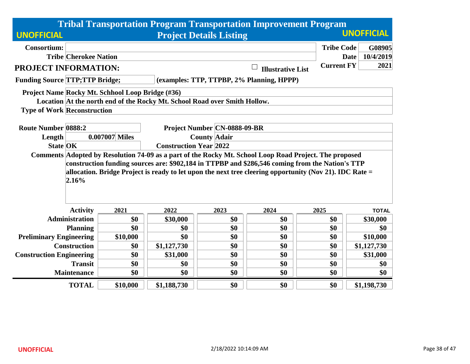|                                       |                                                                                                                                                                                                                                                                                                                               |                                                  |                                                                           |                                | <b>Tribal Transportation Program Transportation Improvement Program</b> |                   |                          |  |  |  |
|---------------------------------------|-------------------------------------------------------------------------------------------------------------------------------------------------------------------------------------------------------------------------------------------------------------------------------------------------------------------------------|--------------------------------------------------|---------------------------------------------------------------------------|--------------------------------|-------------------------------------------------------------------------|-------------------|--------------------------|--|--|--|
| <b>UNOFFICIAL</b>                     |                                                                                                                                                                                                                                                                                                                               |                                                  |                                                                           | <b>Project Details Listing</b> |                                                                         |                   | <b>UNOFFICIAL</b>        |  |  |  |
| <b>Consortium:</b>                    |                                                                                                                                                                                                                                                                                                                               |                                                  |                                                                           |                                |                                                                         | <b>Tribe Code</b> | G08905                   |  |  |  |
|                                       | <b>Tribe Cherokee Nation</b>                                                                                                                                                                                                                                                                                                  |                                                  |                                                                           |                                |                                                                         |                   | 10/4/2019<br><b>Date</b> |  |  |  |
| PROJECT INFORMATION:                  |                                                                                                                                                                                                                                                                                                                               |                                                  |                                                                           |                                | <b>Illustrative List</b>                                                | <b>Current FY</b> | 2021                     |  |  |  |
| <b>Funding Source TTP;TTP Bridge;</b> |                                                                                                                                                                                                                                                                                                                               |                                                  |                                                                           |                                | (examples: TTP, TTPBP, 2% Planning, HPPP)                               |                   |                          |  |  |  |
|                                       |                                                                                                                                                                                                                                                                                                                               | Project Name Rocky Mt. Schhool Loop Bridge (#36) |                                                                           |                                |                                                                         |                   |                          |  |  |  |
|                                       |                                                                                                                                                                                                                                                                                                                               |                                                  | Location At the north end of the Rocky Mt. School Road over Smith Hollow. |                                |                                                                         |                   |                          |  |  |  |
| <b>Type of Work Reconstruction</b>    |                                                                                                                                                                                                                                                                                                                               |                                                  |                                                                           |                                |                                                                         |                   |                          |  |  |  |
|                                       |                                                                                                                                                                                                                                                                                                                               |                                                  |                                                                           |                                |                                                                         |                   |                          |  |  |  |
| <b>Route Number 0888:2</b>            |                                                                                                                                                                                                                                                                                                                               | <b>Project Number CN-0888-09-BR</b>              |                                                                           |                                |                                                                         |                   |                          |  |  |  |
| Length                                |                                                                                                                                                                                                                                                                                                                               | 0.007007 Miles                                   | <b>County Adair</b>                                                       |                                |                                                                         |                   |                          |  |  |  |
| <b>State OK</b>                       |                                                                                                                                                                                                                                                                                                                               | <b>Construction Year 2022</b>                    |                                                                           |                                |                                                                         |                   |                          |  |  |  |
|                                       | Comments Adopted by Resolution 74-09 as a part of the Rocky Mt. School Loop Road Project. The proposed<br>construction funding sources are: \$902,184 in TTPBP and \$286,546 coming from the Nation's TTP<br>allocation. Bridge Project is ready to let upon the next tree cleering opportunity (Nov 21). IDC Rate =<br>2.16% |                                                  |                                                                           |                                |                                                                         |                   |                          |  |  |  |
|                                       | <b>Activity</b>                                                                                                                                                                                                                                                                                                               | 2021                                             | 2022                                                                      | 2023                           | 2024                                                                    | 2025              | <b>TOTAL</b>             |  |  |  |
|                                       | <b>Administration</b>                                                                                                                                                                                                                                                                                                         | \$0                                              | \$30,000                                                                  | \$0                            | \$0                                                                     | \$0               | \$30,000                 |  |  |  |
|                                       | <b>Planning</b>                                                                                                                                                                                                                                                                                                               | \$0                                              | \$0                                                                       | \$0                            | \$0                                                                     | \$0               | \$0                      |  |  |  |
| <b>Preliminary Engineering</b>        |                                                                                                                                                                                                                                                                                                                               | \$10,000                                         | \$0                                                                       | \$0                            | \$0                                                                     | \$0               | \$10,000                 |  |  |  |
|                                       | <b>Construction</b>                                                                                                                                                                                                                                                                                                           | \$0                                              | \$1,127,730                                                               | \$0                            | \$0                                                                     | \$0               | \$1,127,730              |  |  |  |
| <b>Construction Engineering</b>       |                                                                                                                                                                                                                                                                                                                               | \$0                                              | \$31,000                                                                  | \$0                            | \$0                                                                     | \$0               | \$31,000                 |  |  |  |
|                                       | <b>Transit</b>                                                                                                                                                                                                                                                                                                                | \$0                                              | \$0                                                                       | \$0                            | \$0                                                                     | \$0               | \$0                      |  |  |  |
|                                       | <b>Maintenance</b>                                                                                                                                                                                                                                                                                                            | \$0                                              | \$0                                                                       | \$0                            | \$0                                                                     | \$0               | \$0                      |  |  |  |
|                                       | <b>TOTAL</b>                                                                                                                                                                                                                                                                                                                  | \$10,000                                         | \$1,188,730                                                               | \$0                            | \$0                                                                     | \$0               | \$1,198,730              |  |  |  |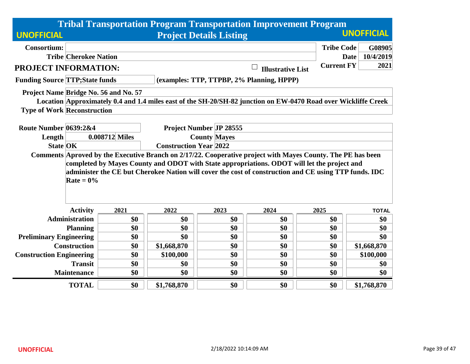|                                        |                                                                                                                                              |                                                  |                     |                                           |                          | <b>Tribal Transportation Program Transportation Improvement Program</b>                                                                                                                              |                   |  |  |  |
|----------------------------------------|----------------------------------------------------------------------------------------------------------------------------------------------|--------------------------------------------------|---------------------|-------------------------------------------|--------------------------|------------------------------------------------------------------------------------------------------------------------------------------------------------------------------------------------------|-------------------|--|--|--|
| <b>UNOFFICIAL</b>                      |                                                                                                                                              |                                                  |                     | <b>Project Details Listing</b>            |                          |                                                                                                                                                                                                      | <b>UNOFFICIAL</b> |  |  |  |
| <b>Consortium:</b>                     |                                                                                                                                              |                                                  |                     |                                           |                          | <b>Tribe Code</b>                                                                                                                                                                                    | G08905            |  |  |  |
|                                        | <b>Tribe Cherokee Nation</b>                                                                                                                 |                                                  |                     |                                           |                          | <b>Date</b>                                                                                                                                                                                          | 10/4/2019         |  |  |  |
| PROJECT INFORMATION:                   |                                                                                                                                              |                                                  |                     |                                           | <b>Illustrative List</b> | <b>Current FY</b>                                                                                                                                                                                    | 2021              |  |  |  |
| <b>Funding Source TTP; State funds</b> |                                                                                                                                              |                                                  |                     | (examples: TTP, TTPBP, 2% Planning, HPPP) |                          |                                                                                                                                                                                                      |                   |  |  |  |
| Project Name Bridge No. 56 and No. 57  |                                                                                                                                              |                                                  |                     |                                           |                          |                                                                                                                                                                                                      |                   |  |  |  |
|                                        |                                                                                                                                              |                                                  |                     |                                           |                          | Location Approximately 0.4 and 1.4 miles east of the SH-20/SH-82 junction on EW-0470 Road over Wickliffe Creek                                                                                       |                   |  |  |  |
| <b>Type of Work Reconstruction</b>     |                                                                                                                                              |                                                  |                     |                                           |                          |                                                                                                                                                                                                      |                   |  |  |  |
|                                        |                                                                                                                                              |                                                  |                     |                                           |                          |                                                                                                                                                                                                      |                   |  |  |  |
| Route Number 0639:2&4                  |                                                                                                                                              | <b>Project Number JP 28555</b><br>0.008712 Miles |                     |                                           |                          |                                                                                                                                                                                                      |                   |  |  |  |
| Length                                 |                                                                                                                                              |                                                  | <b>County Mayes</b> |                                           |                          |                                                                                                                                                                                                      |                   |  |  |  |
| <b>State OK</b>                        | <b>Construction Year 2022</b><br>Comments Aproved by the Executive Branch on 2/17/22. Cooperative project with Mayes County. The PE has been |                                                  |                     |                                           |                          |                                                                                                                                                                                                      |                   |  |  |  |
|                                        | Rate = $0\%$                                                                                                                                 |                                                  |                     |                                           |                          | completed by Mayes County and ODOT with State appropriations. ODOT will let the project and<br>administer the CE but Cherokee Nation will cover the cost of construction and CE using TTP funds. IDC |                   |  |  |  |
|                                        | <b>Activity</b>                                                                                                                              | 2021                                             | 2022                | 2023                                      | 2024                     | 2025                                                                                                                                                                                                 | <b>TOTAL</b>      |  |  |  |
|                                        | <b>Administration</b>                                                                                                                        | \$0                                              | \$0                 | \$0                                       | \$0                      | \$0                                                                                                                                                                                                  | \$0               |  |  |  |
|                                        | <b>Planning</b>                                                                                                                              | \$0                                              | \$0                 | \$0                                       | \$0                      | \$0                                                                                                                                                                                                  | \$0               |  |  |  |
| <b>Preliminary Engineering</b>         |                                                                                                                                              | \$0                                              | \$0                 | \$0                                       | \$0                      | \$0                                                                                                                                                                                                  | \$0               |  |  |  |
|                                        | <b>Construction</b>                                                                                                                          | \$0                                              | \$1,668,870         | \$0                                       | \$0                      | \$0                                                                                                                                                                                                  | \$1,668,870       |  |  |  |
| <b>Construction Engineering</b>        |                                                                                                                                              | \$0                                              | \$100,000           | \$0                                       | \$0                      | \$0                                                                                                                                                                                                  | \$100,000         |  |  |  |
|                                        | <b>Transit</b>                                                                                                                               | \$0                                              | \$0                 | \$0                                       | \$0                      | \$0                                                                                                                                                                                                  | \$0               |  |  |  |
|                                        | <b>Maintenance</b>                                                                                                                           | \$0                                              | \$0                 | \$0                                       | \$0                      | \$0                                                                                                                                                                                                  | \$0               |  |  |  |
|                                        | <b>TOTAL</b>                                                                                                                                 | \$0                                              | \$1,768,870         | \$0                                       | \$0                      | \$0                                                                                                                                                                                                  | \$1,768,870       |  |  |  |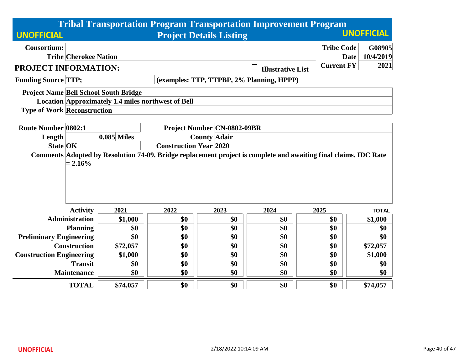|                                    |                                                                                                                                                   |                                                           |                     | <b>Tribal Transportation Program Transportation Improvement Program</b> |                          |                   |                          |  |  |
|------------------------------------|---------------------------------------------------------------------------------------------------------------------------------------------------|-----------------------------------------------------------|---------------------|-------------------------------------------------------------------------|--------------------------|-------------------|--------------------------|--|--|
| <b>UNOFFICIAL</b>                  |                                                                                                                                                   |                                                           |                     | <b>Project Details Listing</b>                                          |                          |                   | <b>UNOFFICIAL</b>        |  |  |
| <b>Consortium:</b>                 |                                                                                                                                                   |                                                           |                     |                                                                         |                          | <b>Tribe Code</b> | G08905                   |  |  |
|                                    | <b>Tribe Cherokee Nation</b>                                                                                                                      |                                                           |                     |                                                                         |                          |                   | 10/4/2019<br><b>Date</b> |  |  |
| <b>PROJECT INFORMATION:</b>        |                                                                                                                                                   |                                                           |                     |                                                                         | <b>Illustrative List</b> | <b>Current FY</b> | 2021                     |  |  |
| <b>Funding Source TTP;</b>         |                                                                                                                                                   |                                                           |                     | (examples: TTP, TTPBP, 2% Planning, HPPP)                               |                          |                   |                          |  |  |
|                                    |                                                                                                                                                   | <b>Project Name Bell School South Bridge</b>              |                     |                                                                         |                          |                   |                          |  |  |
|                                    |                                                                                                                                                   | <b>Location Approximately 1.4 miles northwest of Bell</b> |                     |                                                                         |                          |                   |                          |  |  |
| <b>Type of Work Reconstruction</b> |                                                                                                                                                   |                                                           |                     |                                                                         |                          |                   |                          |  |  |
| <b>Route Number 0802:1</b>         |                                                                                                                                                   |                                                           |                     |                                                                         |                          |                   |                          |  |  |
|                                    |                                                                                                                                                   | <b>0.085 Miles</b>                                        |                     | <b>Project Number CN-0802-09BR</b>                                      |                          |                   |                          |  |  |
| Length                             |                                                                                                                                                   |                                                           | <b>County Adair</b> |                                                                         |                          |                   |                          |  |  |
| <b>State OK</b>                    | <b>Construction Year 2020</b><br>Comments Adopted by Resolution 74-09. Bridge replacement project is complete and awaiting final claims. IDC Rate |                                                           |                     |                                                                         |                          |                   |                          |  |  |
|                                    | $= 2.16\%$                                                                                                                                        |                                                           |                     |                                                                         |                          |                   |                          |  |  |
|                                    | <b>Activity</b>                                                                                                                                   | 2021                                                      | 2022                | 2023                                                                    | 2024                     | 2025              | <b>TOTAL</b>             |  |  |
|                                    | <b>Administration</b>                                                                                                                             | \$1,000                                                   | \$0                 | \$0                                                                     | \$0                      | \$0               | \$1,000                  |  |  |
|                                    | <b>Planning</b>                                                                                                                                   | \$0                                                       | \$0                 | \$0                                                                     | \$0                      | \$0               | \$0                      |  |  |
| <b>Preliminary Engineering</b>     |                                                                                                                                                   | \$0                                                       | \$0                 | \$0                                                                     | \$0                      | \$0               | \$0                      |  |  |
|                                    | <b>Construction</b>                                                                                                                               | \$72,057                                                  | \$0                 | \$0                                                                     | \$0                      | \$0               | \$72,057                 |  |  |
| <b>Construction Engineering</b>    |                                                                                                                                                   | \$1,000                                                   | \$0                 | \$0                                                                     | \$0                      | \$0               | \$1,000                  |  |  |
|                                    | <b>Transit</b>                                                                                                                                    | \$0                                                       | \$0                 | \$0                                                                     | \$0                      | \$0               | \$0                      |  |  |
|                                    | <b>Maintenance</b>                                                                                                                                | \$0                                                       | \$0                 | \$0                                                                     | \$0                      | \$0               | \$0                      |  |  |
|                                    | <b>TOTAL</b>                                                                                                                                      | \$74,057                                                  | \$0                 | \$0                                                                     | \$0                      | \$0               | \$74,057                 |  |  |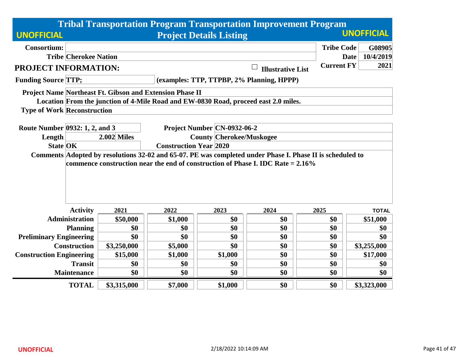|                                    |                              |                                                                 |                                 | <b>Tribal Transportation Program Transportation Improvement Program</b>                                                                                                                         |                          |                   |                          |  |  |
|------------------------------------|------------------------------|-----------------------------------------------------------------|---------------------------------|-------------------------------------------------------------------------------------------------------------------------------------------------------------------------------------------------|--------------------------|-------------------|--------------------------|--|--|
| <b>UNOFFICIAL</b>                  |                              |                                                                 |                                 | <b>Project Details Listing</b>                                                                                                                                                                  |                          |                   | <b>UNOFFICIAL</b>        |  |  |
| <b>Consortium:</b>                 |                              |                                                                 |                                 |                                                                                                                                                                                                 |                          | <b>Tribe Code</b> | G08905                   |  |  |
|                                    | <b>Tribe Cherokee Nation</b> |                                                                 |                                 |                                                                                                                                                                                                 |                          |                   | 10/4/2019<br><b>Date</b> |  |  |
| PROJECT INFORMATION:               |                              |                                                                 |                                 |                                                                                                                                                                                                 | <b>Illustrative List</b> | <b>Current FY</b> | 2021                     |  |  |
| <b>Funding Source TTP;</b>         |                              |                                                                 |                                 | (examples: TTP, TTPBP, 2% Planning, HPPP)                                                                                                                                                       |                          |                   |                          |  |  |
|                                    |                              | <b>Project Name Northeast Ft. Gibson and Extension Phase II</b> |                                 |                                                                                                                                                                                                 |                          |                   |                          |  |  |
|                                    |                              |                                                                 |                                 | Location From the junction of 4-Mile Road and EW-0830 Road, proceed east 2.0 miles.                                                                                                             |                          |                   |                          |  |  |
| <b>Type of Work Reconstruction</b> |                              |                                                                 |                                 |                                                                                                                                                                                                 |                          |                   |                          |  |  |
| Route Number 0932: 1, 2, and 3     |                              |                                                                 |                                 | Project Number CN-0932-06-2                                                                                                                                                                     |                          |                   |                          |  |  |
| Length                             |                              | <b>2.002 Miles</b>                                              | <b>County Cherokee/Muskogee</b> |                                                                                                                                                                                                 |                          |                   |                          |  |  |
| <b>State OK</b>                    |                              |                                                                 | <b>Construction Year 2020</b>   |                                                                                                                                                                                                 |                          |                   |                          |  |  |
|                                    |                              |                                                                 |                                 | Comments Adopted by resolutions 32-02 and 65-07. PE was completed under Phase I. Phase II is scheduled to<br>commence construction near the end of construction of Phase I. IDC Rate $= 2.16\%$ |                          |                   |                          |  |  |
|                                    | <b>Activity</b>              | 2021                                                            | 2022                            | 2023                                                                                                                                                                                            | 2024                     | 2025              | <b>TOTAL</b>             |  |  |
|                                    | <b>Administration</b>        | \$50,000                                                        | \$1,000                         | \$0                                                                                                                                                                                             | \$0                      | \$0               | \$51,000                 |  |  |
|                                    | <b>Planning</b>              | \$0                                                             | \$0                             | \$0                                                                                                                                                                                             | \$0                      | \$0               | \$0                      |  |  |
| <b>Preliminary Engineering</b>     |                              | \$0                                                             | \$0                             | \$0                                                                                                                                                                                             | \$0                      | \$0               | \$0                      |  |  |
|                                    | <b>Construction</b>          | \$3,250,000                                                     | \$5,000                         | \$0                                                                                                                                                                                             | \$0                      | \$0               | \$3,255,000              |  |  |
| <b>Construction Engineering</b>    |                              | \$15,000                                                        | \$1,000                         | \$1,000                                                                                                                                                                                         | \$0                      | \$0               | \$17,000                 |  |  |
|                                    | <b>Transit</b>               | \$0                                                             | \$0                             | \$0                                                                                                                                                                                             | \$0                      | \$0               | \$0                      |  |  |
|                                    | <b>Maintenance</b>           | \$0                                                             | \$0                             | \$0                                                                                                                                                                                             | \$0                      | \$0               | \$0                      |  |  |
|                                    | <b>TOTAL</b>                 | \$3,315,000                                                     | \$7,000                         | \$1,000                                                                                                                                                                                         | \$0                      | \$0               | \$3,323,000              |  |  |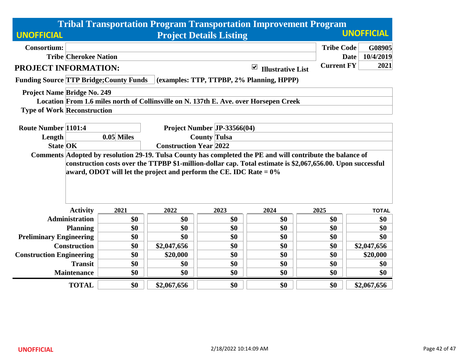|                                                |                                                                                                                                                                                                                                                                                                    |            |                     |                                | <b>Tribal Transportation Program Transportation Improvement Program</b>               |                   |                          |  |  |  |
|------------------------------------------------|----------------------------------------------------------------------------------------------------------------------------------------------------------------------------------------------------------------------------------------------------------------------------------------------------|------------|---------------------|--------------------------------|---------------------------------------------------------------------------------------|-------------------|--------------------------|--|--|--|
| <b>UNOFFICIAL</b>                              |                                                                                                                                                                                                                                                                                                    |            |                     | <b>Project Details Listing</b> |                                                                                       |                   | <b>UNOFFICIAL</b>        |  |  |  |
| <b>Consortium:</b>                             |                                                                                                                                                                                                                                                                                                    |            |                     |                                |                                                                                       | <b>Tribe Code</b> | G08905                   |  |  |  |
|                                                | <b>Tribe Cherokee Nation</b>                                                                                                                                                                                                                                                                       |            |                     |                                |                                                                                       |                   | <b>Date</b><br>10/4/2019 |  |  |  |
| PROJECT INFORMATION:                           |                                                                                                                                                                                                                                                                                                    |            |                     |                                | $\blacktriangledown$<br><b>Illustrative List</b>                                      | <b>Current FY</b> | 2021                     |  |  |  |
| <b>Funding Source TTP Bridge; County Funds</b> |                                                                                                                                                                                                                                                                                                    |            |                     |                                | (examples: TTP, TTPBP, 2% Planning, HPPP)                                             |                   |                          |  |  |  |
| <b>Project Name Bridge No. 249</b>             |                                                                                                                                                                                                                                                                                                    |            |                     |                                |                                                                                       |                   |                          |  |  |  |
|                                                |                                                                                                                                                                                                                                                                                                    |            |                     |                                | Location From 1.6 miles north of Collinsville on N. 137th E. Ave. over Horsepen Creek |                   |                          |  |  |  |
| <b>Type of Work Reconstruction</b>             |                                                                                                                                                                                                                                                                                                    |            |                     |                                |                                                                                       |                   |                          |  |  |  |
|                                                |                                                                                                                                                                                                                                                                                                    |            |                     |                                |                                                                                       |                   |                          |  |  |  |
| <b>Route Number 1101:4</b>                     |                                                                                                                                                                                                                                                                                                    |            |                     | Project Number JP-33566(04)    |                                                                                       |                   |                          |  |  |  |
| Length                                         |                                                                                                                                                                                                                                                                                                    | 0.05 Miles | <b>County Tulsa</b> |                                |                                                                                       |                   |                          |  |  |  |
| <b>State OK</b>                                | <b>Construction Year 2022</b>                                                                                                                                                                                                                                                                      |            |                     |                                |                                                                                       |                   |                          |  |  |  |
|                                                | Comments Adopted by resolution 29-19. Tulsa County has completed the PE and will contribute the balance of<br>construction costs over the TTPBP \$1-million-dollar cap. Total estimate is \$2,067,656.00. Upon successful<br>award, ODOT will let the project and perform the CE. IDC Rate $= 0\%$ |            |                     |                                |                                                                                       |                   |                          |  |  |  |
|                                                | <b>Activity</b>                                                                                                                                                                                                                                                                                    | 2021       | 2022                | 2023                           | 2024                                                                                  | 2025              | <b>TOTAL</b>             |  |  |  |
|                                                | <b>Administration</b>                                                                                                                                                                                                                                                                              | \$0        | \$0                 | \$0                            | \$0                                                                                   | \$0               | \$0                      |  |  |  |
|                                                | <b>Planning</b>                                                                                                                                                                                                                                                                                    | \$0        | \$0                 | \$0                            | \$0                                                                                   | \$0               | \$0                      |  |  |  |
| <b>Preliminary Engineering</b>                 |                                                                                                                                                                                                                                                                                                    | \$0        | \$0                 | \$0                            | \$0                                                                                   | \$0               | \$0                      |  |  |  |
|                                                | <b>Construction</b>                                                                                                                                                                                                                                                                                | \$0        | \$2,047,656         | \$0                            | \$0                                                                                   | \$0               | \$2,047,656              |  |  |  |
| <b>Construction Engineering</b>                |                                                                                                                                                                                                                                                                                                    | \$0        | \$20,000            | \$0                            | \$0                                                                                   | \$0               | \$20,000                 |  |  |  |
|                                                | <b>Transit</b>                                                                                                                                                                                                                                                                                     | \$0        | \$0                 | \$0                            | \$0                                                                                   | \$0               | \$0                      |  |  |  |
|                                                | <b>Maintenance</b>                                                                                                                                                                                                                                                                                 | \$0        | \$0                 | \$0                            | \$0                                                                                   | \$0               | \$0                      |  |  |  |
|                                                | <b>TOTAL</b>                                                                                                                                                                                                                                                                                       | \$0        | \$2,067,656         | \$0                            | \$0                                                                                   | \$0               | \$2,067,656              |  |  |  |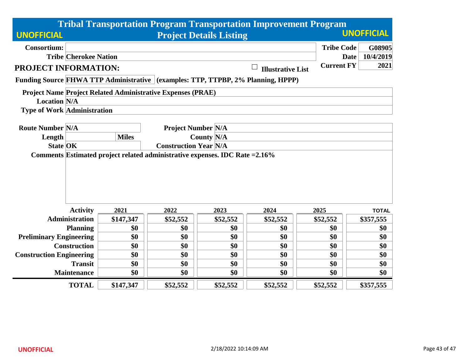|                                    |                                                                                                                                 |              |                                                                    |                                | <b>Tribal Transportation Program Transportation Improvement Program</b>          |                   |                                    |  |  |
|------------------------------------|---------------------------------------------------------------------------------------------------------------------------------|--------------|--------------------------------------------------------------------|--------------------------------|----------------------------------------------------------------------------------|-------------------|------------------------------------|--|--|
| <b>UNOFFICIAL</b>                  |                                                                                                                                 |              |                                                                    | <b>Project Details Listing</b> |                                                                                  |                   | <b>UNOFFICIAL</b>                  |  |  |
| <b>Consortium:</b>                 | <b>Tribe Cherokee Nation</b>                                                                                                    |              |                                                                    |                                |                                                                                  | <b>Tribe Code</b> | G08905<br>10/4/2019<br><b>Date</b> |  |  |
| <b>PROJECT INFORMATION:</b>        |                                                                                                                                 |              |                                                                    |                                | <b>Illustrative List</b>                                                         | <b>Current FY</b> | 2021                               |  |  |
|                                    |                                                                                                                                 |              |                                                                    |                                | Funding Source FHWA TTP Administrative (examples: TTP, TTPBP, 2% Planning, HPPP) |                   |                                    |  |  |
|                                    |                                                                                                                                 |              | <b>Project Name Project Related Administrative Expenses (PRAE)</b> |                                |                                                                                  |                   |                                    |  |  |
| <b>Location N/A</b>                |                                                                                                                                 |              |                                                                    |                                |                                                                                  |                   |                                    |  |  |
| <b>Type of Work Administration</b> |                                                                                                                                 |              |                                                                    |                                |                                                                                  |                   |                                    |  |  |
| <b>Route Number N/A</b>            |                                                                                                                                 |              | <b>Project Number N/A</b>                                          |                                |                                                                                  |                   |                                    |  |  |
| Length                             |                                                                                                                                 | <b>Miles</b> |                                                                    |                                |                                                                                  |                   |                                    |  |  |
|                                    |                                                                                                                                 |              |                                                                    |                                |                                                                                  |                   |                                    |  |  |
|                                    | <b>Construction Year N/A</b><br><b>State OK</b><br>Comments Estimated project related administrative expenses. IDC Rate = 2.16% |              |                                                                    |                                |                                                                                  |                   |                                    |  |  |
|                                    |                                                                                                                                 |              |                                                                    |                                |                                                                                  |                   |                                    |  |  |
|                                    |                                                                                                                                 |              |                                                                    |                                |                                                                                  |                   |                                    |  |  |
|                                    |                                                                                                                                 |              |                                                                    |                                |                                                                                  |                   |                                    |  |  |
|                                    |                                                                                                                                 |              |                                                                    |                                |                                                                                  |                   |                                    |  |  |
|                                    | <b>Activity</b>                                                                                                                 | 2021         | 2022                                                               | 2023                           | 2024                                                                             | 2025              | <b>TOTAL</b>                       |  |  |
|                                    | <b>Administration</b>                                                                                                           | \$147,347    | \$52,552                                                           | \$52,552                       | \$52,552                                                                         | \$52,552          | \$357,555                          |  |  |
|                                    | <b>Planning</b>                                                                                                                 | \$0          | \$0                                                                | \$0                            | \$0                                                                              | \$0               | \$0                                |  |  |
| <b>Preliminary Engineering</b>     |                                                                                                                                 | \$0          | \$0                                                                | \$0                            | \$0                                                                              | \$0               | \$0                                |  |  |
|                                    | <b>Construction</b>                                                                                                             | \$0          | \$0                                                                | \$0                            | \$0                                                                              | \$0               | \$0                                |  |  |
| <b>Construction Engineering</b>    |                                                                                                                                 | \$0          | \$0                                                                | \$0                            | \$0                                                                              | \$0               | \$0                                |  |  |
|                                    | <b>Transit</b>                                                                                                                  | \$0          | \$0                                                                | \$0                            | \$0                                                                              | \$0               | \$0                                |  |  |
|                                    | <b>Maintenance</b>                                                                                                              | \$0          | \$0                                                                | \$0                            | \$0                                                                              | \$0               | \$0                                |  |  |
|                                    | <b>TOTAL</b>                                                                                                                    | \$147,347    | \$52,552                                                           | \$52,552                       | \$52,552                                                                         | \$52,552          | \$357,555                          |  |  |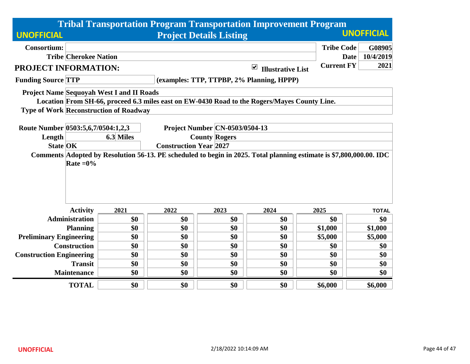|                                    |                              |                                                  |      |                                       |                                                                                              | <b>Tribal Transportation Program Transportation Improvement Program</b>                                             |                          |  |  |  |
|------------------------------------|------------------------------|--------------------------------------------------|------|---------------------------------------|----------------------------------------------------------------------------------------------|---------------------------------------------------------------------------------------------------------------------|--------------------------|--|--|--|
| <b>UNOFFICIAL</b>                  |                              |                                                  |      | <b>Project Details Listing</b>        |                                                                                              |                                                                                                                     | <b>UNOFFICIAL</b>        |  |  |  |
| <b>Consortium:</b>                 |                              |                                                  |      |                                       |                                                                                              | <b>Tribe Code</b>                                                                                                   | G08905                   |  |  |  |
|                                    | <b>Tribe Cherokee Nation</b> |                                                  |      |                                       |                                                                                              |                                                                                                                     | 10/4/2019<br><b>Date</b> |  |  |  |
| PROJECT INFORMATION:               |                              |                                                  |      |                                       | $\blacktriangledown$<br><b>Illustrative List</b>                                             | <b>Current FY</b>                                                                                                   | 2021                     |  |  |  |
| <b>Funding Source TTP</b>          |                              |                                                  |      |                                       | (examples: TTP, TTPBP, 2% Planning, HPPP)                                                    |                                                                                                                     |                          |  |  |  |
|                                    |                              | <b>Project Name Sequoyah West I and II Roads</b> |      |                                       | Location From SH-66, proceed 6.3 miles east on EW-0430 Road to the Rogers/Mayes County Line. |                                                                                                                     |                          |  |  |  |
|                                    |                              | <b>Type of Work Reconstruction of Roadway</b>    |      |                                       |                                                                                              |                                                                                                                     |                          |  |  |  |
| Route Number 0503:5,6,7/0504:1,2,3 |                              |                                                  |      | <b>Project Number CN-0503/0504-13</b> |                                                                                              |                                                                                                                     |                          |  |  |  |
| Length                             |                              | 6.3 Miles                                        |      | <b>County Rogers</b>                  |                                                                                              |                                                                                                                     |                          |  |  |  |
| <b>State OK</b>                    |                              | <b>Construction Year 2027</b>                    |      |                                       |                                                                                              |                                                                                                                     |                          |  |  |  |
|                                    | Rate $=0\%$                  |                                                  |      |                                       |                                                                                              | Comments Adopted by Resolution 56-13. PE scheduled to begin in 2025. Total planning estimate is \$7,800,000.00. IDC |                          |  |  |  |
|                                    | <b>Activity</b>              | 2021                                             | 2022 | 2023                                  | 2024                                                                                         | 2025                                                                                                                | <b>TOTAL</b>             |  |  |  |
|                                    | <b>Administration</b>        | \$0                                              | \$0  | \$0                                   | \$0                                                                                          | \$0                                                                                                                 | \$0                      |  |  |  |
|                                    | <b>Planning</b>              | \$0                                              | \$0  | \$0                                   | \$0                                                                                          | \$1,000                                                                                                             | \$1,000                  |  |  |  |
| <b>Preliminary Engineering</b>     |                              | \$0                                              | \$0  | \$0                                   | \$0                                                                                          | \$5,000                                                                                                             | \$5,000                  |  |  |  |
|                                    | <b>Construction</b>          | \$0                                              | \$0  | \$0                                   | \$0                                                                                          | \$0                                                                                                                 | \$0                      |  |  |  |
| <b>Construction Engineering</b>    |                              | \$0                                              | \$0  | \$0                                   | \$0                                                                                          | \$0                                                                                                                 | \$0                      |  |  |  |
|                                    | <b>Transit</b>               | \$0                                              | \$0  | \$0                                   | \$0                                                                                          | \$0                                                                                                                 | \$0                      |  |  |  |
|                                    | <b>Maintenance</b>           | \$0                                              | \$0  | \$0                                   | \$0                                                                                          | \$0                                                                                                                 | \$0                      |  |  |  |
|                                    | <b>TOTAL</b>                 | \$0                                              | \$0  | \$0                                   | \$0                                                                                          | \$6,000                                                                                                             | \$6,000                  |  |  |  |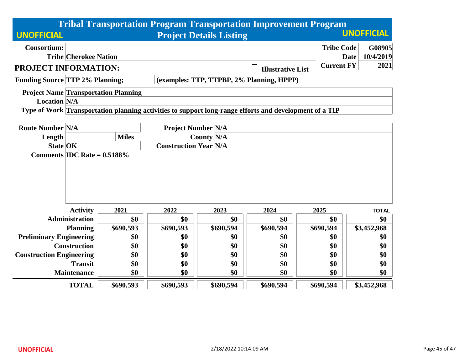|                                             |                                                                                  |                                                |           |                                | <b>Tribal Transportation Program Transportation Improvement Program</b>                                |                   |                          |  |  |
|---------------------------------------------|----------------------------------------------------------------------------------|------------------------------------------------|-----------|--------------------------------|--------------------------------------------------------------------------------------------------------|-------------------|--------------------------|--|--|
| <b>UNOFFICIAL</b>                           |                                                                                  |                                                |           | <b>Project Details Listing</b> |                                                                                                        |                   | <b>UNOFFICIAL</b>        |  |  |
| <b>Consortium:</b>                          |                                                                                  |                                                |           |                                |                                                                                                        | <b>Tribe Code</b> | G08905                   |  |  |
|                                             | <b>Tribe Cherokee Nation</b>                                                     |                                                |           |                                |                                                                                                        |                   | 10/4/2019<br><b>Date</b> |  |  |
| PROJECT INFORMATION:                        |                                                                                  |                                                |           |                                | <b>Illustrative List</b>                                                                               | <b>Current FY</b> | 2021                     |  |  |
| <b>Funding Source TTP 2% Planning;</b>      |                                                                                  |                                                |           |                                | (examples: TTP, TTPBP, 2% Planning, HPPP)                                                              |                   |                          |  |  |
| <b>Project Name Transportation Planning</b> |                                                                                  |                                                |           |                                |                                                                                                        |                   |                          |  |  |
| <b>Location N/A</b>                         |                                                                                  |                                                |           |                                |                                                                                                        |                   |                          |  |  |
|                                             |                                                                                  |                                                |           |                                | Type of Work Transportation planning activities to support long-range efforts and development of a TIP |                   |                          |  |  |
|                                             |                                                                                  |                                                |           |                                |                                                                                                        |                   |                          |  |  |
| <b>Route Number N/A</b>                     |                                                                                  | <b>Project Number N/A</b><br><b>County N/A</b> |           |                                |                                                                                                        |                   |                          |  |  |
| Length                                      |                                                                                  | <b>Miles</b>                                   |           |                                |                                                                                                        |                   |                          |  |  |
|                                             | <b>State OK</b><br><b>Construction Year N/A</b><br>Comments IDC Rate = $0.5188%$ |                                                |           |                                |                                                                                                        |                   |                          |  |  |
|                                             | <b>Activity</b>                                                                  | 2021                                           | 2022      | 2023                           | 2024                                                                                                   | 2025              | <b>TOTAL</b>             |  |  |
|                                             | <b>Administration</b>                                                            | \$0                                            | \$0       | \$0                            | \$0                                                                                                    | \$0               | \$0                      |  |  |
|                                             | <b>Planning</b>                                                                  | \$690,593                                      | \$690,593 | \$690,594                      | \$690,594                                                                                              | \$690,594         | \$3,452,968              |  |  |
| <b>Preliminary Engineering</b>              |                                                                                  | \$0                                            | \$0       | \$0                            | \$0                                                                                                    | \$0               | \$0                      |  |  |
|                                             | <b>Construction</b>                                                              | \$0                                            | \$0       | \$0                            | \$0                                                                                                    | \$0               | \$0                      |  |  |
| <b>Construction Engineering</b>             |                                                                                  | \$0                                            | \$0       | \$0                            | \$0                                                                                                    | \$0               | \$0                      |  |  |
|                                             | <b>Transit</b>                                                                   | \$0                                            | \$0       | \$0                            | \$0                                                                                                    | \$0               | \$0                      |  |  |
|                                             | <b>Maintenance</b>                                                               | \$0                                            | \$0       | \$0                            | \$0                                                                                                    | \$0               | \$0                      |  |  |
|                                             | <b>TOTAL</b>                                                                     | \$690,593                                      | \$690,593 | \$690,594                      | \$690,594                                                                                              | \$690,594         | \$3,452,968              |  |  |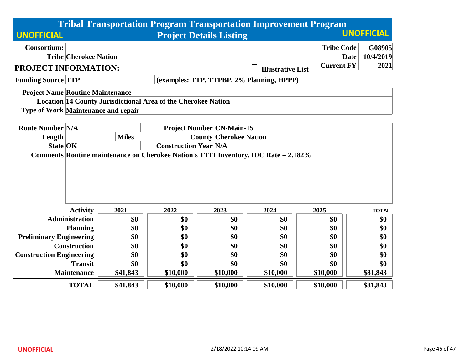|                                            |                                                                                                                                        |                                                               |                               |                                  | <b>Tribal Transportation Program Transportation Improvement Program</b> |                   |                          |  |  |
|--------------------------------------------|----------------------------------------------------------------------------------------------------------------------------------------|---------------------------------------------------------------|-------------------------------|----------------------------------|-------------------------------------------------------------------------|-------------------|--------------------------|--|--|
| <b>UNOFFICIAL</b>                          |                                                                                                                                        |                                                               |                               | <b>Project Details Listing</b>   |                                                                         |                   | <b>UNOFFICIAL</b>        |  |  |
| <b>Consortium:</b>                         |                                                                                                                                        |                                                               |                               |                                  |                                                                         | <b>Tribe Code</b> | G08905                   |  |  |
|                                            | <b>Tribe Cherokee Nation</b>                                                                                                           |                                                               |                               |                                  |                                                                         |                   | 10/4/2019<br><b>Date</b> |  |  |
| <b>PROJECT INFORMATION:</b>                |                                                                                                                                        |                                                               |                               |                                  | <b>Illustrative List</b>                                                | <b>Current FY</b> | 2021                     |  |  |
| <b>Funding Source TTP</b>                  |                                                                                                                                        |                                                               |                               |                                  | (examples: TTP, TTPBP, 2% Planning, HPPP)                               |                   |                          |  |  |
| <b>Project Name Routine Maintenance</b>    |                                                                                                                                        |                                                               |                               |                                  |                                                                         |                   |                          |  |  |
|                                            |                                                                                                                                        | Location 14 County Jurisdictional Area of the Cherokee Nation |                               |                                  |                                                                         |                   |                          |  |  |
| <b>Type of Work Maintenance and repair</b> |                                                                                                                                        |                                                               |                               |                                  |                                                                         |                   |                          |  |  |
|                                            |                                                                                                                                        |                                                               |                               |                                  |                                                                         |                   |                          |  |  |
| <b>Route Number N/A</b>                    |                                                                                                                                        |                                                               |                               | <b>Project Number CN-Main-15</b> |                                                                         |                   |                          |  |  |
| Length                                     |                                                                                                                                        | <b>Miles</b>                                                  | <b>County Cherokee Nation</b> |                                  |                                                                         |                   |                          |  |  |
|                                            | <b>Construction Year N/A</b><br><b>State OK</b><br>Comments Routine maintenance on Cherokee Nation's TTFI Inventory. IDC Rate = 2.182% |                                                               |                               |                                  |                                                                         |                   |                          |  |  |
|                                            |                                                                                                                                        |                                                               |                               |                                  |                                                                         |                   |                          |  |  |
|                                            |                                                                                                                                        |                                                               |                               |                                  |                                                                         |                   |                          |  |  |
|                                            |                                                                                                                                        |                                                               |                               |                                  |                                                                         |                   |                          |  |  |
|                                            |                                                                                                                                        |                                                               |                               |                                  |                                                                         |                   |                          |  |  |
|                                            |                                                                                                                                        |                                                               |                               |                                  |                                                                         |                   |                          |  |  |
|                                            | <b>Activity</b>                                                                                                                        | 2021                                                          | 2022                          | 2023                             | 2024                                                                    | 2025              | <b>TOTAL</b>             |  |  |
|                                            | <b>Administration</b>                                                                                                                  | \$0                                                           | \$0                           | \$0                              | \$0                                                                     | \$0               | \$0                      |  |  |
|                                            | <b>Planning</b>                                                                                                                        | \$0                                                           | \$0                           | \$0                              | \$0                                                                     | \$0               | \$0                      |  |  |
| <b>Preliminary Engineering</b>             |                                                                                                                                        | \$0                                                           | \$0                           | \$0                              | \$0                                                                     | \$0               | \$0                      |  |  |
|                                            | <b>Construction</b>                                                                                                                    | \$0                                                           | \$0                           | \$0                              | \$0                                                                     | \$0               | \$0                      |  |  |
| <b>Construction Engineering</b>            | \$0<br>\$0<br>\$0<br>\$0<br>\$0<br>\$0                                                                                                 |                                                               |                               |                                  |                                                                         |                   |                          |  |  |
|                                            | <b>Transit</b>                                                                                                                         | \$0                                                           | \$0                           | \$0                              | \$0                                                                     | \$0               | \$0                      |  |  |
|                                            | <b>Maintenance</b>                                                                                                                     | \$41,843                                                      | \$10,000                      | \$10,000                         | \$10,000                                                                | \$10,000          | \$81,843                 |  |  |
|                                            | <b>TOTAL</b>                                                                                                                           | \$41,843                                                      | \$10,000                      | \$10,000                         | \$10,000                                                                | \$10,000          | \$81,843                 |  |  |